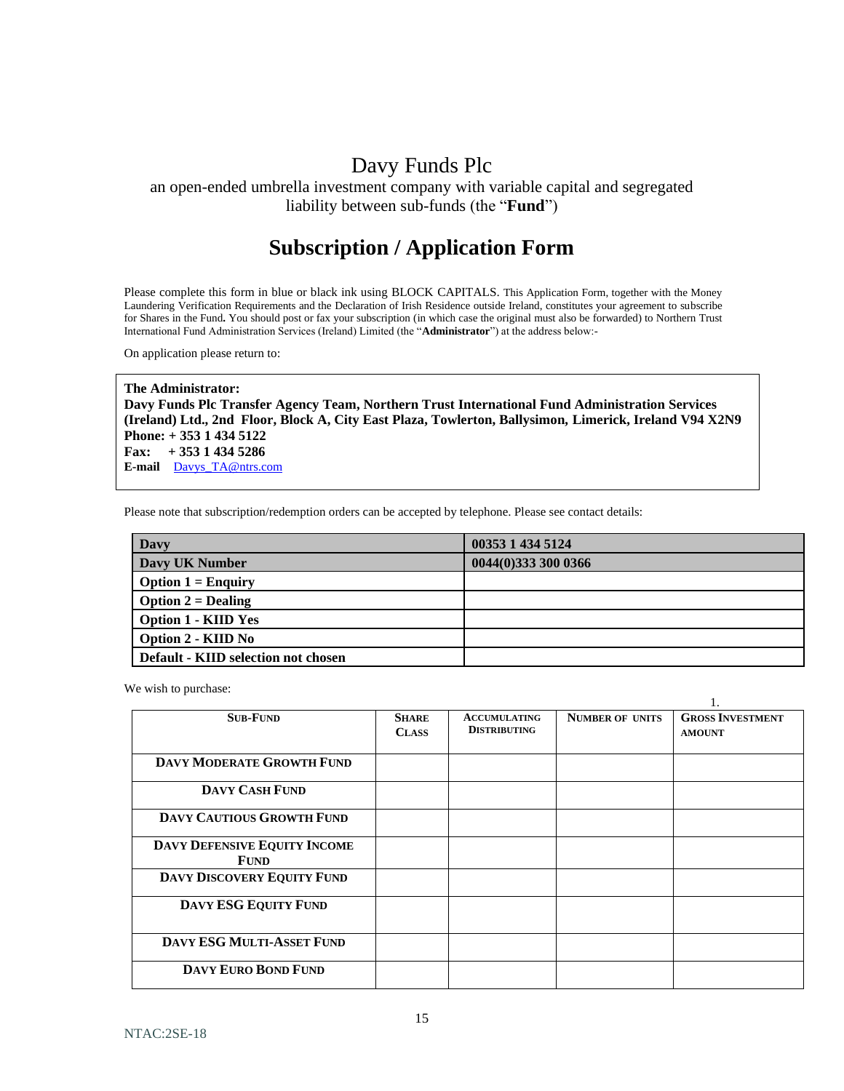# Davy Funds Plc

an open-ended umbrella investment company with variable capital and segregated liability between sub-funds (the "**Fund**")

# **Subscription / Application Form**

Please complete this form in blue or black ink using BLOCK CAPITALS. This Application Form, together with the Money Laundering Verification Requirements and the Declaration of Irish Residence outside Ireland, constitutes your agreement to subscribe for Shares in the Fund**.** You should post or fax your subscription (in which case the original must also be forwarded) to Northern Trust International Fund Administration Services (Ireland) Limited (the "**Administrator**") at the address below:-

On application please return to:

**The Administrator: Davy Funds Plc Transfer Agency Team, Northern Trust International Fund Administration Services (Ireland) Ltd., 2nd Floor, Block A, City East Plaza, Towlerton, Ballysimon, Limerick, Ireland V94 X2N9 Phone: + 353 1 434 5122 Fax: + 353 1 434 5286 E-mail** [Davys\\_TA@ntrs.com](mailto:Davys_TA@ntrs.com)

Please note that subscription/redemption orders can be accepted by telephone. Please see contact details:

| Davy                                | 00353 1 434 5124    |
|-------------------------------------|---------------------|
| Davy UK Number                      | 0044(0)333 300 0366 |
| <b>Option 1 = Enquiry</b>           |                     |
| <b>Option 2 = Dealing</b>           |                     |
| <b>Option 1 - KIID Yes</b>          |                     |
| Option 2 - KIID No                  |                     |
| Default - KIID selection not chosen |                     |

1.

We wish to purchase:

|                                             |                              |                                            |                        | .,                                       |
|---------------------------------------------|------------------------------|--------------------------------------------|------------------------|------------------------------------------|
| <b>SUB-FUND</b>                             | <b>SHARE</b><br><b>CLASS</b> | <b>ACCUMULATING</b><br><b>DISTRIBUTING</b> | <b>NUMBER OF UNITS</b> | <b>GROSS INVESTMENT</b><br><b>AMOUNT</b> |
| <b>DAVY MODERATE GROWTH FUND</b>            |                              |                                            |                        |                                          |
| <b>DAVY CASH FUND</b>                       |                              |                                            |                        |                                          |
| <b>DAVY CAUTIOUS GROWTH FUND</b>            |                              |                                            |                        |                                          |
| DAVY DEFENSIVE EQUITY INCOME<br><b>FUND</b> |                              |                                            |                        |                                          |
| <b>DAVY DISCOVERY EQUITY FUND</b>           |                              |                                            |                        |                                          |
| DAVY ESG EQUITY FUND                        |                              |                                            |                        |                                          |
| <b>DAVY ESG MULTI-ASSET FUND</b>            |                              |                                            |                        |                                          |
| <b>DAVY EURO BOND FUND</b>                  |                              |                                            |                        |                                          |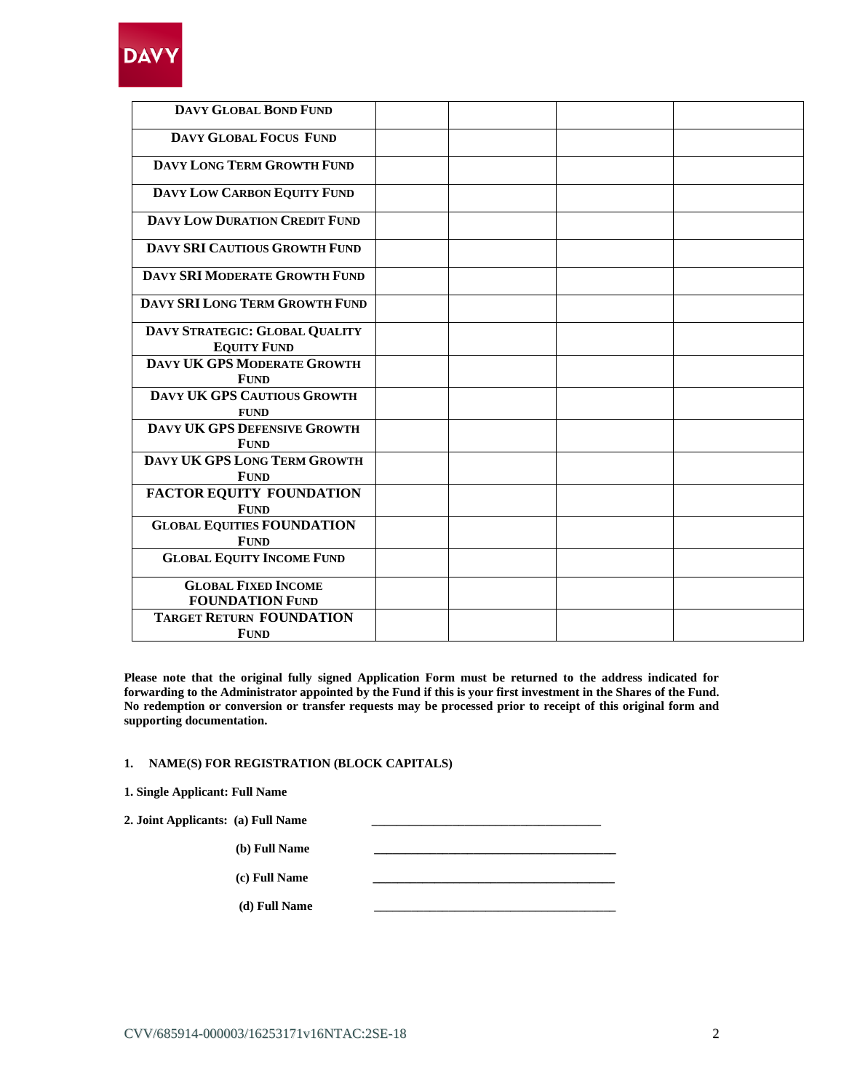

| DAVY GLOBAL BOND FUND                                |  |  |
|------------------------------------------------------|--|--|
| <b>DAVY GLOBAL FOCUS FUND</b>                        |  |  |
| DAVY LONG TERM GROWTH FUND                           |  |  |
| DAVY LOW CARBON EQUITY FUND                          |  |  |
| <b>DAVY LOW DURATION CREDIT FUND</b>                 |  |  |
| DAVY SRI CAUTIOUS GROWTH FUND                        |  |  |
| <b>DAVY SRI MODERATE GROWTH FUND</b>                 |  |  |
| DAVY SRI LONG TERM GROWTH FUND                       |  |  |
| DAVY STRATEGIC: GLOBAL QUALITY<br><b>EQUITY FUND</b> |  |  |
| DAVY UK GPS MODERATE GROWTH<br><b>FUND</b>           |  |  |
| DAVY UK GPS CAUTIOUS GROWTH<br><b>FUND</b>           |  |  |
| DAVY UK GPS DEFENSIVE GROWTH<br><b>FUND</b>          |  |  |
| DAVY UK GPS LONG TERM GROWTH<br><b>FUND</b>          |  |  |
| <b>FACTOR EQUITY FOUNDATION</b><br><b>FUND</b>       |  |  |
| <b>GLOBAL EQUITIES FOUNDATION</b><br><b>FUND</b>     |  |  |
| <b>GLOBAL EQUITY INCOME FUND</b>                     |  |  |
| <b>GLOBAL FIXED INCOME</b><br><b>FOUNDATION FUND</b> |  |  |
| <b>TARGET RETURN FOUNDATION</b><br><b>FUND</b>       |  |  |

**Please note that the original fully signed Application Form must be returned to the address indicated for forwarding to the Administrator appointed by the Fund if this is your first investment in the Shares of the Fund. No redemption or conversion or transfer requests may be processed prior to receipt of this original form and supporting documentation.**

# **1. NAME(S) FOR REGISTRATION (BLOCK CAPITALS)**

| 1. Single Applicant: Full Name |  |  |
|--------------------------------|--|--|
|--------------------------------|--|--|

| 2. Joint Applicants: (a) Full Name |  |
|------------------------------------|--|
| (b) Full Name                      |  |
| (c) Full Name                      |  |
| (d) Full Name                      |  |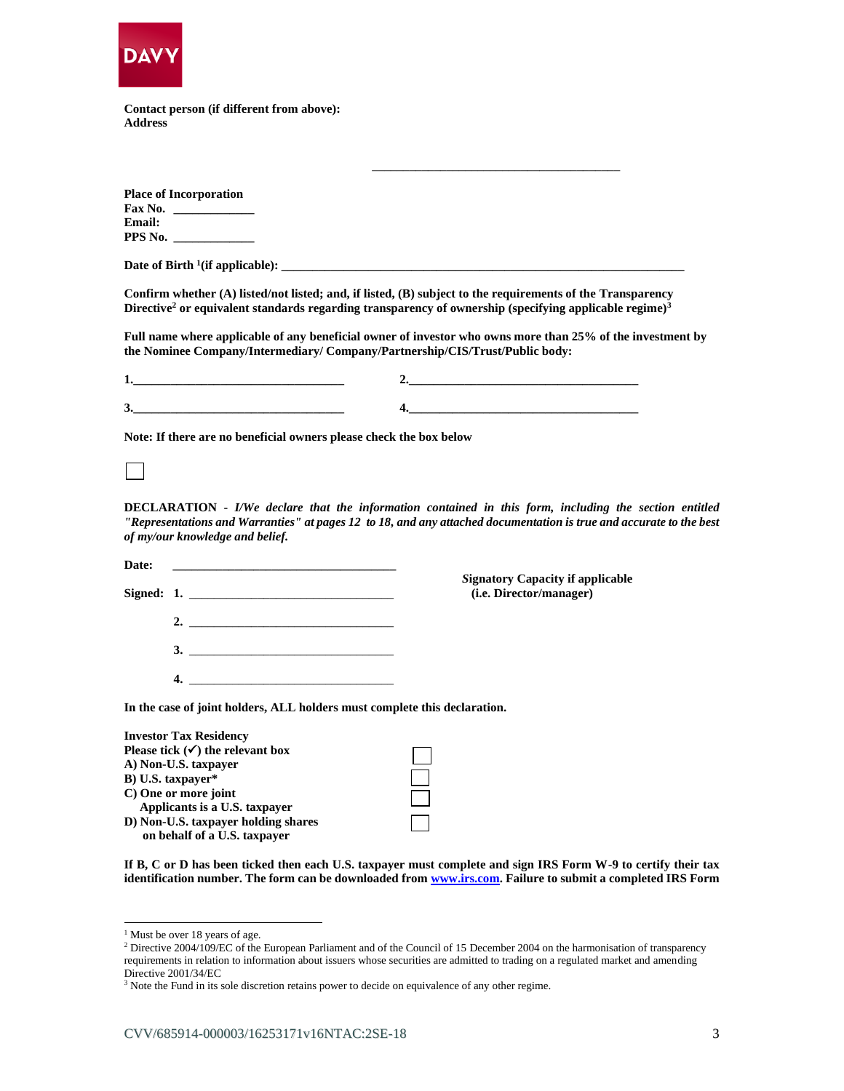

**Contact person (if different from above): Address**

|               | <b>Place of Incorporation</b> |  |  |
|---------------|-------------------------------|--|--|
| Fax No.       |                               |  |  |
| <b>Email:</b> |                               |  |  |
| PPS No.       |                               |  |  |

**Date of Birth <sup>1</sup> (if applicable): \_\_\_\_\_\_\_\_\_\_\_\_\_\_\_\_\_\_\_\_\_\_\_\_\_\_\_\_\_\_\_\_\_\_\_\_\_\_\_\_\_\_\_\_\_\_\_\_\_\_\_\_\_\_\_\_\_\_\_\_\_\_\_\_\_**

**Confirm whether (A) listed/not listed; and, if listed, (B) subject to the requirements of the Transparency Directive<sup>2</sup> or equivalent standards regarding transparency of ownership (specifying applicable regime)<sup>3</sup>**

**Full name where applicable of any beneficial owner of investor who owns more than 25% of the investment by the Nominee Company/Intermediary/ Company/Partnership/CIS/Trust/Public body:**

\_\_\_\_\_\_\_\_\_\_\_\_\_\_\_\_\_\_\_\_\_\_\_\_\_\_\_\_\_\_\_\_\_\_\_\_\_\_\_\_

| - |      |
|---|------|
|   |      |
| ັ | ____ |

**Note: If there are no beneficial owners please check the box below**

**DECLARATION -** *I/We declare that the information contained in this form, including the section entitled "Representations and Warranties" at pages 12 to 18, and any attached documentation is true and accurate to the best of my/our knowledge and belief.*

| Date: | Signed: 1.                                                                                                                                                                                                                                                                                                             | <b>Signatory Capacity if applicable</b><br>( <i>i.e. Director/manager</i> ) |
|-------|------------------------------------------------------------------------------------------------------------------------------------------------------------------------------------------------------------------------------------------------------------------------------------------------------------------------|-----------------------------------------------------------------------------|
|       | 2. $\frac{1}{2}$ $\frac{1}{2}$ $\frac{1}{2}$ $\frac{1}{2}$ $\frac{1}{2}$ $\frac{1}{2}$ $\frac{1}{2}$ $\frac{1}{2}$ $\frac{1}{2}$ $\frac{1}{2}$ $\frac{1}{2}$ $\frac{1}{2}$ $\frac{1}{2}$ $\frac{1}{2}$ $\frac{1}{2}$ $\frac{1}{2}$ $\frac{1}{2}$ $\frac{1}{2}$ $\frac{1}{2}$ $\frac{1}{2}$ $\frac{1}{2}$ $\frac{1}{2}$ |                                                                             |
|       |                                                                                                                                                                                                                                                                                                                        |                                                                             |
|       | $\overline{4}$ .                                                                                                                                                                                                                                                                                                       |                                                                             |
|       |                                                                                                                                                                                                                                                                                                                        | In the case of joint holders, ALL holders must complete this declaration.   |

| <b>Investor Tax Residency</b>               |  |
|---------------------------------------------|--|
| Please tick $(\checkmark)$ the relevant box |  |
| A) Non-U.S. taxpayer                        |  |
| B) U.S. taxpayer*                           |  |
| C) One or more joint                        |  |
| Applicants is a U.S. taxpayer               |  |
| D) Non-U.S. taxpayer holding shares         |  |
| on behalf of a U.S. taxpayer                |  |

**If B, C or D has been ticked then each U.S. taxpayer must complete and sign IRS Form W-9 to certify their tax identification number. The form can be downloaded fro[m www.irs.com.](http://www.irs.com/) Failure to submit a completed IRS Form** 

 $<sup>1</sup>$  Must be over 18 years of age.</sup>

<sup>&</sup>lt;sup>2</sup> Directive 2004/109/EC of the European Parliament and of the Council of 15 December 2004 on the harmonisation of transparency requirements in relation to information about issuers whose securities are admitted to trading on a regulated market and amending Directive 2001/34/EC

<sup>&</sup>lt;sup>3</sup> Note the Fund in its sole discretion retains power to decide on equivalence of any other regime.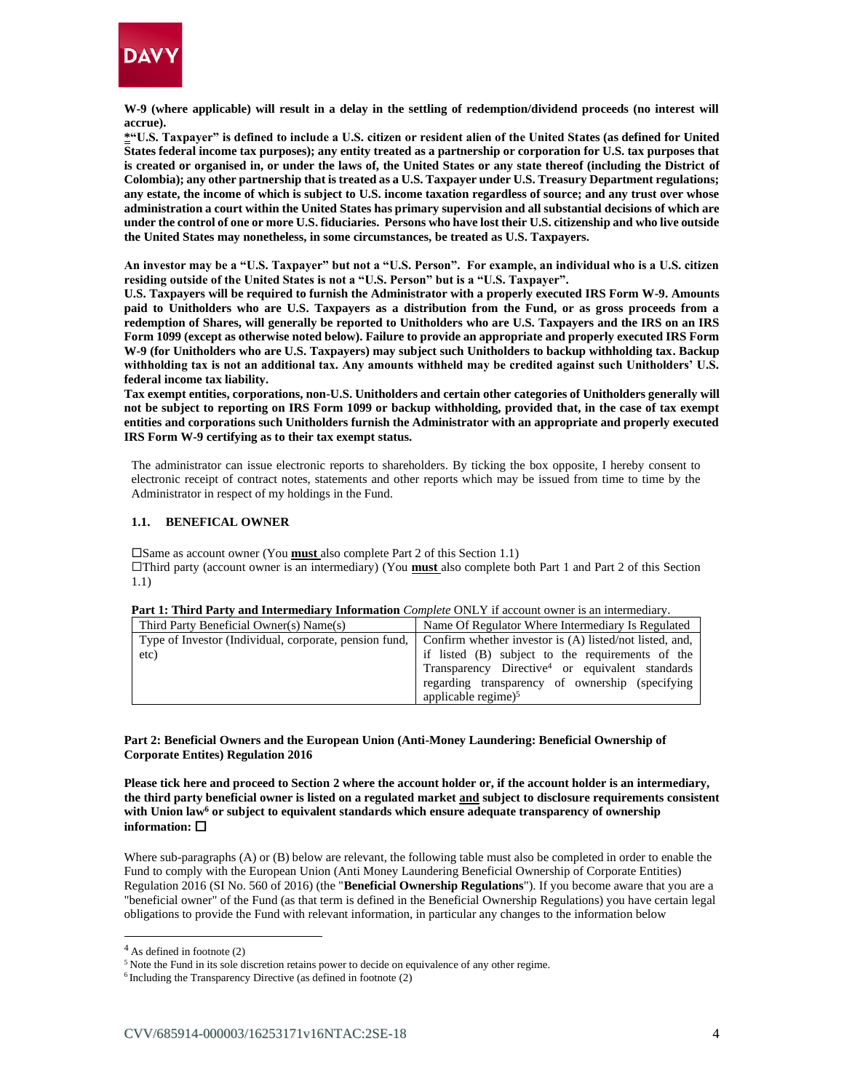

**W-9 (where applicable) will result in a delay in the settling of redemption/dividend proceeds (no interest will accrue).**

**\*"U.S. Taxpayer" is defined to include a U.S. citizen or resident alien of the United States (as defined for United States federal income tax purposes); any entity treated as a partnership or corporation for U.S. tax purposes that is created or organised in, or under the laws of, the United States or any state thereof (including the District of Colombia); any other partnership that is treated as a U.S. Taxpayer under U.S. Treasury Department regulations; any estate, the income of which is subject to U.S. income taxation regardless of source; and any trust over whose administration a court within the United States has primary supervision and all substantial decisions of which are under the control of one or more U.S. fiduciaries. Persons who have lost their U.S. citizenship and who live outside the United States may nonetheless, in some circumstances, be treated as U.S. Taxpayers.**

**An investor may be a "U.S. Taxpayer" but not a "U.S. Person". For example, an individual who is a U.S. citizen residing outside of the United States is not a "U.S. Person" but is a "U.S. Taxpayer".**

**U.S. Taxpayers will be required to furnish the Administrator with a properly executed IRS Form W-9. Amounts paid to Unitholders who are U.S. Taxpayers as a distribution from the Fund, or as gross proceeds from a redemption of Shares, will generally be reported to Unitholders who are U.S. Taxpayers and the IRS on an IRS Form 1099 (except as otherwise noted below). Failure to provide an appropriate and properly executed IRS Form W-9 (for Unitholders who are U.S. Taxpayers) may subject such Unitholders to backup withholding tax. Backup withholding tax is not an additional tax. Any amounts withheld may be credited against such Unitholders' U.S. federal income tax liability.**

**Tax exempt entities, corporations, non-U.S. Unitholders and certain other categories of Unitholders generally will not be subject to reporting on IRS Form 1099 or backup withholding, provided that, in the case of tax exempt entities and corporations such Unitholders furnish the Administrator with an appropriate and properly executed IRS Form W-9 certifying as to their tax exempt status.**

The administrator can issue electronic reports to shareholders. By ticking the box opposite, I hereby consent to electronic receipt of contract notes, statements and other reports which may be issued from time to time by the Administrator in respect of my holdings in the Fund.

### **1.1. BENEFICAL OWNER**

Same as account owner (You **must** also complete Part 2 of this Section 1.1) Third party (account owner is an intermediary) (You **must** also complete both Part 1 and Part 2 of this Section 1.1)

| Third Party Beneficial Owner(s) Name(s)                | Name Of Regulator Where Intermediary Is Regulated           |
|--------------------------------------------------------|-------------------------------------------------------------|
| Type of Investor (Individual, corporate, pension fund, | Confirm whether investor is (A) listed/not listed, and,     |
| etc)                                                   | if listed (B) subject to the requirements of the            |
|                                                        | Transparency Directive <sup>4</sup> or equivalent standards |
|                                                        | regarding transparency of ownership (specifying)            |
|                                                        | applicable regime) $5$                                      |

#### **Part 1: Third Party and Intermediary Information** *Complete* ONLY if account owner is an intermediary.

**Part 2: Beneficial Owners and the European Union (Anti-Money Laundering: Beneficial Ownership of Corporate Entites) Regulation 2016**

**Please tick here and proceed to Section 2 where the account holder or, if the account holder is an intermediary, the third party beneficial owner is listed on a regulated market and subject to disclosure requirements consistent with Union law<sup>6</sup> or subject to equivalent standards which ensure adequate transparency of ownership information:** 

Where sub-paragraphs (A) or (B) below are relevant, the following table must also be completed in order to enable the Fund to comply with the European Union (Anti Money Laundering Beneficial Ownership of Corporate Entities) Regulation 2016 (SI No. 560 of 2016) (the "**Beneficial Ownership Regulations**"). If you become aware that you are a "beneficial owner" of the Fund (as that term is defined in the Beneficial Ownership Regulations) you have certain legal obligations to provide the Fund with relevant information, in particular any changes to the information below

 $4$  As defined in footnote (2)

<sup>&</sup>lt;sup>5</sup> Note the Fund in its sole discretion retains power to decide on equivalence of any other regime.

<sup>6</sup> Including the Transparency Directive (as defined in footnote (2)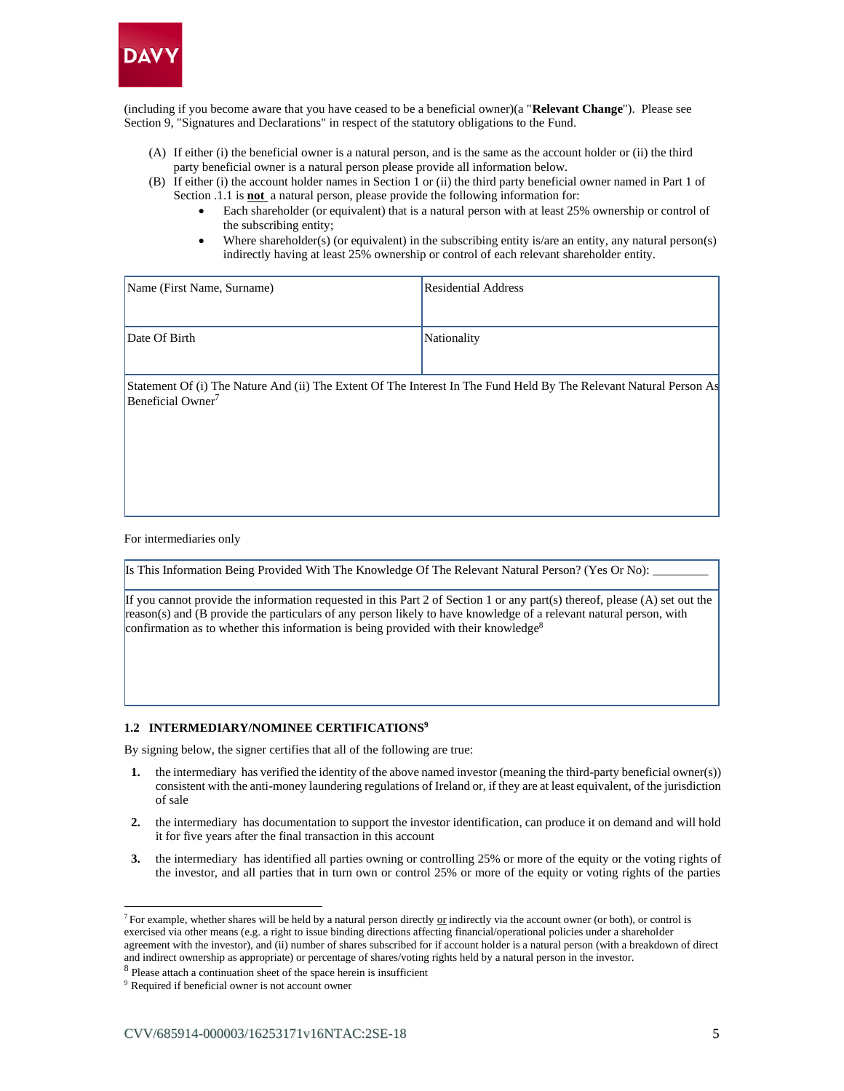

(including if you become aware that you have ceased to be a beneficial owner)(a "**Relevant Change**"). Please see Section 9, "Signatures and Declarations" in respect of the statutory obligations to the Fund.

- (A) If either (i) the beneficial owner is a natural person, and is the same as the account holder or (ii) the third party beneficial owner is a natural person please provide all information below.
- (B) If either (i) the account holder names in Section 1 or (ii) the third party beneficial owner named in Part 1 of Section .1.1 is **not** a natural person, please provide the following information for:
	- Each shareholder (or equivalent) that is a natural person with at least 25% ownership or control of the subscribing entity;
	- Where shareholder(s) (or equivalent) in the subscribing entity is/are an entity, any natural person(s) indirectly having at least 25% ownership or control of each relevant shareholder entity.

| Name (First Name, Surname) | Residential Address |
|----------------------------|---------------------|
| Date Of Birth              | Nationality         |

Statement Of (i) The Nature And (ii) The Extent Of The Interest In The Fund Held By The Relevant Natural Person As Beneficial Owner<sup>7</sup>

For intermediaries only

Is This Information Being Provided With The Knowledge Of The Relevant Natural Person? (Yes Or No):

If you cannot provide the information requested in this Part 2 of Section 1 or any part(s) thereof, please (A) set out the reason(s) and (B provide the particulars of any person likely to have knowledge of a relevant natural person, with confirmation as to whether this information is being provided with their knowledge<sup>8</sup>

#### **1.2 INTERMEDIARY/NOMINEE CERTIFICATIONS<sup>9</sup>**

By signing below, the signer certifies that all of the following are true:

- **1.** the intermediary has verified the identity of the above named investor (meaning the third-party beneficial owner(s)) consistent with the anti-money laundering regulations of Ireland or, if they are at least equivalent, of the jurisdiction of sale
- **2.** the intermediary has documentation to support the investor identification, can produce it on demand and will hold it for five years after the final transaction in this account
- **3.** the intermediary has identified all parties owning or controlling 25% or more of the equity or the voting rights of the investor, and all parties that in turn own or control 25% or more of the equity or voting rights of the parties

<sup>&</sup>lt;sup>7</sup> For example, whether shares will be held by a natural person directly or indirectly via the account owner (or both), or control is exercised via other means (e.g. a right to issue binding directions affecting financial/operational policies under a shareholder agreement with the investor), and (ii) number of shares subscribed for if account holder is a natural person (with a breakdown of direct and indirect ownership as appropriate) or percentage of shares/voting rights held by a natural person in the investor.

<sup>&</sup>lt;sup>8</sup> Please attach a continuation sheet of the space herein is insufficient

<sup>9</sup> Required if beneficial owner is not account owner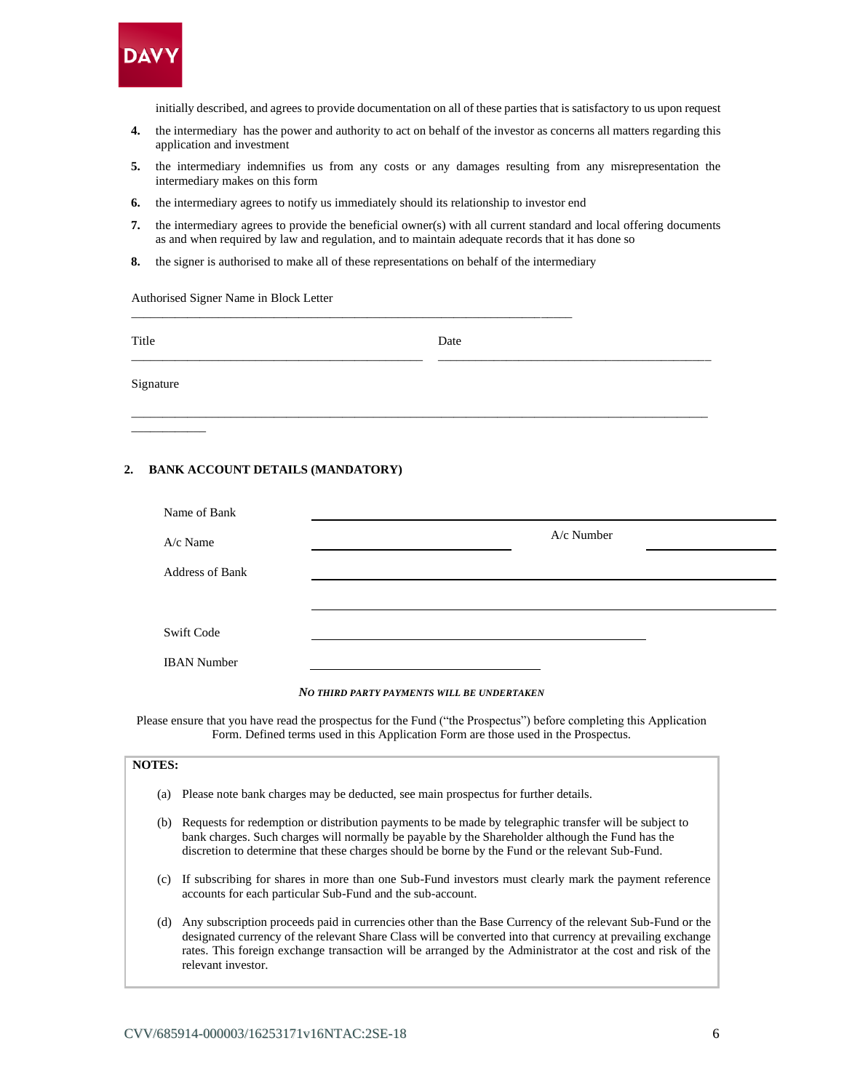

initially described, and agrees to provide documentation on all of these parties that is satisfactory to us upon request

- **4.** the intermediary has the power and authority to act on behalf of the investor as concerns all matters regarding this application and investment
- **5.** the intermediary indemnifies us from any costs or any damages resulting from any misrepresentation the intermediary makes on this form
- **6.** the intermediary agrees to notify us immediately should its relationship to investor end
- **7.** the intermediary agrees to provide the beneficial owner(s) with all current standard and local offering documents as and when required by law and regulation, and to maintain adequate records that it has done so
- **8.** the signer is authorised to make all of these representations on behalf of the intermediary

\_\_\_\_\_\_\_\_\_\_\_\_\_\_\_\_\_\_\_\_\_\_\_\_\_\_\_\_\_\_\_\_\_\_\_\_\_\_\_\_\_\_\_\_\_\_\_\_\_\_\_\_\_\_\_\_\_\_\_\_\_\_\_\_\_\_\_\_\_\_\_

Authorised Signer Name in Block Letter

| Title     | Date |
|-----------|------|
| Signature |      |

### **2. BANK ACCOUNT DETAILS (MANDATORY)**

| Name of Bank           |            |
|------------------------|------------|
| A/c Name               | A/c Number |
| <b>Address of Bank</b> |            |
|                        |            |
| <b>Swift Code</b>      |            |
| <b>IBAN</b> Number     |            |

#### *NO THIRD PARTY PAYMENTS WILL BE UNDERTAKEN*

Please ensure that you have read the prospectus for the Fund ("the Prospectus") before completing this Application Form. Defined terms used in this Application Form are those used in the Prospectus.

# **NOTES:**

\_\_\_\_\_\_\_\_\_\_\_\_

- (a) Please note bank charges may be deducted, see main prospectus for further details.
- (b) Requests for redemption or distribution payments to be made by telegraphic transfer will be subject to bank charges. Such charges will normally be payable by the Shareholder although the Fund has the discretion to determine that these charges should be borne by the Fund or the relevant Sub-Fund.
- (c) If subscribing for shares in more than one Sub-Fund investors must clearly mark the payment reference accounts for each particular Sub-Fund and the sub-account.
- (d) Any subscription proceeds paid in currencies other than the Base Currency of the relevant Sub-Fund or the designated currency of the relevant Share Class will be converted into that currency at prevailing exchange rates. This foreign exchange transaction will be arranged by the Administrator at the cost and risk of the relevant investor.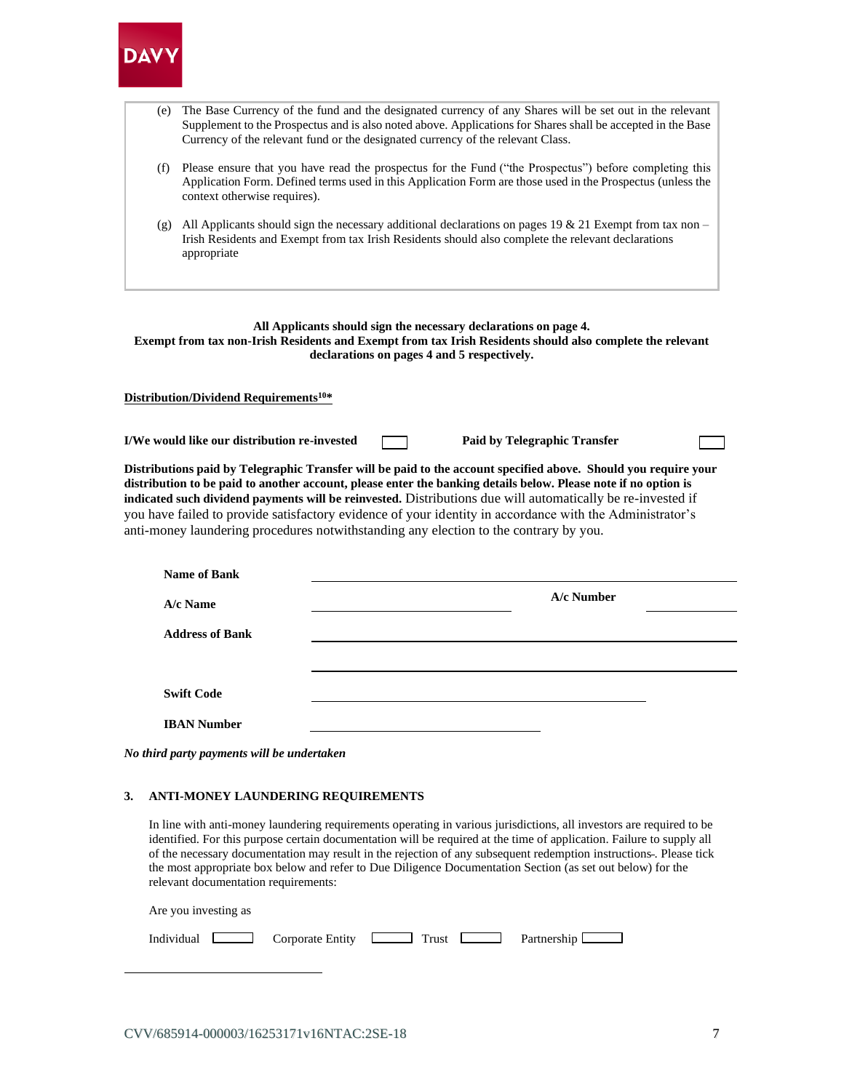

| (e) | The Base Currency of the fund and the designated currency of any Shares will be set out in the relevant<br>Supplement to the Prospectus and is also noted above. Applications for Shares shall be accepted in the Base<br>Currency of the relevant fund or the designated currency of the relevant Class. |
|-----|-----------------------------------------------------------------------------------------------------------------------------------------------------------------------------------------------------------------------------------------------------------------------------------------------------------|
| (f) | Please ensure that you have read the prospectus for the Fund ("the Prospectus") before completing this<br>Application Form. Defined terms used in this Application Form are those used in the Prospectus (unless the<br>context otherwise requires).                                                      |
| (g) | All Applicants should sign the necessary additional declarations on pages 19 & 21 Exempt from tax non –<br>Irish Residents and Exempt from tax Irish Residents should also complete the relevant declarations<br>appropriate                                                                              |

#### **All Applicants should sign the necessary declarations on page 4. Exempt from tax non-Irish Residents and Exempt from tax Irish Residents should also complete the relevant declarations on pages 4 and 5 respectively.**

#### **Distribution/Dividend Requirements<sup>10</sup>\***

**I/We would like our distribution re-invested Paid by Telegraphic Transfer** 

**Distributions paid by Telegraphic Transfer will be paid to the account specified above. Should you require your distribution to be paid to another account, please enter the banking details below. Please note if no option is indicated such dividend payments will be reinvested.** Distributions due will automatically be re-invested if you have failed to provide satisfactory evidence of your identity in accordance with the Administrator's anti-money laundering procedures notwithstanding any election to the contrary by you.

| <b>Name of Bank</b>    |            |
|------------------------|------------|
| A/c Name               | A/c Number |
| <b>Address of Bank</b> |            |
|                        |            |
| <b>Swift Code</b>      |            |
| <b>IBAN Number</b>     |            |

*No third party payments will be undertaken*

#### **3. ANTI-MONEY LAUNDERING REQUIREMENTS**

In line with anti-money laundering requirements operating in various jurisdictions, all investors are required to be identified. For this purpose certain documentation will be required at the time of application. Failure to supply all of the necessary documentation may result in the rejection of any subsequent redemption instructions . Please tick the most appropriate box below and refer to Due Diligence Documentation Section (as set out below) for the relevant documentation requirements:

| Are you investing as                                                          |  |  |
|-------------------------------------------------------------------------------|--|--|
| Individual Corporate Entity <u>Landelland Trust</u> Partnership <u>Landel</u> |  |  |
|                                                                               |  |  |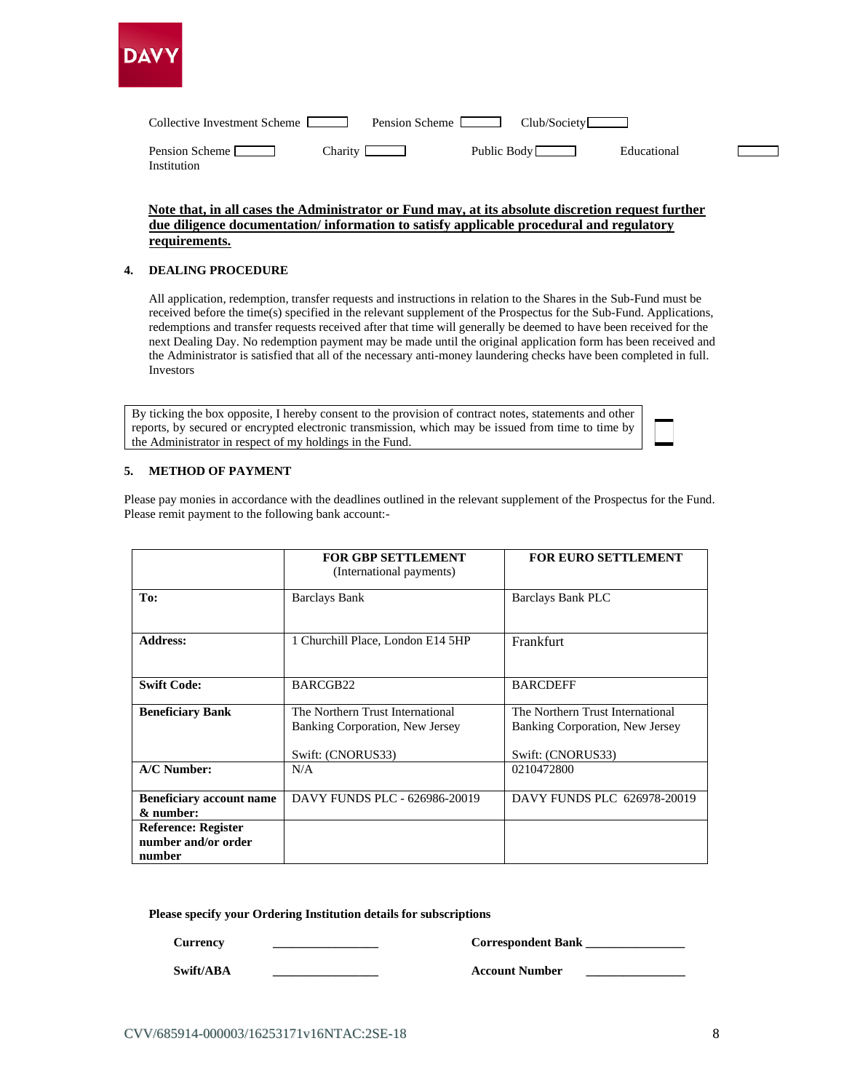

| Collective Investment Scheme Lease      | Pension Scheme   | Club/Society |             |
|-----------------------------------------|------------------|--------------|-------------|
| Pension Scheme          <br>Institution | $Charity$ $\Box$ | Public Body  | Educational |

# **Note that, in all cases the Administrator or Fund may, at its absolute discretion request further due diligence documentation/ information to satisfy applicable procedural and regulatory requirements.**

#### **4. DEALING PROCEDURE**

All application, redemption, transfer requests and instructions in relation to the Shares in the Sub-Fund must be received before the time(s) specified in the relevant supplement of the Prospectus for the Sub-Fund. Applications, redemptions and transfer requests received after that time will generally be deemed to have been received for the next Dealing Day. No redemption payment may be made until the original application form has been received and the Administrator is satisfied that all of the necessary anti-money laundering checks have been completed in full. Investors

By ticking the box opposite, I hereby consent to the provision of contract notes, statements and other reports, by secured or encrypted electronic transmission, which may be issued from time to time by the Administrator in respect of my holdings in the Fund.

### **5. METHOD OF PAYMENT**

Please pay monies in accordance with the deadlines outlined in the relevant supplement of the Prospectus for the Fund. Please remit payment to the following bank account:-

|                                                             | <b>FOR GBP SETTLEMENT</b><br>(International payments)                                    | <b>FOR EURO SETTLEMENT</b>                                                               |
|-------------------------------------------------------------|------------------------------------------------------------------------------------------|------------------------------------------------------------------------------------------|
| To:                                                         | <b>Barclays Bank</b>                                                                     | Barclays Bank PLC                                                                        |
| <b>Address:</b>                                             | 1 Churchill Place, London E14 5HP                                                        | Frankfurt                                                                                |
| <b>Swift Code:</b>                                          | BARCGB22                                                                                 | <b>BARCDEFF</b>                                                                          |
| <b>Beneficiary Bank</b>                                     | The Northern Trust International<br>Banking Corporation, New Jersey<br>Swift: (CNORUS33) | The Northern Trust International<br>Banking Corporation, New Jersey<br>Swift: (CNORUS33) |
| A/C Number:                                                 | N/A                                                                                      | 0210472800                                                                               |
| <b>Beneficiary account name</b><br>& number:                | DAVY FUNDS PLC - 626986-20019                                                            | DAVY FUNDS PLC 626978-20019                                                              |
| <b>Reference: Register</b><br>number and/or order<br>number |                                                                                          |                                                                                          |

**Please specify your Ordering Institution details for subscriptions**

**Currency Correspondent Bank** 

**Swift/ABA Account Number**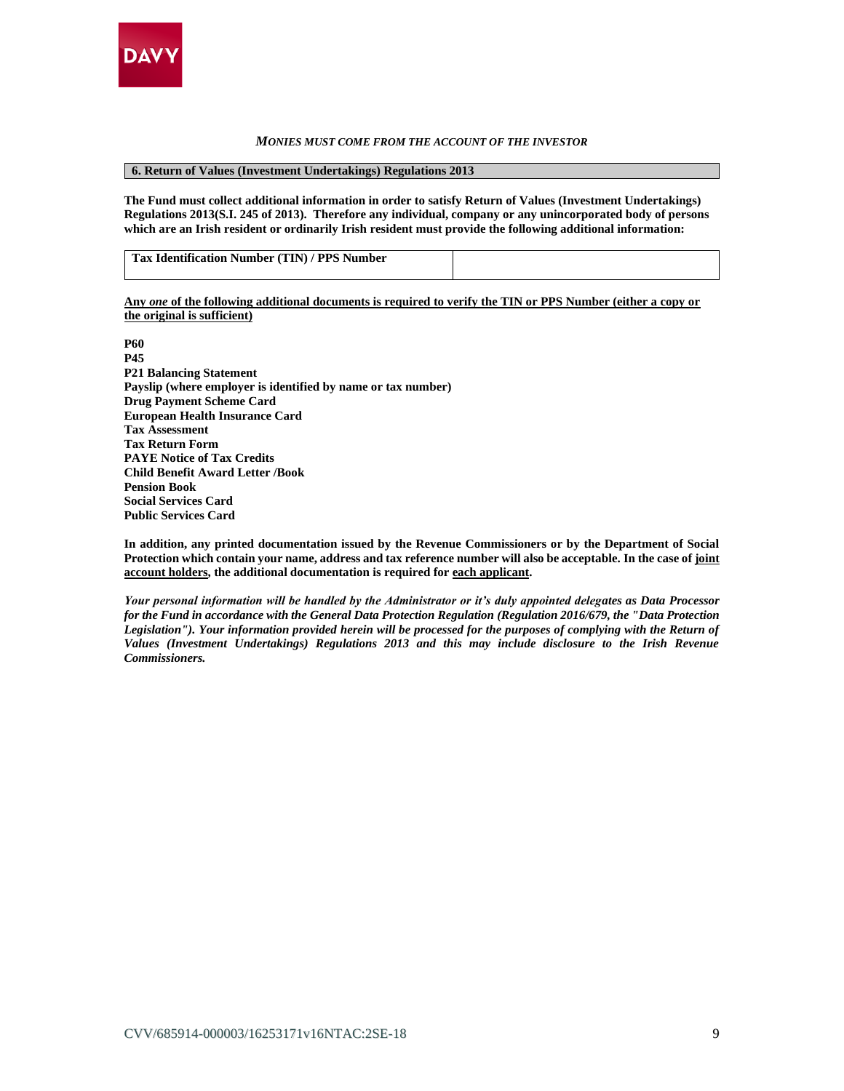

#### *MONIES MUST COME FROM THE ACCOUNT OF THE INVESTOR*

**6. Return of Values (Investment Undertakings) Regulations 2013**

**The Fund must collect additional information in order to satisfy Return of Values (Investment Undertakings) Regulations 2013(S.I. 245 of 2013). Therefore any individual, company or any unincorporated body of persons which are an Irish resident or ordinarily Irish resident must provide the following additional information:**

| Tax Identification Number (TIN) / PPS Number |  |
|----------------------------------------------|--|

**Any** *one* **of the following additional documents is required to verify the TIN or PPS Number (either a copy or the original is sufficient)** 

**P60 P45 P21 Balancing Statement Payslip (where employer is identified by name or tax number) Drug Payment Scheme Card European Health Insurance Card Tax Assessment Tax Return Form PAYE Notice of Tax Credits Child Benefit Award Letter /Book Pension Book Social Services Card Public Services Card**

**In addition, any printed documentation issued by the Revenue Commissioners or by the Department of Social Protection which contain your name, address and tax reference number will also be acceptable. In the case of joint account holders, the additional documentation is required for each applicant.**

*Your personal information will be handled by the Administrator or it's duly appointed delegates as Data Processor for the Fund in accordance with the General Data Protection Regulation (Regulation 2016/679, the "Data Protection Legislation"). Your information provided herein will be processed for the purposes of complying with the Return of Values (Investment Undertakings) Regulations 2013 and this may include disclosure to the Irish Revenue Commissioners.*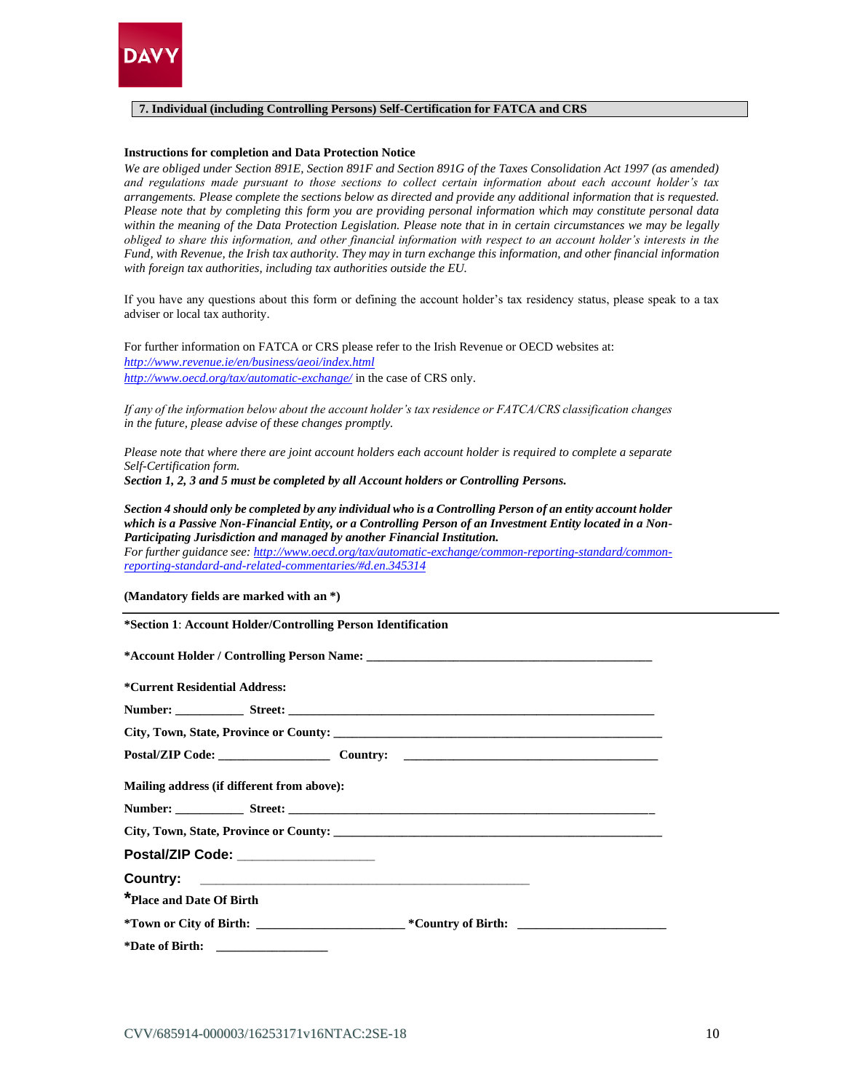

#### **7. Individual (including Controlling Persons) Self-Certification for FATCA and CRS**

#### **Instructions for completion and Data Protection Notice**

*We are obliged under Section 891E, Section 891F and Section 891G of the Taxes Consolidation Act 1997 (as amended) and regulations made pursuant to those sections to collect certain information about each account holder's tax arrangements. Please complete the sections below as directed and provide any additional information that is requested. Please note that by completing this form you are providing personal information which may constitute personal data within the meaning of the Data Protection Legislation. Please note that in in certain circumstances we may be legally obliged to share this information, and other financial information with respect to an account holder's interests in the Fund, with Revenue, the Irish tax authority. They may in turn exchange this information, and other financial information with foreign tax authorities, including tax authorities outside the EU.* 

If you have any questions about this form or defining the account holder's tax residency status, please speak to a tax adviser or local tax authority.

For further information on FATCA or CRS please refer to the Irish Revenue or OECD websites at: *<http://www.revenue.ie/en/business/aeoi/index.html> <http://www.oecd.org/tax/automatic-exchange/>* in the case of CRS only.

*If any of the information below about the account holder's tax residence or FATCA/CRS classification changes in the future, please advise of these changes promptly.* 

*Please note that where there are joint account holders each account holder is required to complete a separate Self-Certification form.*

*Section 1, 2, 3 and 5 must be completed by all Account holders or Controlling Persons.*

*Section 4 should only be completed by any individual who is a Controlling Person of an entity account holder which is a Passive Non-Financial Entity, or a Controlling Person of an Investment Entity located in a Non-Participating Jurisdiction and managed by another Financial Institution.* 

*For further guidance see: [http://www.oecd.org/tax/automatic-exchange/common-reporting-standard/common](http://www.oecd.org/tax/automatic-exchange/common-reporting-standard/common-reporting-standard-and-related-commentaries/#d.en.345314)[reporting-standard-and-related-commentaries/#d.en.345314](http://www.oecd.org/tax/automatic-exchange/common-reporting-standard/common-reporting-standard-and-related-commentaries/#d.en.345314)*

**(Mandatory fields are marked with an \*)**

**\*Section 1**: **Account Holder/Controlling Person Identification** 

| <i><b>*Current Residential Address:</b></i> |                                            |  |  |
|---------------------------------------------|--------------------------------------------|--|--|
|                                             |                                            |  |  |
|                                             |                                            |  |  |
|                                             |                                            |  |  |
|                                             | Mailing address (if different from above): |  |  |
|                                             |                                            |  |  |
|                                             |                                            |  |  |
|                                             | Postal/ZIP Code: ____________________      |  |  |
|                                             |                                            |  |  |
| *Place and Date Of Birth                    |                                            |  |  |
|                                             |                                            |  |  |
|                                             |                                            |  |  |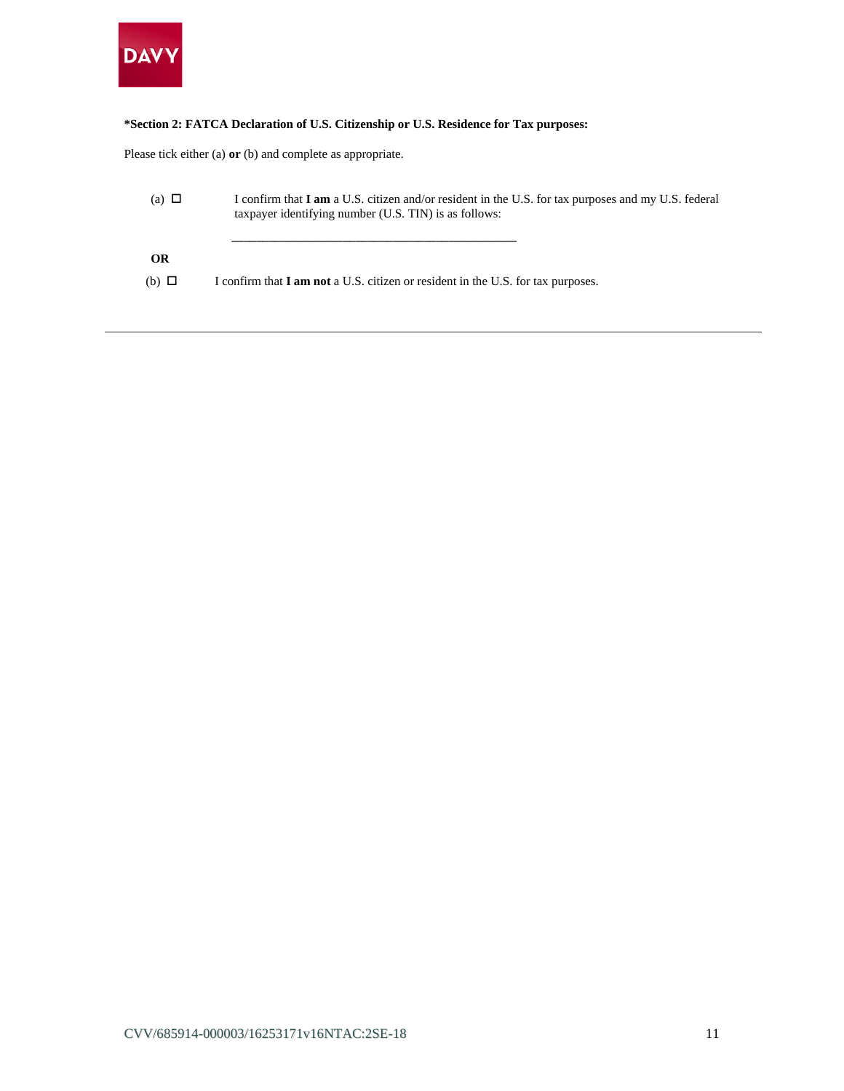

# **\*Section 2: FATCA Declaration of U.S. Citizenship or U.S. Residence for Tax purposes:**

Please tick either (a) **or** (b) and complete as appropriate.

| (a) $\Box$   | I confirm that <b>I am</b> a U.S. citizen and/or resident in the U.S. for tax purposes and my U.S. federal<br>taxpayer identifying number (U.S. TIN) is as follows: |
|--------------|---------------------------------------------------------------------------------------------------------------------------------------------------------------------|
| OR           |                                                                                                                                                                     |
| $(b)$ $\Box$ | I confirm that <b>I am not</b> a U.S. citizen or resident in the U.S. for tax purposes.                                                                             |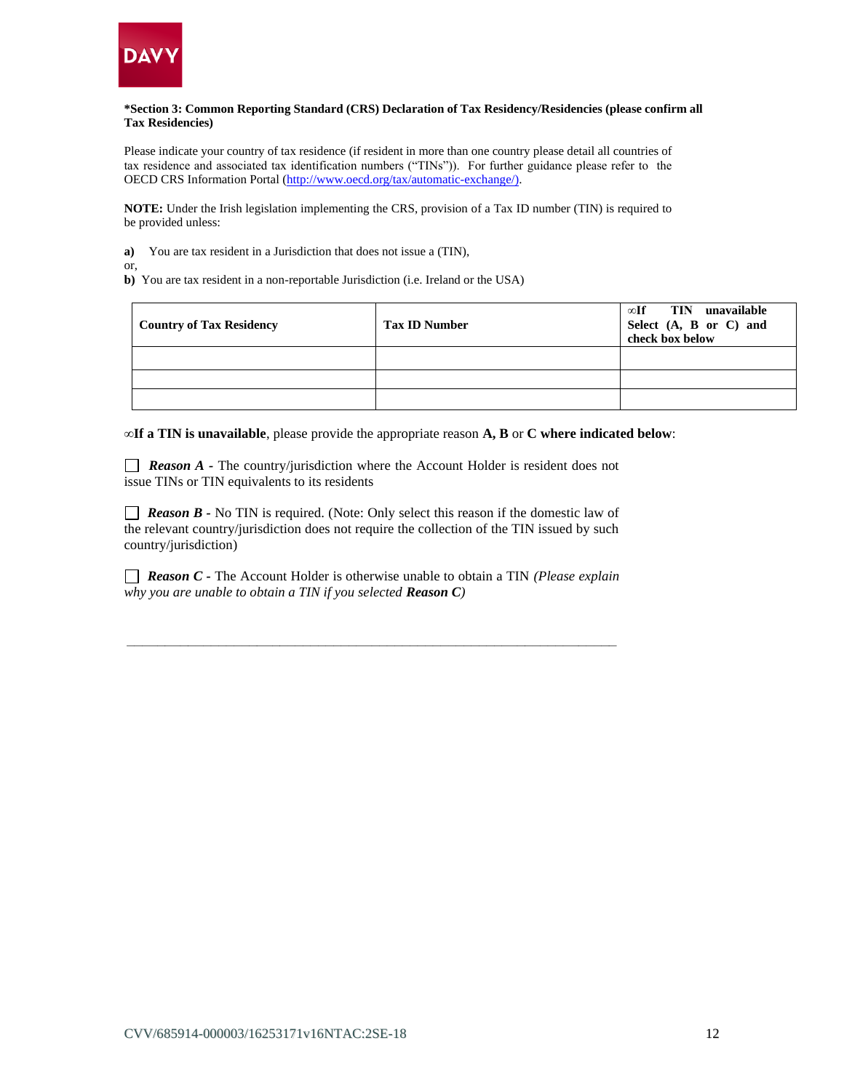

#### **\*Section 3: Common Reporting Standard (CRS) Declaration of Tax Residency/Residencies (please confirm all Tax Residencies)**

Please indicate your country of tax residence (if resident in more than one country please detail all countries of tax residence and associated tax identification numbers ("TINs")). For further guidance please refer to the OECD CRS Information Portal [\(http://www.oecd.org/tax/automatic-exchange/\)](http://www.oecd.org/tax/automatic-exchange/).

**NOTE:** Under the Irish legislation implementing the CRS, provision of a Tax ID number (TIN) is required to be provided unless:

**a)** You are tax resident in a Jurisdiction that does not issue a (TIN),

or,

**b)** You are tax resident in a non-reportable Jurisdiction (i.e. Ireland or the USA)

| <b>Country of Tax Residency</b> | <b>Tax ID Number</b> | $\infty$ If TIN unavailable<br>Select (A, B or C) and<br>check box below |
|---------------------------------|----------------------|--------------------------------------------------------------------------|
|                                 |                      |                                                                          |
|                                 |                      |                                                                          |
|                                 |                      |                                                                          |

**∞If a TIN is unavailable**, please provide the appropriate reason **A, B** or **C where indicated below**:

**Reason A** - The country/jurisdiction where the Account Holder is resident does not issue TINs or TIN equivalents to its residents

*Reason B -* No TIN is required. (Note: Only select this reason if the domestic law of the relevant country/jurisdiction does not require the collection of the TIN issued by such country/jurisdiction)

 *Reason C -* The Account Holder is otherwise unable to obtain a TIN *(Please explain why you are unable to obtain a TIN if you selected Reason C)*

*\_\_\_\_\_\_\_\_\_\_\_\_\_\_\_\_\_\_\_\_\_\_\_\_\_\_\_\_\_\_\_\_\_\_\_\_\_\_\_\_\_\_\_\_\_\_\_\_\_\_\_\_\_\_\_\_\_\_\_\_\_\_\_\_*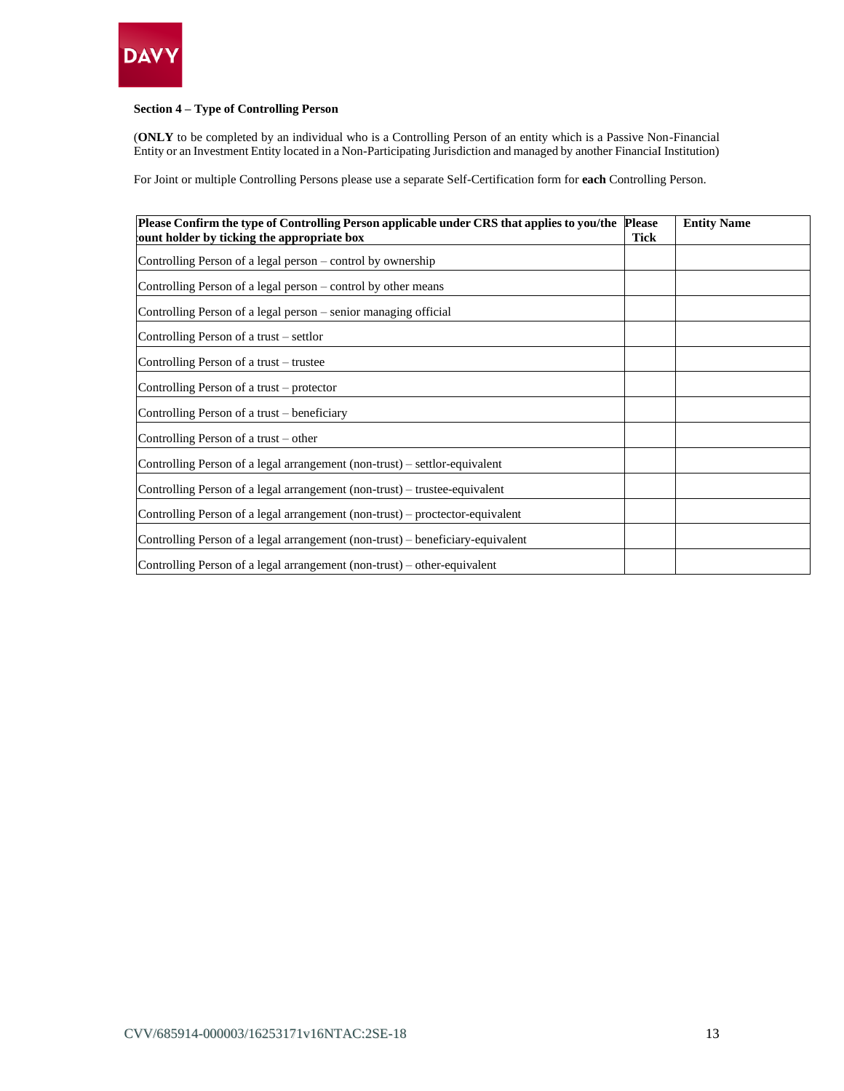

# **Section 4 – Type of Controlling Person**

(**ONLY** to be completed by an individual who is a Controlling Person of an entity which is a Passive Non-Financial Entity or an Investment Entity located in a Non-Participating Jurisdiction and managed by another FinanciaI Institution)

For Joint or multiple Controlling Persons please use a separate Self-Certification form for **each** Controlling Person.

| Please Confirm the type of Controlling Person applicable under CRS that applies to you/the<br>count holder by ticking the appropriate box | <b>Please</b><br><b>Tick</b> | <b>Entity Name</b> |
|-------------------------------------------------------------------------------------------------------------------------------------------|------------------------------|--------------------|
| Controlling Person of a legal person – control by ownership                                                                               |                              |                    |
| Controlling Person of a legal person – control by other means                                                                             |                              |                    |
| Controlling Person of a legal person - senior managing official                                                                           |                              |                    |
| Controlling Person of a trust – settlor                                                                                                   |                              |                    |
| Controlling Person of a trust – trustee                                                                                                   |                              |                    |
| Controlling Person of a trust – protector                                                                                                 |                              |                    |
| Controlling Person of a trust – beneficiary                                                                                               |                              |                    |
| Controlling Person of a trust – other                                                                                                     |                              |                    |
| Controlling Person of a legal arrangement (non-trust) - settlor-equivalent                                                                |                              |                    |
| Controlling Person of a legal arrangement (non-trust) – trustee-equivalent                                                                |                              |                    |
| Controlling Person of a legal arrangement (non-trust) – proctector-equivalent                                                             |                              |                    |
| Controlling Person of a legal arrangement (non-trust) – beneficiary-equivalent                                                            |                              |                    |
| Controlling Person of a legal arrangement (non-trust) – other-equivalent                                                                  |                              |                    |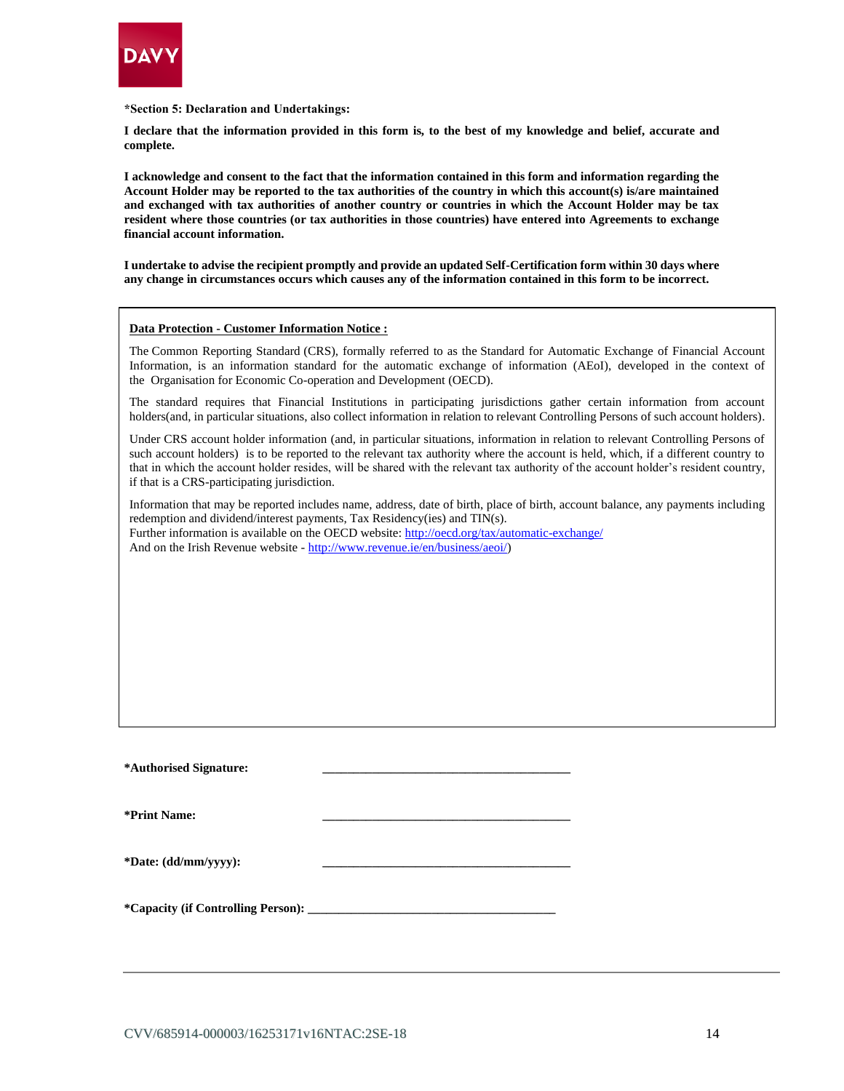

**\*Section 5: Declaration and Undertakings:** 

**I declare that the information provided in this form is, to the best of my knowledge and belief, accurate and complete.**

**I acknowledge and consent to the fact that the information contained in this form and information regarding the Account Holder may be reported to the tax authorities of the country in which this account(s) is/are maintained and exchanged with tax authorities of another country or countries in which the Account Holder may be tax resident where those countries (or tax authorities in those countries) have entered into Agreements to exchange financial account information.** 

**I undertake to advise the recipient promptly and provide an updated Self-Certification form within 30 days where any change in circumstances occurs which causes any of the information contained in this form to be incorrect.**

#### **Data Protection - Customer Information Notice :**

The Common Reporting Standard (CRS), formally referred to as the Standard for Automatic Exchange of Financial Account Information, is an information standard for the automatic exchange of information (AEoI), developed in the context of the Organisation for Economic Co-operation and Development (OECD).

The standard requires that Financial Institutions in participating jurisdictions gather certain information from account holders(and, in particular situations, also collect information in relation to relevant Controlling Persons of such account holders).

Under CRS account holder information (and, in particular situations, information in relation to relevant Controlling Persons of such account holders) is to be reported to the relevant tax authority where the account is held, which, if a different country to that in which the account holder resides, will be shared with the relevant tax authority of the account holder's resident country, if that is a CRS-participating jurisdiction.

Information that may be reported includes name, address, date of birth, place of birth, account balance, any payments including redemption and dividend/interest payments, Tax Residency(ies) and TIN(s). Further information is available on the OECD website:<http://oecd.org/tax/automatic-exchange/>

And on the Irish Revenue website - [http://www.revenue.ie/en/business/aeoi/\)](http://www.revenue.ie/en/business/aeoi/)

**\*Authorised Signature: \_\_\_\_\_\_\_\_\_\_\_\_\_\_\_\_\_\_\_\_\_\_\_\_\_\_\_\_\_\_\_\_\_\_\_\_\_\_\_\_** 

**\*Print Name: \_\_\_\_\_\_\_\_\_\_\_\_\_\_\_\_\_\_\_\_\_\_\_\_\_\_\_\_\_\_\_\_\_\_\_\_\_\_\_\_**

**\*Date: (dd/mm/yyyy): \_\_\_\_\_\_\_\_\_\_\_\_\_\_\_\_\_\_\_\_\_\_\_\_\_\_\_\_\_\_\_\_\_\_\_\_\_\_\_\_**

**\*Capacity (if Controlling Person): \_\_\_\_\_\_\_\_\_\_\_\_\_\_\_\_\_\_\_\_\_\_\_\_\_\_\_\_\_\_\_\_\_\_\_\_\_\_\_\_**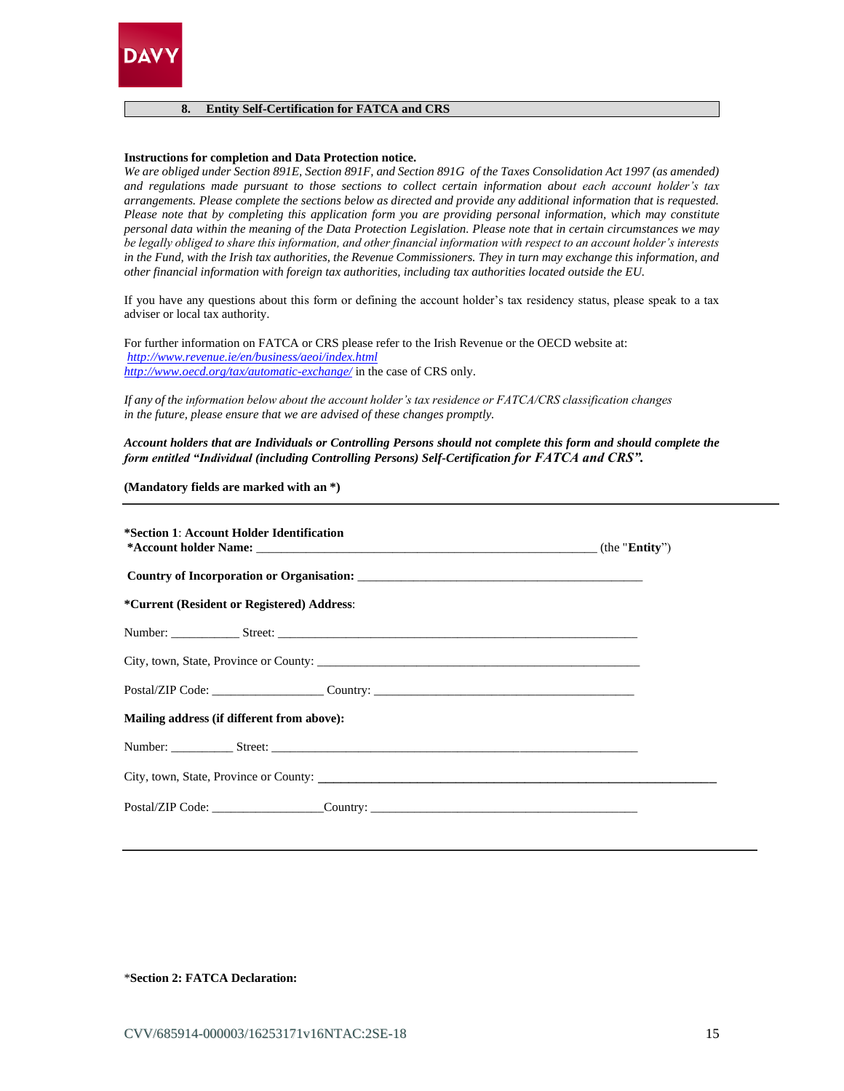

#### **8. Entity Self-Certification for FATCA and CRS**

#### **Instructions for completion and Data Protection notice.**

*We are obliged under Section 891E, Section 891F, and Section 891G of the Taxes Consolidation Act 1997 (as amended) and regulations made pursuant to those sections to collect certain information about each account holder's tax arrangements. Please complete the sections below as directed and provide any additional information that is requested. Please note that by completing this application form you are providing personal information, which may constitute personal data within the meaning of the Data Protection Legislation. Please note that in certain circumstances we may be legally obliged to share this information, and other financial information with respect to an account holder's interests in the Fund, with the Irish tax authorities, the Revenue Commissioners. They in turn may exchange this information, and other financial information with foreign tax authorities, including tax authorities located outside the EU.* 

If you have any questions about this form or defining the account holder's tax residency status, please speak to a tax adviser or local tax authority.

For further information on FATCA or CRS please refer to the Irish Revenue or the OECD website at: *<http://www.revenue.ie/en/business/aeoi/index.html> <http://www.oecd.org/tax/automatic-exchange/>* in the case of CRS only.

*If any of the information below about the account holder's tax residence or FATCA/CRS classification changes in the future, please ensure that we are advised of these changes promptly.*

#### *Account holders that are Individuals or Controlling Persons should not complete this form and should complete the form entitled "Individual (including Controlling Persons) Self-Certification for FATCA and CRS".*

**(Mandatory fields are marked with an \*)**

| *Section 1: Account Holder Identification  |                                                                                  |  |
|--------------------------------------------|----------------------------------------------------------------------------------|--|
|                                            |                                                                                  |  |
| *Current (Resident or Registered) Address: |                                                                                  |  |
|                                            |                                                                                  |  |
|                                            |                                                                                  |  |
|                                            | Postal/ZIP Code: _____________________Country: _________________________________ |  |
| Mailing address (if different from above): |                                                                                  |  |
|                                            |                                                                                  |  |
|                                            |                                                                                  |  |
|                                            | Postal/ZIP Code: _____________________Country: _________________________________ |  |

\***Section 2: FATCA Declaration:**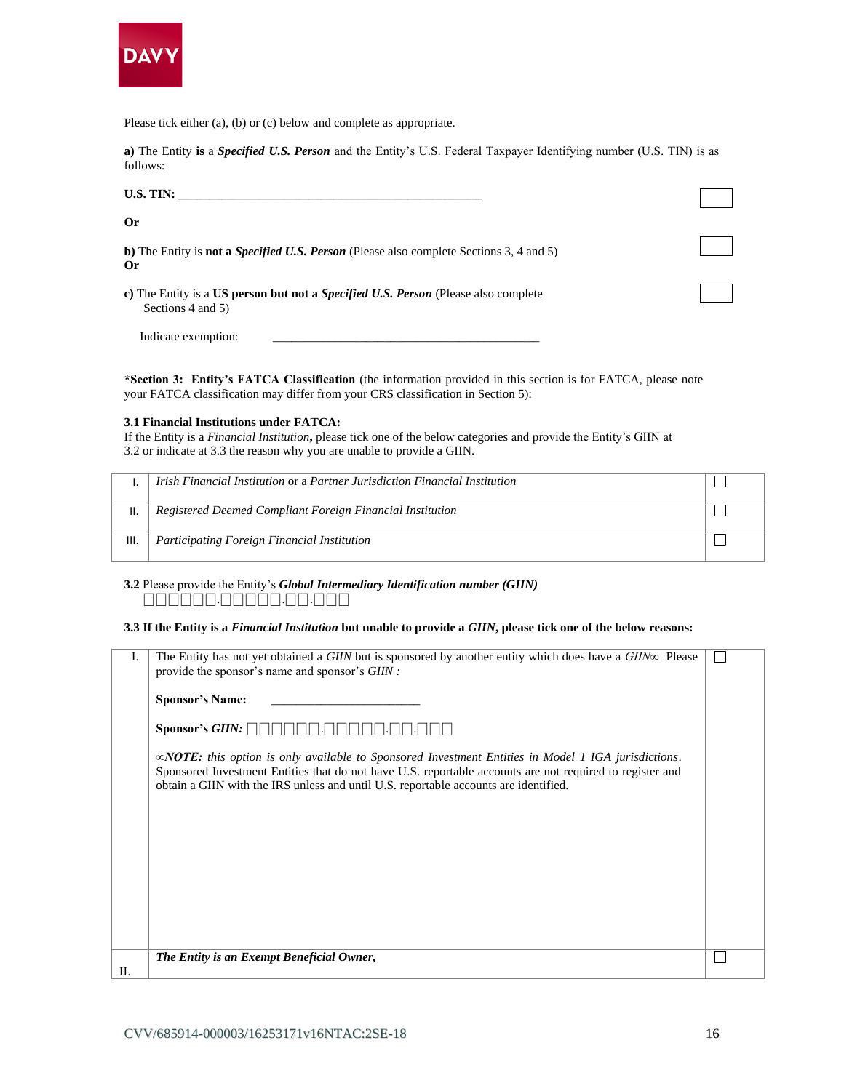

Please tick either (a), (b) or (c) below and complete as appropriate.

**a)** The Entity **is** a *Specified U.S. Person* and the Entity's U.S. Federal Taxpayer Identifying number (U.S. TIN) is as follows:

| U.S. TIN:                                                                                                      |  |
|----------------------------------------------------------------------------------------------------------------|--|
| <b>Or</b>                                                                                                      |  |
| b) The Entity is <b>not a <i>Specified U.S. Person</i></b> (Please also complete Sections 3, 4 and 5)<br>Or    |  |
| c) The Entity is a US person but not a <i>Specified U.S. Person</i> (Please also complete<br>Sections 4 and 5) |  |
| Indicate exemption:                                                                                            |  |

**\*Section 3: Entity's FATCA Classification** (the information provided in this section is for FATCA, please note your FATCA classification may differ from your CRS classification in Section 5):

#### **3.1 Financial Institutions under FATCA:**

If the Entity is a *Financial Institution***,** please tick one of the below categories and provide the Entity's GIIN at 3.2 or indicate at 3.3 the reason why you are unable to provide a GIIN.

|      | Irish Financial Institution or a Partner Jurisdiction Financial Institution |  |
|------|-----------------------------------------------------------------------------|--|
|      | Registered Deemed Compliant Foreign Financial Institution                   |  |
| III. | Participating Foreign Financial Institution                                 |  |

# **3.2** Please provide the Entity's *Global Intermediary Identification number (GIIN)* ⎕⎕⎕⎕⎕⎕.⎕⎕⎕⎕⎕.⎕⎕.⎕⎕⎕

#### **3.3 If the Entity is a** *Financial Institution* **but unable to provide a** *GIIN***, please tick one of the below reasons:**

| L.      | The Entity has not yet obtained a GIIN but is sponsored by another entity which does have a $GIIN\infty$ Please<br>provide the sponsor's name and sponsor's GIIN :<br><b>Sponsor's Name:</b><br>Sponsor's GIIN: $\Box$<br>$\infty$ <b>NOTE:</b> this option is only available to Sponsored Investment Entities in Model 1 IGA jurisdictions.<br>Sponsored Investment Entities that do not have U.S. reportable accounts are not required to register and<br>obtain a GIIN with the IRS unless and until U.S. reportable accounts are identified. |  |
|---------|--------------------------------------------------------------------------------------------------------------------------------------------------------------------------------------------------------------------------------------------------------------------------------------------------------------------------------------------------------------------------------------------------------------------------------------------------------------------------------------------------------------------------------------------------|--|
| $\Pi$ . | The Entity is an Exempt Beneficial Owner,                                                                                                                                                                                                                                                                                                                                                                                                                                                                                                        |  |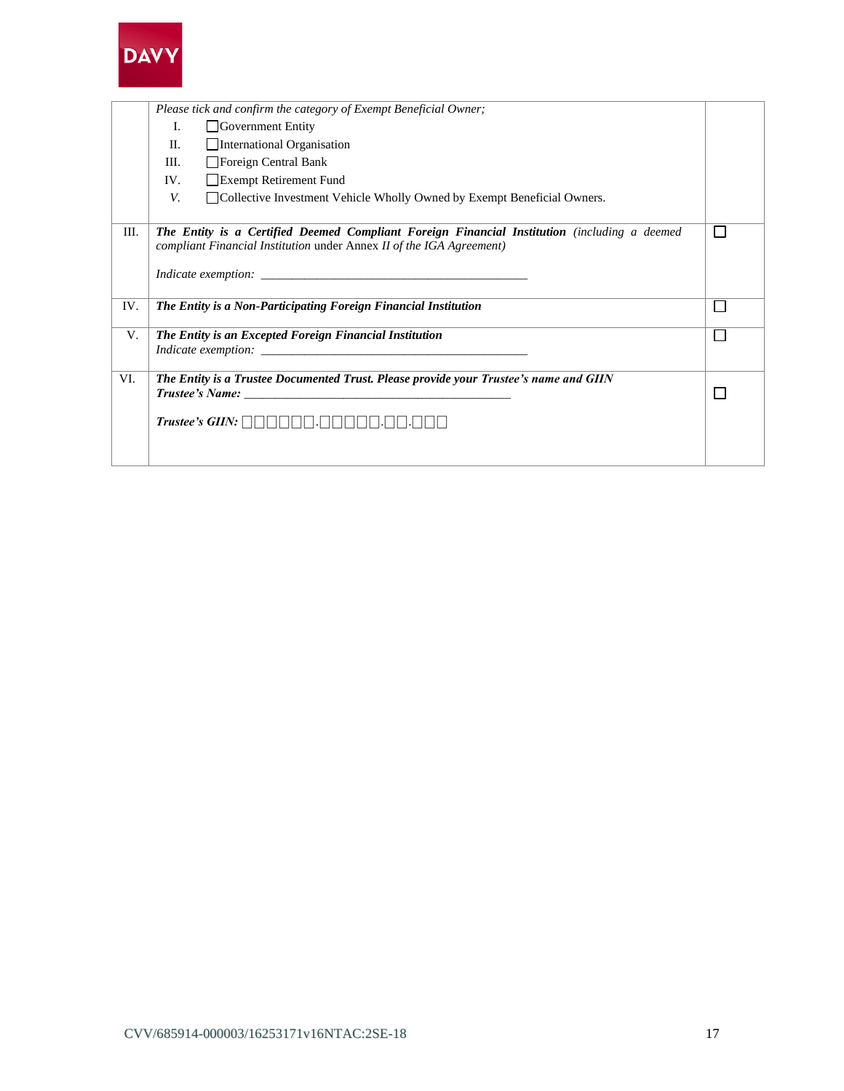

|     | Please tick and confirm the category of Exempt Beneficial Owner;                                                                                                     |  |  |
|-----|----------------------------------------------------------------------------------------------------------------------------------------------------------------------|--|--|
|     | I.<br>$\Box$ Government Entity                                                                                                                                       |  |  |
|     | International Organisation<br>$\Pi$ .                                                                                                                                |  |  |
|     | Foreign Central Bank<br>III.                                                                                                                                         |  |  |
|     | Exempt Retirement Fund<br>IV.                                                                                                                                        |  |  |
|     | V.<br>□ Collective Investment Vehicle Wholly Owned by Exempt Beneficial Owners.                                                                                      |  |  |
|     |                                                                                                                                                                      |  |  |
| Ш.  | The Entity is a Certified Deemed Compliant Foreign Financial Institution (including a deemed<br>compliant Financial Institution under Annex II of the IGA Agreement) |  |  |
|     |                                                                                                                                                                      |  |  |
|     | <i>Indicate exemption:</i>                                                                                                                                           |  |  |
| IV. | The Entity is a Non-Participating Foreign Financial Institution                                                                                                      |  |  |
| V.  | The Entity is an Excepted Foreign Financial Institution                                                                                                              |  |  |
|     |                                                                                                                                                                      |  |  |
| VI. |                                                                                                                                                                      |  |  |
|     | The Entity is a Trustee Documented Trust. Please provide your Trustee's name and GIIN                                                                                |  |  |
|     |                                                                                                                                                                      |  |  |
|     |                                                                                                                                                                      |  |  |
|     |                                                                                                                                                                      |  |  |
|     |                                                                                                                                                                      |  |  |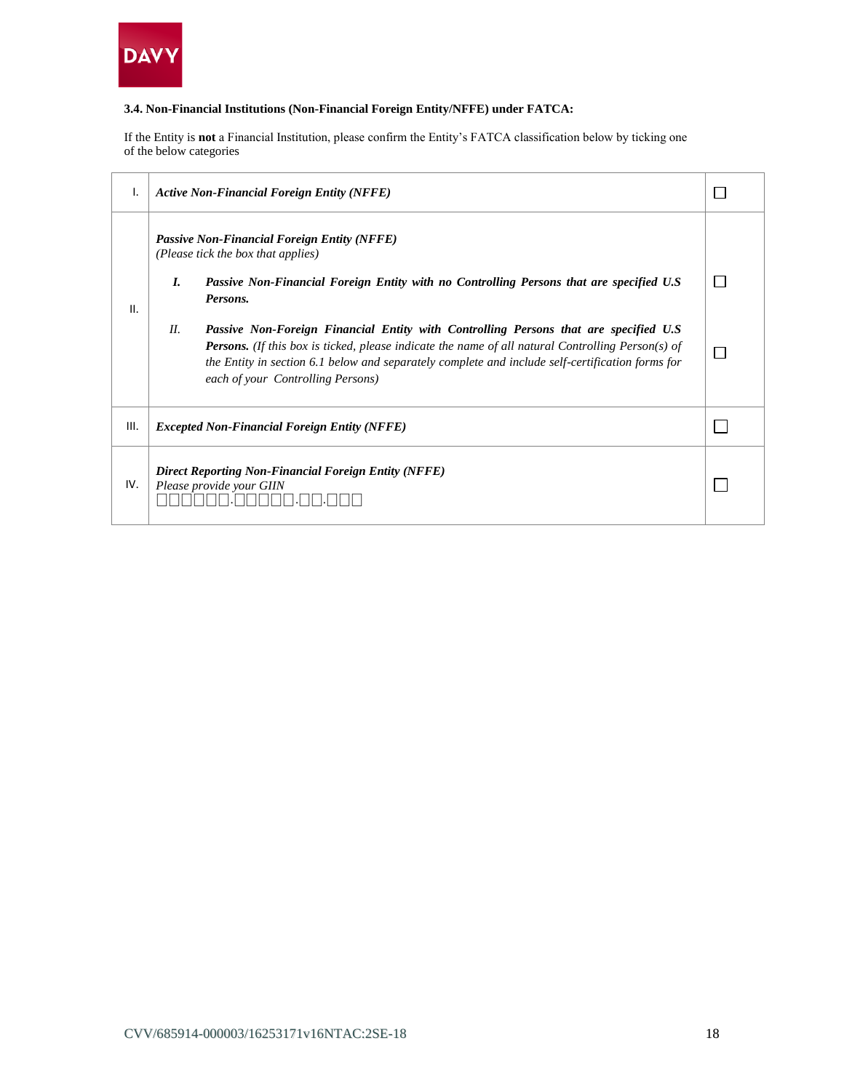

# **3.4. Non-Financial Institutions (Non-Financial Foreign Entity/NFFE) under FATCA:**

If the Entity is **not** a Financial Institution, please confirm the Entity's FATCA classification below by ticking one of the below categories

| ι.   |                                                                                  | <b>Active Non-Financial Foreign Entity (NFFE)</b>                                                                                                                                                                                                                                                                                                     |  |
|------|----------------------------------------------------------------------------------|-------------------------------------------------------------------------------------------------------------------------------------------------------------------------------------------------------------------------------------------------------------------------------------------------------------------------------------------------------|--|
|      | L.                                                                               | <b>Passive Non-Financial Foreign Entity (NFFE)</b><br>(Please tick the box that applies)<br>Passive Non-Financial Foreign Entity with no Controlling Persons that are specified U.S                                                                                                                                                                   |  |
| II.  | H.                                                                               | Persons.<br>Passive Non-Foreign Financial Entity with Controlling Persons that are specified U.S<br><b>Persons.</b> (If this box is ticked, please indicate the name of all natural Controlling Person(s) of<br>the Entity in section 6.1 below and separately complete and include self-certification forms for<br>each of your Controlling Persons) |  |
| III. |                                                                                  | <i>Excepted Non-Financial Foreign Entity (NFFE)</i>                                                                                                                                                                                                                                                                                                   |  |
| IV.  | Direct Reporting Non-Financial Foreign Entity (NFFE)<br>Please provide your GIIN |                                                                                                                                                                                                                                                                                                                                                       |  |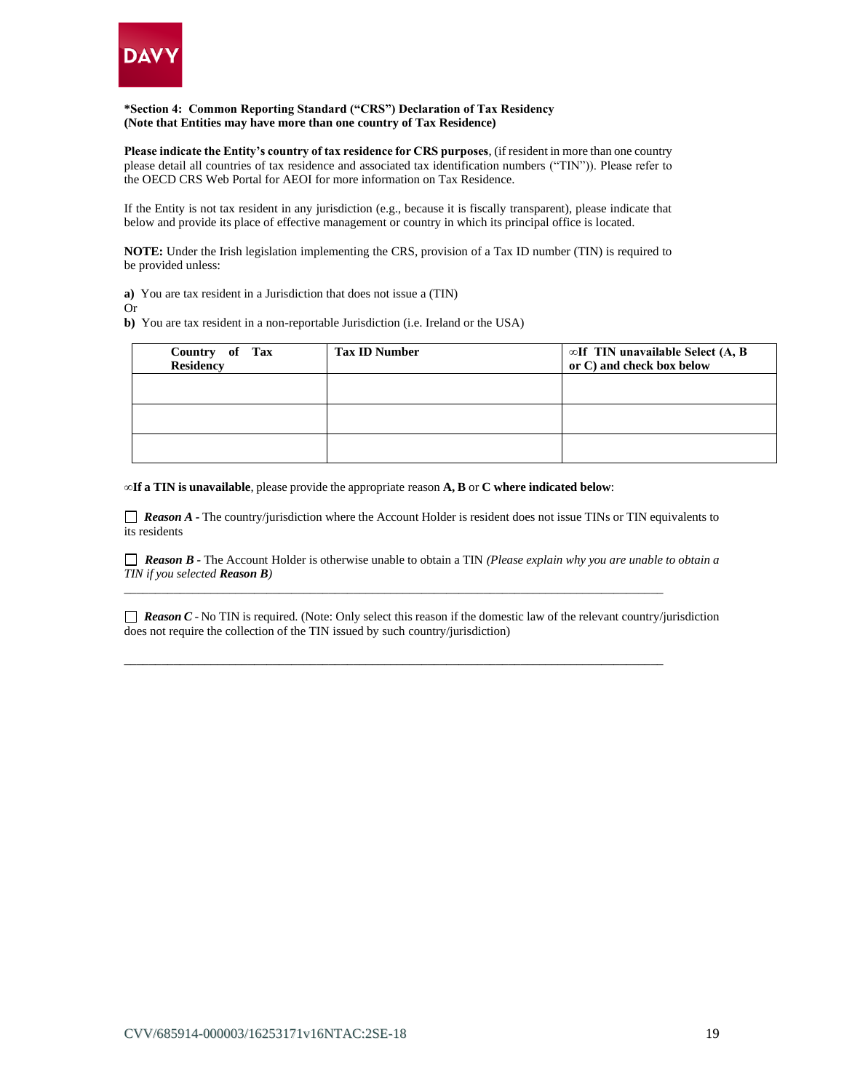

#### **\*Section 4: Common Reporting Standard ("CRS") Declaration of Tax Residency (Note that Entities may have more than one country of Tax Residence)**

**Please indicate the Entity's country of tax residence for CRS purposes**, (if resident in more than one country please detail all countries of tax residence and associated tax identification numbers ("TIN")). Please refer to the OECD CRS Web Portal for AEOI for more information on Tax Residence.

If the Entity is not tax resident in any jurisdiction (e.g., because it is fiscally transparent), please indicate that below and provide its place of effective management or country in which its principal office is located.

**NOTE:** Under the Irish legislation implementing the CRS, provision of a Tax ID number (TIN) is required to be provided unless:

**a)** You are tax resident in a Jurisdiction that does not issue a (TIN)

Or

**b)** You are tax resident in a non-reportable Jurisdiction (i.e. Ireland or the USA)

| Country of Tax<br><b>Residency</b> | <b>Tax ID Number</b> | $\infty$ If TIN unavailable Select (A, B<br>or C) and check box below |
|------------------------------------|----------------------|-----------------------------------------------------------------------|
|                                    |                      |                                                                       |
|                                    |                      |                                                                       |
|                                    |                      |                                                                       |

**∞If a TIN is unavailable**, please provide the appropriate reason **A, B** or **C where indicated below**:

*Reason A* - The country/jurisdiction where the Account Holder is resident does not issue TINs or TIN equivalents to its residents

 *Reason B -* The Account Holder is otherwise unable to obtain a TIN *(Please explain why you are unable to obtain a TIN if you selected Reason B)*

*\_\_\_\_\_\_\_\_\_\_\_\_\_\_\_\_\_\_\_\_\_\_\_\_\_\_\_\_\_\_\_\_\_\_\_\_\_\_\_\_\_\_\_\_\_\_\_\_\_\_\_\_\_\_\_\_\_\_\_\_\_\_\_\_\_\_\_\_\_\_\_\_\_\_\_\_\_\_\_\_\_\_\_\_\_\_\_* 

*\_\_\_\_\_\_\_\_\_\_\_\_\_\_\_\_\_\_\_\_\_\_\_\_\_\_\_\_\_\_\_\_\_\_\_\_\_\_\_\_\_\_\_\_\_\_\_\_\_\_\_\_\_\_\_\_\_\_\_\_\_\_\_\_\_\_\_\_\_\_\_\_\_\_\_\_\_\_\_\_\_\_\_\_\_\_\_*

 $\Box$  **Reason**  $C$  - No TIN is required. (Note: Only select this reason if the domestic law of the relevant country/jurisdiction does not require the collection of the TIN issued by such country/jurisdiction)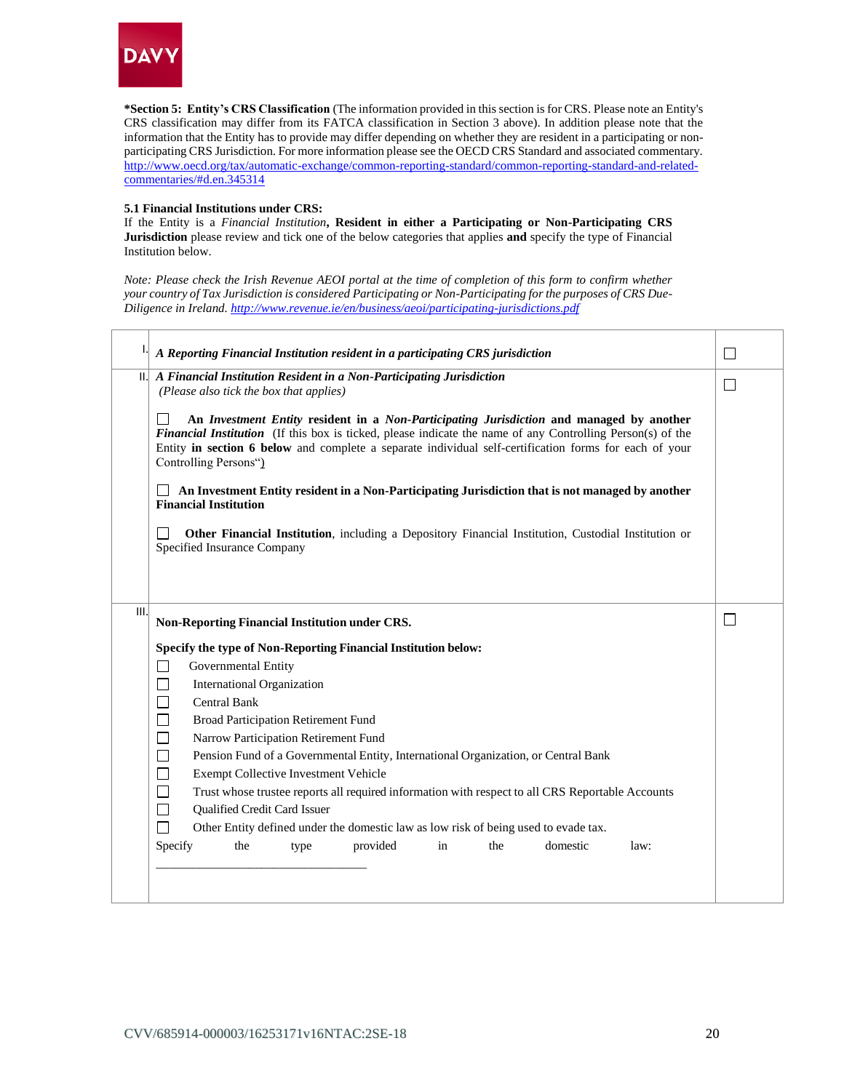

**\*Section 5: Entity's CRS Classification** (The information provided in this section is for CRS. Please note an Entity's CRS classification may differ from its FATCA classification in Section 3 above). In addition please note that the information that the Entity has to provide may differ depending on whether they are resident in a participating or nonparticipating CRS Jurisdiction. For more information please see the OECD CRS Standard and associated commentary. [http://www.oecd.org/tax/automatic-exchange/common-reporting-standard/common-reporting-standard-and-related](http://www.oecd.org/tax/automatic-exchange/common-reporting-standard/common-reporting-standard-and-related-commentaries/#d.en.345314)[commentaries/#d.en.345314](http://www.oecd.org/tax/automatic-exchange/common-reporting-standard/common-reporting-standard-and-related-commentaries/#d.en.345314)

#### **5.1 Financial Institutions under CRS:**

If the Entity is a *Financial Institution***, Resident in either a Participating or Non-Participating CRS Jurisdiction** please review and tick one of the below categories that applies **and** specify the type of Financial Institution below.

*Note: Please check the Irish Revenue AEOI portal at the time of completion of this form to confirm whether your country of Tax Jurisdiction is considered Participating or Non-Participating for the purposes of CRS Due-Diligence in Ireland[. http://www.revenue.ie/en/business/aeoi/participating-jurisdictions.pdf](http://www.revenue.ie/en/business/aeoi/participating-jurisdictions.pdf)*

| A Reporting Financial Institution resident in a participating CRS jurisdiction                                          |                                                                                                                                                                                                                                                                                                                  |
|-------------------------------------------------------------------------------------------------------------------------|------------------------------------------------------------------------------------------------------------------------------------------------------------------------------------------------------------------------------------------------------------------------------------------------------------------|
| $  .  $ A Financial Institution Resident in a Non-Participating Jurisdiction<br>(Please also tick the box that applies) |                                                                                                                                                                                                                                                                                                                  |
| Controlling Persons")                                                                                                   | An Investment Entity resident in a Non-Participating Jurisdiction and managed by another<br>Financial Institution (If this box is ticked, please indicate the name of any Controlling Person(s) of the<br>Entity in section 6 below and complete a separate individual self-certification forms for each of your |
| <b>Financial Institution</b>                                                                                            | An Investment Entity resident in a Non-Participating Jurisdiction that is not managed by another                                                                                                                                                                                                                 |
| Specified Insurance Company                                                                                             | Other Financial Institution, including a Depository Financial Institution, Custodial Institution or                                                                                                                                                                                                              |
|                                                                                                                         |                                                                                                                                                                                                                                                                                                                  |
| III.<br><b>Non-Reporting Financial Institution under CRS.</b>                                                           |                                                                                                                                                                                                                                                                                                                  |
|                                                                                                                         |                                                                                                                                                                                                                                                                                                                  |
|                                                                                                                         |                                                                                                                                                                                                                                                                                                                  |
| Specify the type of Non-Reporting Financial Institution below:                                                          |                                                                                                                                                                                                                                                                                                                  |
| $\Box$<br>Governmental Entity                                                                                           |                                                                                                                                                                                                                                                                                                                  |
| □<br><b>International Organization</b>                                                                                  |                                                                                                                                                                                                                                                                                                                  |
| $\Box$<br><b>Central Bank</b>                                                                                           |                                                                                                                                                                                                                                                                                                                  |
| $\Box$<br>Broad Participation Retirement Fund                                                                           |                                                                                                                                                                                                                                                                                                                  |
| $\Box$<br>Narrow Participation Retirement Fund                                                                          |                                                                                                                                                                                                                                                                                                                  |
| $\Box$                                                                                                                  | Pension Fund of a Governmental Entity, International Organization, or Central Bank                                                                                                                                                                                                                               |
| $\Box$<br>Exempt Collective Investment Vehicle                                                                          |                                                                                                                                                                                                                                                                                                                  |
| $\Box$                                                                                                                  | Trust whose trustee reports all required information with respect to all CRS Reportable Accounts                                                                                                                                                                                                                 |
| $\Box$<br>Qualified Credit Card Issuer<br>П                                                                             |                                                                                                                                                                                                                                                                                                                  |
| Specify<br>the<br>provided<br>type                                                                                      | Other Entity defined under the domestic law as low risk of being used to evade tax.<br>domestic<br>in<br>the<br>law:                                                                                                                                                                                             |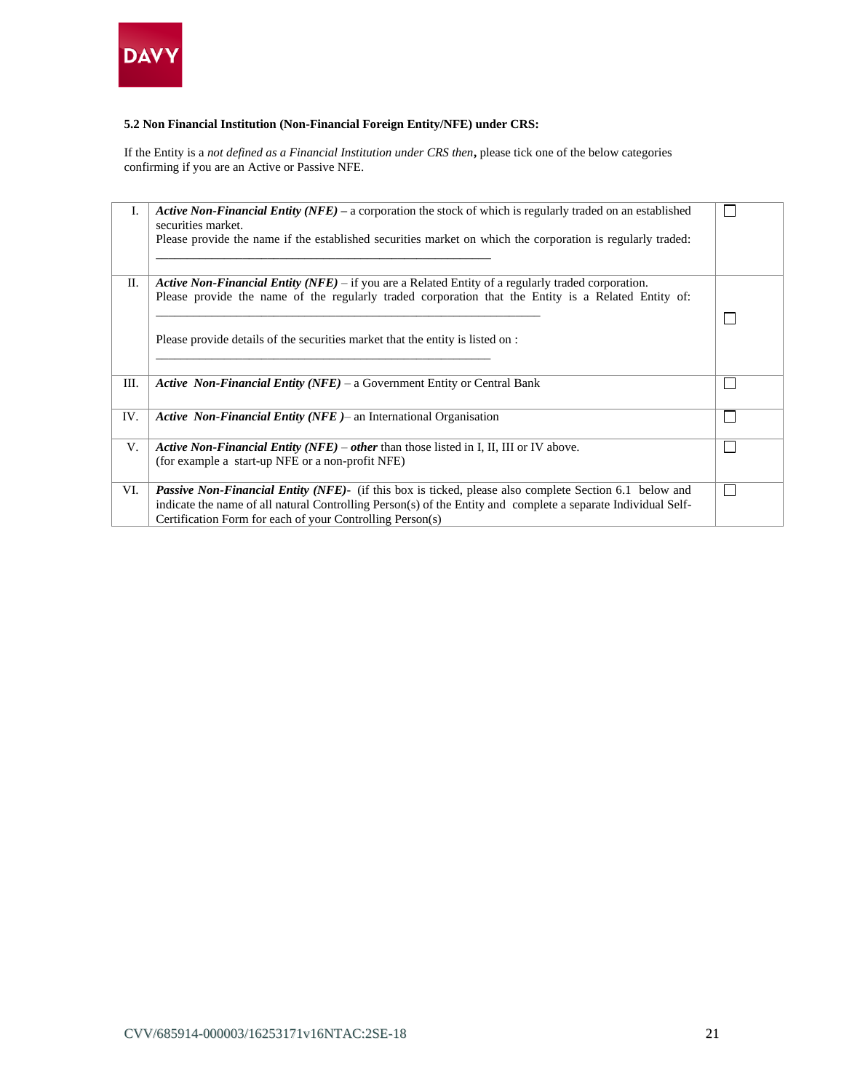

# **5.2 Non Financial Institution (Non-Financial Foreign Entity/NFE) under CRS:**

If the Entity is a *not defined as a Financial Institution under CRS then***,** please tick one of the below categories confirming if you are an Active or Passive NFE.

| I.  | <b>Active Non-Financial Entity (NFE)</b> – a corporation the stock of which is regularly traded on an established<br>securities market. |  |
|-----|-----------------------------------------------------------------------------------------------------------------------------------------|--|
|     | Please provide the name if the established securities market on which the corporation is regularly traded:                              |  |
| П.  | <b>Active Non-Financial Entity (NFE)</b> – if you are a Related Entity of a regularly traded corporation.                               |  |
|     | Please provide the name of the regularly traded corporation that the Entity is a Related Entity of:                                     |  |
|     |                                                                                                                                         |  |
|     |                                                                                                                                         |  |
|     | Please provide details of the securities market that the entity is listed on :                                                          |  |
|     |                                                                                                                                         |  |
|     |                                                                                                                                         |  |
| Ш.  | <b>Active Non-Financial Entity (NFE)</b> – a Government Entity or Central Bank                                                          |  |
|     |                                                                                                                                         |  |
| IV. | Active Non-Financial Entity (NFE) – an International Organisation                                                                       |  |
| V.  | Active Non-Financial Entity (NFE) – other than those listed in I, II, III or IV above.                                                  |  |
|     | (for example a start-up NFE or a non-profit NFE)                                                                                        |  |
|     |                                                                                                                                         |  |
| VI. | Passive Non-Financial Entity (NFE)- (if this box is ticked, please also complete Section 6.1 below and                                  |  |
|     | indicate the name of all natural Controlling Person(s) of the Entity and complete a separate Individual Self-                           |  |
|     | Certification Form for each of your Controlling Person(s)                                                                               |  |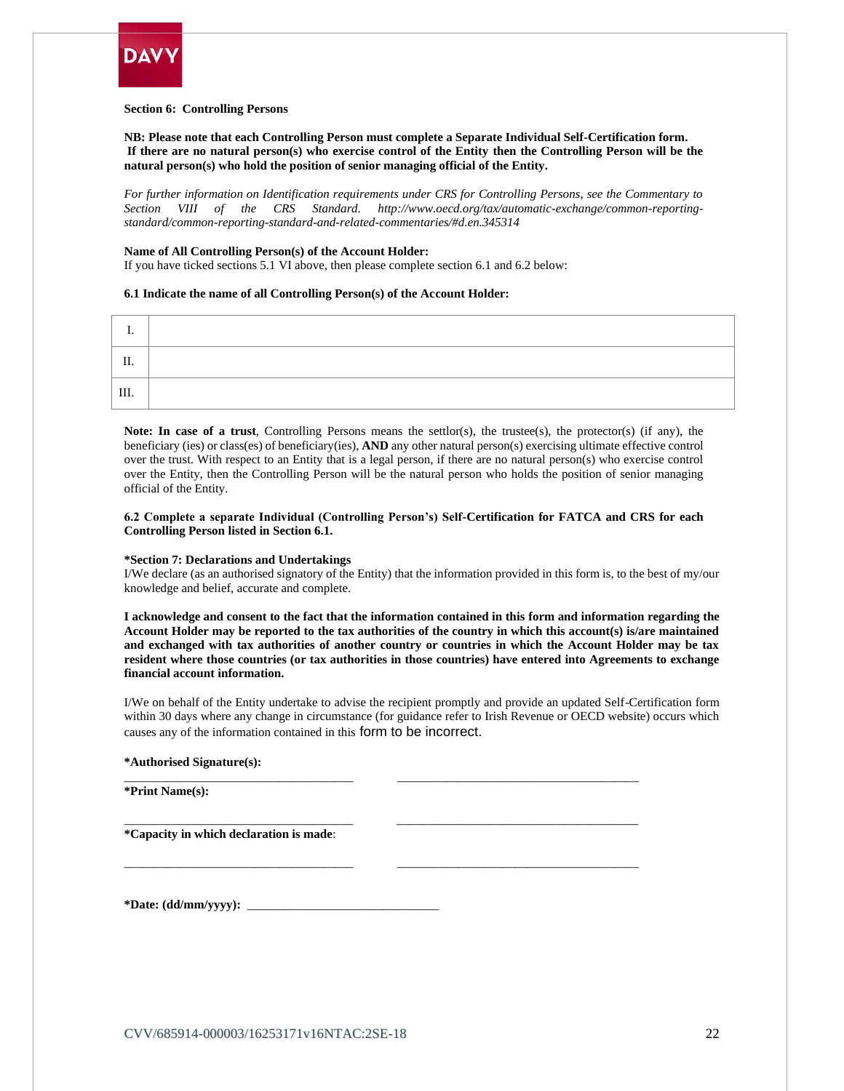

#### **Section 6: Controlling Persons**

**NB: Please note that each Controlling Person must complete a Separate Individual Self-Certification form. If there are no natural person(s) who exercise control of the Entity then the Controlling Person will be the natural person(s) who hold the position of senior managing official of the Entity.** 

*For further information on Identification requirements under CRS for Controlling Persons, see the Commentary to Section VIII of the CRS Standard. [http://www.oecd.org/tax/automatic-exchange/common-reporting](http://www.oecd.org/tax/automatic-exchange/common-reporting-standard/common-reporting-standard-and-related-commentaries/#d.en.345314)[standard/common-reporting-standard-and-related-commentaries/#d.en.345314](http://www.oecd.org/tax/automatic-exchange/common-reporting-standard/common-reporting-standard-and-related-commentaries/#d.en.345314)*

#### **Name of All Controlling Person(s) of the Account Holder:**

If you have ticked sections 5.1 VI above, then please complete section 6.1 and 6.2 below:

#### **6.1 Indicate the name of all Controlling Person(s) of the Account Holder:**

| ш. |  |
|----|--|
| Ш. |  |

Note: In case of a trust, Controlling Persons means the settlor(s), the trustee(s), the protector(s) (if any), the beneficiary (ies) or class(es) of beneficiary(ies), **AND** any other natural person(s) exercising ultimate effective control over the trust. With respect to an Entity that is a legal person, if there are no natural person(s) who exercise control over the Entity, then the Controlling Person will be the natural person who holds the position of senior managing official of the Entity.

#### **6.2 Complete a separate Individual (Controlling Person's) Self-Certification for FATCA and CRS for each Controlling Person listed in Section 6.1.**

#### **\*Section 7: Declarations and Undertakings**

I/We declare (as an authorised signatory of the Entity) that the information provided in this form is, to the best of my/our knowledge and belief, accurate and complete.

**I acknowledge and consent to the fact that the information contained in this form and information regarding the Account Holder may be reported to the tax authorities of the country in which this account(s) is/are maintained and exchanged with tax authorities of another country or countries in which the Account Holder may be tax resident where those countries (or tax authorities in those countries) have entered into Agreements to exchange financial account information.**

I/We on behalf of the Entity undertake to advise the recipient promptly and provide an updated Self-Certification form within 30 days where any change in circumstance (for guidance refer to Irish Revenue or OECD website) occurs which causes any of the information contained in this form to be incorrect.

\_\_\_\_\_\_\_\_\_\_\_\_\_\_\_\_\_\_\_\_\_\_\_\_\_\_\_\_\_\_\_\_\_\_\_\_\_ \_\_\_\_\_\_\_\_\_\_\_\_\_\_\_\_\_\_\_\_\_\_\_\_\_\_\_\_\_\_\_\_\_\_\_\_\_\_\_

\_\_\_\_\_\_\_\_\_\_\_\_\_\_\_\_\_\_\_\_\_\_\_\_\_\_\_\_\_\_\_\_\_\_\_\_\_ \_\_\_\_\_\_\_\_\_\_\_\_\_\_\_\_\_\_\_\_\_\_\_\_\_\_\_\_\_\_\_\_\_\_\_\_\_\_\_

\_\_\_\_\_\_\_\_\_\_\_\_\_\_\_\_\_\_\_\_\_\_\_\_\_\_\_\_\_\_\_\_\_\_\_\_\_ \_\_\_\_\_\_\_\_\_\_\_\_\_\_\_\_\_\_\_\_\_\_\_\_\_\_\_\_\_\_\_\_\_\_\_\_\_\_\_

#### **\*Authorised Signature(s):**

**\*Print Name(s):** 

**\*Capacity in which declaration is made**:

**\*Date: (dd/mm/yyyy):** \_\_\_\_\_\_\_\_\_\_\_\_\_\_\_\_\_\_\_\_\_\_\_\_\_\_\_\_\_\_\_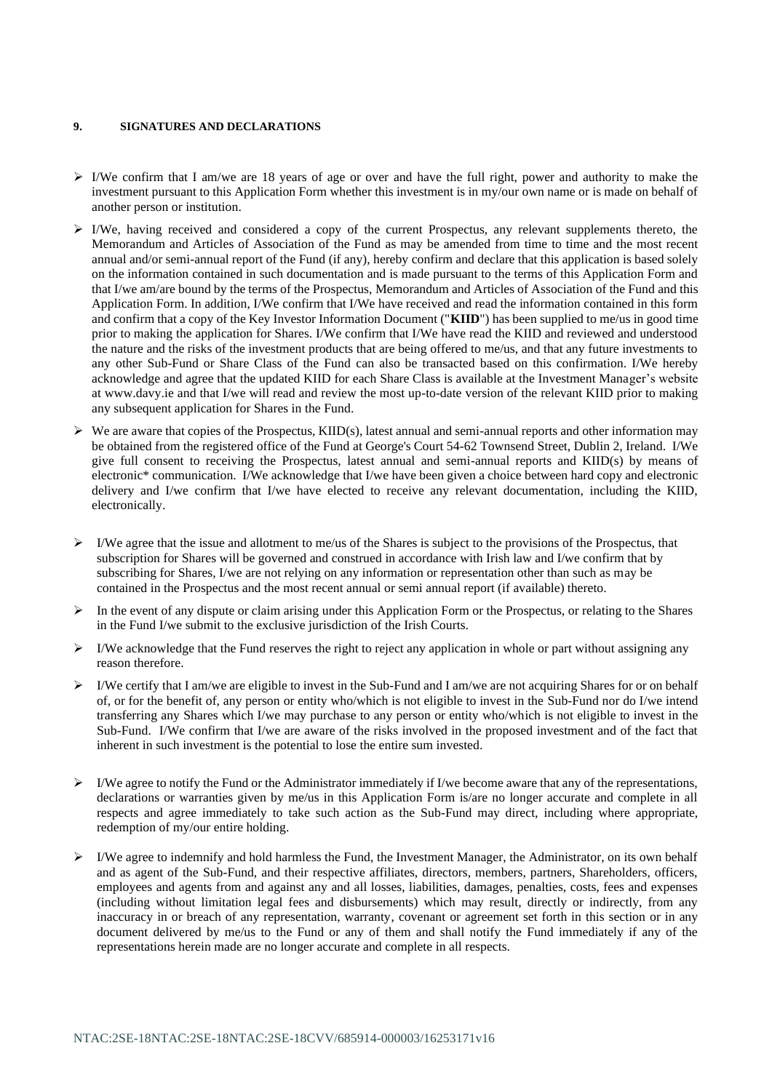# **9. SIGNATURES AND DECLARATIONS**

- $\triangleright$  I/We confirm that I am/we are 18 years of age or over and have the full right, power and authority to make the investment pursuant to this Application Form whether this investment is in my/our own name or is made on behalf of another person or institution.
- ➢ I/We, having received and considered a copy of the current Prospectus, any relevant supplements thereto, the Memorandum and Articles of Association of the Fund as may be amended from time to time and the most recent annual and/or semi-annual report of the Fund (if any), hereby confirm and declare that this application is based solely on the information contained in such documentation and is made pursuant to the terms of this Application Form and that I/we am/are bound by the terms of the Prospectus, Memorandum and Articles of Association of the Fund and this Application Form. In addition, I/We confirm that I/We have received and read the information contained in this form and confirm that a copy of the Key Investor Information Document ("**KIID**") has been supplied to me/us in good time prior to making the application for Shares. I/We confirm that I/We have read the KIID and reviewed and understood the nature and the risks of the investment products that are being offered to me/us, and that any future investments to any other Sub-Fund or Share Class of the Fund can also be transacted based on this confirmation. I/We hereby acknowledge and agree that the updated KIID for each Share Class is available at the Investment Manager's website at www.davy.ie and that I/we will read and review the most up-to-date version of the relevant KIID prior to making any subsequent application for Shares in the Fund.
- $\triangleright$  We are aware that copies of the Prospectus, KIID(s), latest annual and semi-annual reports and other information may be obtained from the registered office of the Fund at George's Court 54-62 Townsend Street, Dublin 2, Ireland. I/We give full consent to receiving the Prospectus, latest annual and semi-annual reports and KIID(s) by means of electronic\* communication. I/We acknowledge that I/we have been given a choice between hard copy and electronic delivery and I/we confirm that I/we have elected to receive any relevant documentation, including the KIID, electronically.
- $\triangleright$  I/We agree that the issue and allotment to me/us of the Shares is subject to the provisions of the Prospectus, that subscription for Shares will be governed and construed in accordance with Irish law and I/we confirm that by subscribing for Shares, I/we are not relying on any information or representation other than such as may be contained in the Prospectus and the most recent annual or semi annual report (if available) thereto.
- $\triangleright$  In the event of any dispute or claim arising under this Application Form or the Prospectus, or relating to the Shares in the Fund I/we submit to the exclusive jurisdiction of the Irish Courts.
- ➢ I/We acknowledge that the Fund reserves the right to reject any application in whole or part without assigning any reason therefore.
- $\triangleright$  I/We certify that I am/we are eligible to invest in the Sub-Fund and I am/we are not acquiring Shares for or on behalf of, or for the benefit of, any person or entity who/which is not eligible to invest in the Sub-Fund nor do I/we intend transferring any Shares which I/we may purchase to any person or entity who/which is not eligible to invest in the Sub-Fund. I/We confirm that I/we are aware of the risks involved in the proposed investment and of the fact that inherent in such investment is the potential to lose the entire sum invested.
- $\triangleright$  I/We agree to notify the Fund or the Administrator immediately if I/we become aware that any of the representations, declarations or warranties given by me/us in this Application Form is/are no longer accurate and complete in all respects and agree immediately to take such action as the Sub-Fund may direct, including where appropriate, redemption of my/our entire holding.
- $\triangleright$  I/We agree to indemnify and hold harmless the Fund, the Investment Manager, the Administrator, on its own behalf and as agent of the Sub-Fund, and their respective affiliates, directors, members, partners, Shareholders, officers, employees and agents from and against any and all losses, liabilities, damages, penalties, costs, fees and expenses (including without limitation legal fees and disbursements) which may result, directly or indirectly, from any inaccuracy in or breach of any representation, warranty, covenant or agreement set forth in this section or in any document delivered by me/us to the Fund or any of them and shall notify the Fund immediately if any of the representations herein made are no longer accurate and complete in all respects.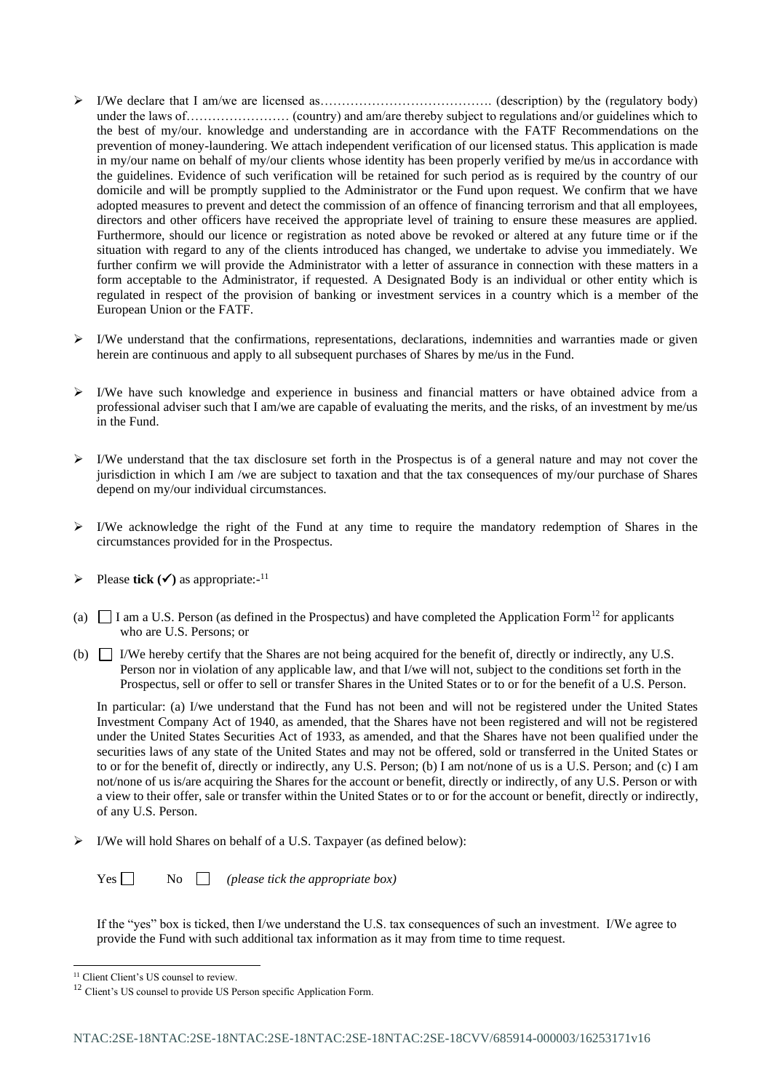- ➢ I/We declare that I am/we are licensed as…………………………………. (description) by the (regulatory body) under the laws of…………………… (country) and am/are thereby subject to regulations and/or guidelines which to the best of my/our. knowledge and understanding are in accordance with the FATF Recommendations on the prevention of money-laundering. We attach independent verification of our licensed status. This application is made in my/our name on behalf of my/our clients whose identity has been properly verified by me/us in accordance with the guidelines. Evidence of such verification will be retained for such period as is required by the country of our domicile and will be promptly supplied to the Administrator or the Fund upon request. We confirm that we have adopted measures to prevent and detect the commission of an offence of financing terrorism and that all employees, directors and other officers have received the appropriate level of training to ensure these measures are applied. Furthermore, should our licence or registration as noted above be revoked or altered at any future time or if the situation with regard to any of the clients introduced has changed, we undertake to advise you immediately. We further confirm we will provide the Administrator with a letter of assurance in connection with these matters in a form acceptable to the Administrator, if requested. A Designated Body is an individual or other entity which is regulated in respect of the provision of banking or investment services in a country which is a member of the European Union or the FATF.
- $\triangleright$  I/We understand that the confirmations, representations, declarations, indemnities and warranties made or given herein are continuous and apply to all subsequent purchases of Shares by me/us in the Fund.
- $\triangleright$  I/We have such knowledge and experience in business and financial matters or have obtained advice from a professional adviser such that I am/we are capable of evaluating the merits, and the risks, of an investment by me/us in the Fund.
- $\triangleright$  I/We understand that the tax disclosure set forth in the Prospectus is of a general nature and may not cover the jurisdiction in which I am /we are subject to taxation and that the tax consequences of my/our purchase of Shares depend on my/our individual circumstances.
- ➢ I/We acknowledge the right of the Fund at any time to require the mandatory redemption of Shares in the circumstances provided for in the Prospectus.
- $\triangleright$  Please **tick** ( $\checkmark$ ) as appropriate:-<sup>11</sup>
- (a)  $\Box$  I am a U.S. Person (as defined in the Prospectus) and have completed the Application Form<sup>12</sup> for applicants who are U.S. Persons; or
- (b)  $\Box$  I/We hereby certify that the Shares are not being acquired for the benefit of, directly or indirectly, any U.S. Person nor in violation of any applicable law, and that I/we will not, subject to the conditions set forth in the Prospectus, sell or offer to sell or transfer Shares in the United States or to or for the benefit of a U.S. Person.

In particular: (a) I/we understand that the Fund has not been and will not be registered under the United States Investment Company Act of 1940, as amended, that the Shares have not been registered and will not be registered under the United States Securities Act of 1933, as amended, and that the Shares have not been qualified under the securities laws of any state of the United States and may not be offered, sold or transferred in the United States or to or for the benefit of, directly or indirectly, any U.S. Person; (b) I am not/none of us is a U.S. Person; and (c) I am not/none of us is/are acquiring the Shares for the account or benefit, directly or indirectly, of any U.S. Person or with a view to their offer, sale or transfer within the United States or to or for the account or benefit, directly or indirectly, of any U.S. Person.

➢ I/We will hold Shares on behalf of a U.S. Taxpayer (as defined below):

Yes  $\Box$  No  $\Box$  *(please tick the appropriate box)* 

If the "yes" box is ticked, then I/we understand the U.S. tax consequences of such an investment. I/We agree to provide the Fund with such additional tax information as it may from time to time request.

<sup>&</sup>lt;sup>11</sup> Client Client's US counsel to review.

<sup>&</sup>lt;sup>12</sup> Client's US counsel to provide US Person specific Application Form.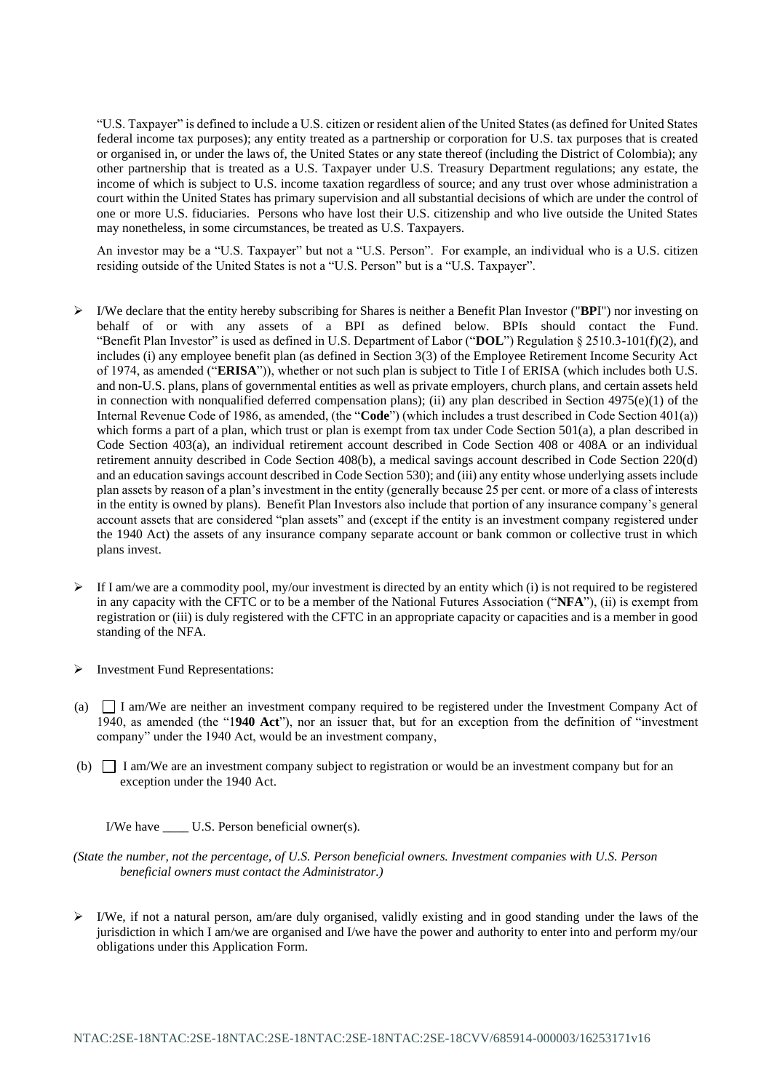"U.S. Taxpayer" is defined to include a U.S. citizen or resident alien of the United States (as defined for United States federal income tax purposes); any entity treated as a partnership or corporation for U.S. tax purposes that is created or organised in, or under the laws of, the United States or any state thereof (including the District of Colombia); any other partnership that is treated as a U.S. Taxpayer under U.S. Treasury Department regulations; any estate, the income of which is subject to U.S. income taxation regardless of source; and any trust over whose administration a court within the United States has primary supervision and all substantial decisions of which are under the control of one or more U.S. fiduciaries. Persons who have lost their U.S. citizenship and who live outside the United States may nonetheless, in some circumstances, be treated as U.S. Taxpayers.

An investor may be a "U.S. Taxpayer" but not a "U.S. Person". For example, an individual who is a U.S. citizen residing outside of the United States is not a "U.S. Person" but is a "U.S. Taxpayer".

- ➢ I/We declare that the entity hereby subscribing for Shares is neither a Benefit Plan Investor ("**BP**I") nor investing on behalf of or with any assets of a BPI as defined below. BPIs should contact the Fund. "Benefit Plan Investor" is used as defined in U.S. Department of Labor ("**DOL**") Regulation § 2510.3-101(f)(2), and includes (i) any employee benefit plan (as defined in Section 3(3) of the Employee Retirement Income Security Act of 1974, as amended ("**ERISA**")), whether or not such plan is subject to Title I of ERISA (which includes both U.S. and non-U.S. plans, plans of governmental entities as well as private employers, church plans, and certain assets held in connection with nonqualified deferred compensation plans); (ii) any plan described in Section  $4975(e)(1)$  of the Internal Revenue Code of 1986, as amended, (the "**Code**") (which includes a trust described in Code Section 401(a)) which forms a part of a plan, which trust or plan is exempt from tax under Code Section 501(a), a plan described in Code Section 403(a), an individual retirement account described in Code Section 408 or 408A or an individual retirement annuity described in Code Section 408(b), a medical savings account described in Code Section 220(d) and an education savings account described in Code Section 530); and (iii) any entity whose underlying assets include plan assets by reason of a plan's investment in the entity (generally because 25 per cent. or more of a class of interests in the entity is owned by plans). Benefit Plan Investors also include that portion of any insurance company's general account assets that are considered "plan assets" and (except if the entity is an investment company registered under the 1940 Act) the assets of any insurance company separate account or bank common or collective trust in which plans invest.
- $\triangleright$  If I am/we are a commodity pool, my/our investment is directed by an entity which (i) is not required to be registered in any capacity with the CFTC or to be a member of the National Futures Association ("**NFA**"), (ii) is exempt from registration or (iii) is duly registered with the CFTC in an appropriate capacity or capacities and is a member in good standing of the NFA.
- ➢ Investment Fund Representations:
- (a) I am/We are neither an investment company required to be registered under the Investment Company Act of 1940, as amended (the "1**940 Act**"), nor an issuer that, but for an exception from the definition of "investment company" under the 1940 Act, would be an investment company,
- (b) I am/We are an investment company subject to registration or would be an investment company but for an exception under the 1940 Act.

I/We have U.S. Person beneficial owner(s).

*(State the number, not the percentage, of U.S. Person beneficial owners. Investment companies with U.S. Person beneficial owners must contact the Administrator.)*

 $\triangleright$  I/We, if not a natural person, am/are duly organised, validly existing and in good standing under the laws of the jurisdiction in which I am/we are organised and I/we have the power and authority to enter into and perform my/our obligations under this Application Form.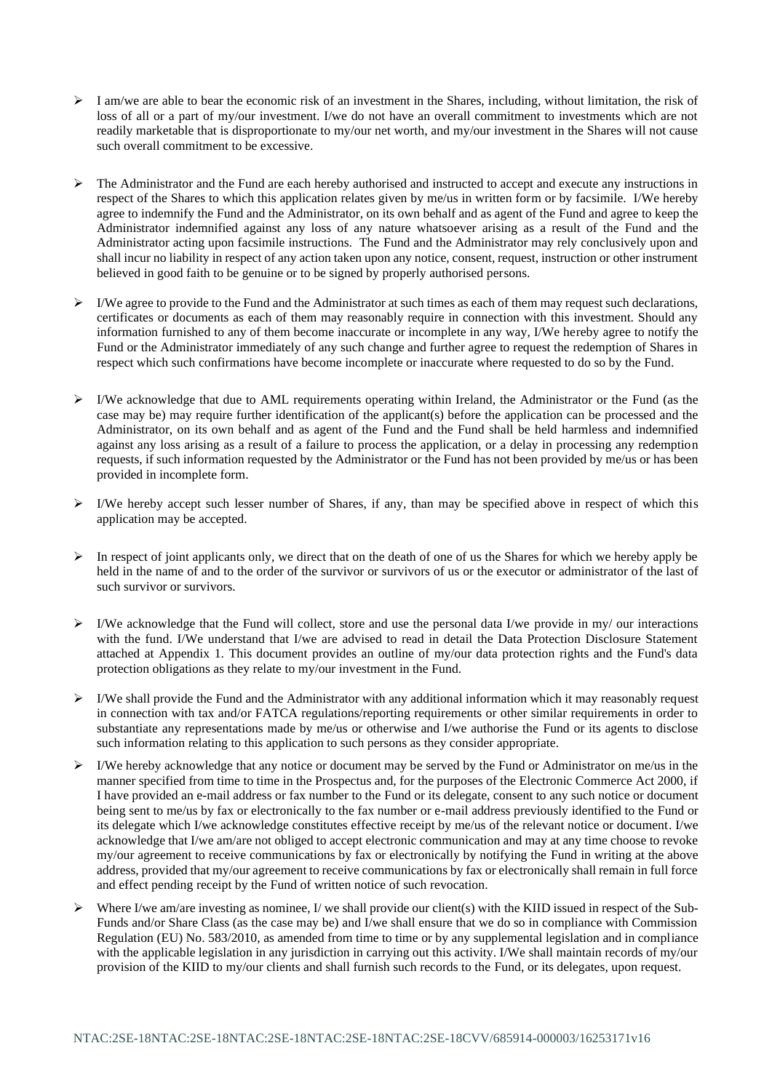- $\triangleright$  I am/we are able to bear the economic risk of an investment in the Shares, including, without limitation, the risk of loss of all or a part of my/our investment. I/we do not have an overall commitment to investments which are not readily marketable that is disproportionate to my/our net worth, and my/our investment in the Shares will not cause such overall commitment to be excessive.
- ➢ The Administrator and the Fund are each hereby authorised and instructed to accept and execute any instructions in respect of the Shares to which this application relates given by me/us in written form or by facsimile. I/We hereby agree to indemnify the Fund and the Administrator, on its own behalf and as agent of the Fund and agree to keep the Administrator indemnified against any loss of any nature whatsoever arising as a result of the Fund and the Administrator acting upon facsimile instructions. The Fund and the Administrator may rely conclusively upon and shall incur no liability in respect of any action taken upon any notice, consent, request, instruction or other instrument believed in good faith to be genuine or to be signed by properly authorised persons.
- $\triangleright$  I/We agree to provide to the Fund and the Administrator at such times as each of them may request such declarations, certificates or documents as each of them may reasonably require in connection with this investment. Should any information furnished to any of them become inaccurate or incomplete in any way, I/We hereby agree to notify the Fund or the Administrator immediately of any such change and further agree to request the redemption of Shares in respect which such confirmations have become incomplete or inaccurate where requested to do so by the Fund.
- $\triangleright$  I/We acknowledge that due to AML requirements operating within Ireland, the Administrator or the Fund (as the case may be) may require further identification of the applicant(s) before the application can be processed and the Administrator, on its own behalf and as agent of the Fund and the Fund shall be held harmless and indemnified against any loss arising as a result of a failure to process the application, or a delay in processing any redemption requests, if such information requested by the Administrator or the Fund has not been provided by me/us or has been provided in incomplete form.
- $\triangleright$  I/We hereby accept such lesser number of Shares, if any, than may be specified above in respect of which this application may be accepted.
- $\triangleright$  In respect of joint applicants only, we direct that on the death of one of us the Shares for which we hereby apply be held in the name of and to the order of the survivor or survivors of us or the executor or administrator of the last of such survivor or survivors.
- ➢ I/We acknowledge that the Fund will collect, store and use the personal data I/we provide in my/ our interactions with the fund. I/We understand that I/we are advised to read in detail the Data Protection Disclosure Statement attached at Appendix 1. This document provides an outline of my/our data protection rights and the Fund's data protection obligations as they relate to my/our investment in the Fund.
- $\triangleright$  I/We shall provide the Fund and the Administrator with any additional information which it may reasonably request in connection with tax and/or FATCA regulations/reporting requirements or other similar requirements in order to substantiate any representations made by me/us or otherwise and I/we authorise the Fund or its agents to disclose such information relating to this application to such persons as they consider appropriate.
- $\triangleright$  I/We hereby acknowledge that any notice or document may be served by the Fund or Administrator on me/us in the manner specified from time to time in the Prospectus and, for the purposes of the Electronic Commerce Act 2000, if I have provided an e-mail address or fax number to the Fund or its delegate, consent to any such notice or document being sent to me/us by fax or electronically to the fax number or e-mail address previously identified to the Fund or its delegate which I/we acknowledge constitutes effective receipt by me/us of the relevant notice or document. I/we acknowledge that I/we am/are not obliged to accept electronic communication and may at any time choose to revoke my/our agreement to receive communications by fax or electronically by notifying the Fund in writing at the above address, provided that my/our agreement to receive communications by fax or electronically shall remain in full force and effect pending receipt by the Fund of written notice of such revocation.
- $\triangleright$  Where I/we am/are investing as nominee, I/we shall provide our client(s) with the KIID issued in respect of the Sub-Funds and/or Share Class (as the case may be) and I/we shall ensure that we do so in compliance with Commission Regulation (EU) No. 583/2010, as amended from time to time or by any supplemental legislation and in compliance with the applicable legislation in any jurisdiction in carrying out this activity. I/We shall maintain records of my/our provision of the KIID to my/our clients and shall furnish such records to the Fund, or its delegates, upon request.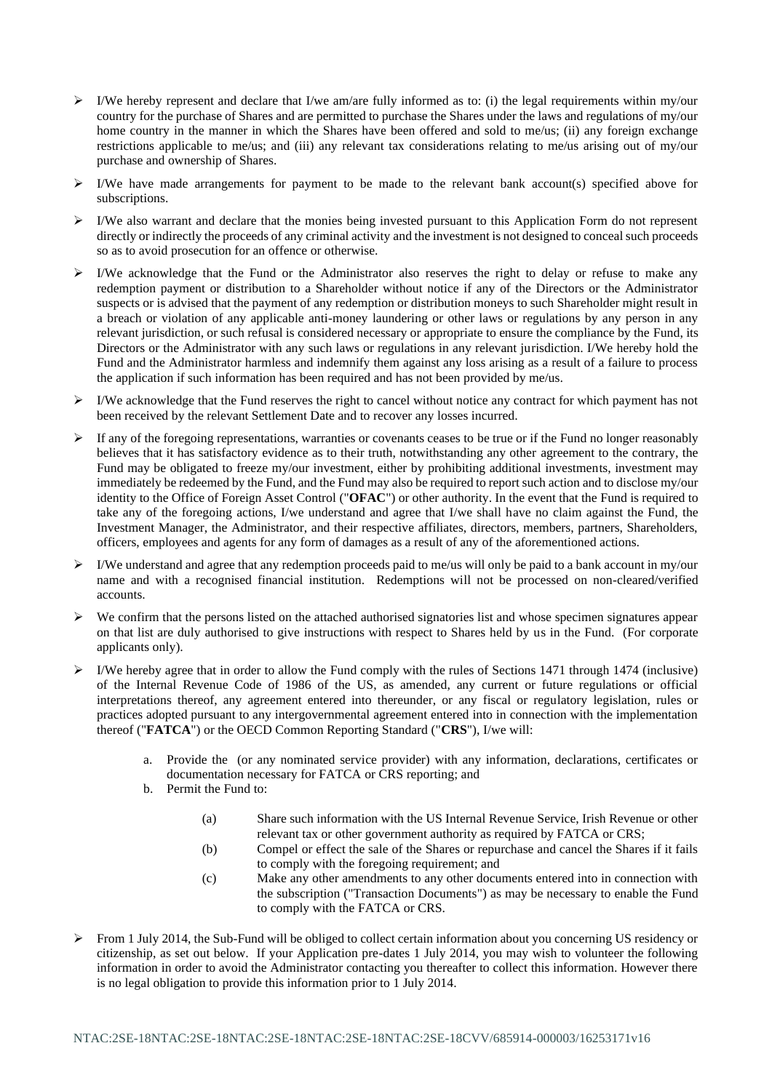- $\triangleright$  I/We hereby represent and declare that I/we am/are fully informed as to: (i) the legal requirements within my/our country for the purchase of Shares and are permitted to purchase the Shares under the laws and regulations of my/our home country in the manner in which the Shares have been offered and sold to me/us; (ii) any foreign exchange restrictions applicable to me/us; and (iii) any relevant tax considerations relating to me/us arising out of my/our purchase and ownership of Shares.
- ➢ I/We have made arrangements for payment to be made to the relevant bank account(s) specified above for subscriptions.
- $\triangleright$  I/We also warrant and declare that the monies being invested pursuant to this Application Form do not represent directly or indirectly the proceeds of any criminal activity and the investment is not designed to conceal such proceeds so as to avoid prosecution for an offence or otherwise.
- ➢ I/We acknowledge that the Fund or the Administrator also reserves the right to delay or refuse to make any redemption payment or distribution to a Shareholder without notice if any of the Directors or the Administrator suspects or is advised that the payment of any redemption or distribution moneys to such Shareholder might result in a breach or violation of any applicable anti-money laundering or other laws or regulations by any person in any relevant jurisdiction, or such refusal is considered necessary or appropriate to ensure the compliance by the Fund, its Directors or the Administrator with any such laws or regulations in any relevant jurisdiction. I/We hereby hold the Fund and the Administrator harmless and indemnify them against any loss arising as a result of a failure to process the application if such information has been required and has not been provided by me/us.
- $\triangleright$  I/We acknowledge that the Fund reserves the right to cancel without notice any contract for which payment has not been received by the relevant Settlement Date and to recover any losses incurred.
- $\triangleright$  If any of the foregoing representations, warranties or covenants ceases to be true or if the Fund no longer reasonably believes that it has satisfactory evidence as to their truth, notwithstanding any other agreement to the contrary, the Fund may be obligated to freeze my/our investment, either by prohibiting additional investments, investment may immediately be redeemed by the Fund, and the Fund may also be required to report such action and to disclose my/our identity to the Office of Foreign Asset Control ("**OFAC**") or other authority. In the event that the Fund is required to take any of the foregoing actions, I/we understand and agree that I/we shall have no claim against the Fund, the Investment Manager, the Administrator, and their respective affiliates, directors, members, partners, Shareholders, officers, employees and agents for any form of damages as a result of any of the aforementioned actions.
- ➢ I/We understand and agree that any redemption proceeds paid to me/us will only be paid to a bank account in my/our name and with a recognised financial institution. Redemptions will not be processed on non-cleared/verified accounts.
- $\triangleright$  We confirm that the persons listed on the attached authorised signatories list and whose specimen signatures appear on that list are duly authorised to give instructions with respect to Shares held by us in the Fund. (For corporate applicants only).
- ➢ I/We hereby agree that in order to allow the Fund comply with the rules of Sections 1471 through 1474 (inclusive) of the Internal Revenue Code of 1986 of the US, as amended, any current or future regulations or official interpretations thereof, any agreement entered into thereunder, or any fiscal or regulatory legislation, rules or practices adopted pursuant to any intergovernmental agreement entered into in connection with the implementation thereof ("**FATCA**") or the OECD Common Reporting Standard ("**CRS**"), I/we will:
	- a. Provide the (or any nominated service provider) with any information, declarations, certificates or documentation necessary for FATCA or CRS reporting; and
	- b. Permit the Fund to:
		- (a) Share such information with the US Internal Revenue Service, Irish Revenue or other relevant tax or other government authority as required by FATCA or CRS;
		- (b) Compel or effect the sale of the Shares or repurchase and cancel the Shares if it fails to comply with the foregoing requirement; and
		- (c) Make any other amendments to any other documents entered into in connection with the subscription ("Transaction Documents") as may be necessary to enable the Fund to comply with the FATCA or CRS.
- $\triangleright$  From 1 July 2014, the Sub-Fund will be obliged to collect certain information about you concerning US residency or citizenship, as set out below. If your Application pre-dates 1 July 2014, you may wish to volunteer the following information in order to avoid the Administrator contacting you thereafter to collect this information. However there is no legal obligation to provide this information prior to 1 July 2014.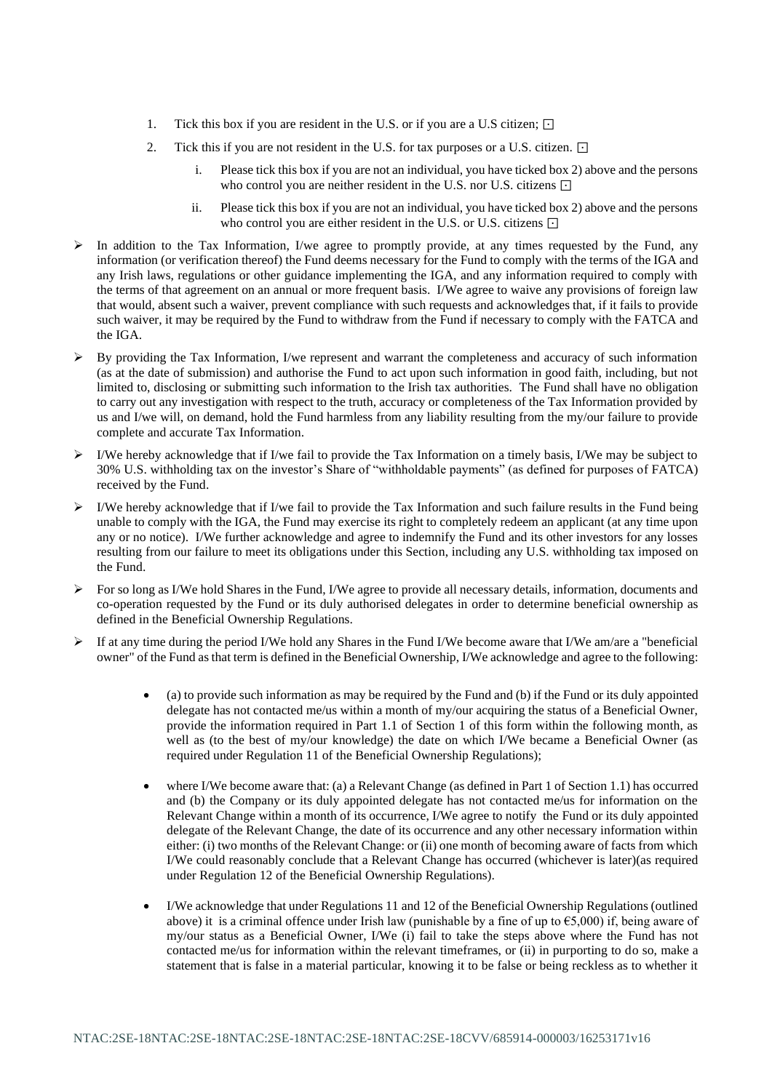- 1. Tick this box if you are resident in the U.S. or if you are a U.S citizen; ⊡
- 2. Tick this if you are not resident in the U.S. for tax purposes or a U.S. citizen. ⊡
	- i. Please tick this box if you are not an individual, you have ticked box 2) above and the persons who control you are neither resident in the U.S. nor U.S. citizens ⊡
	- ii. Please tick this box if you are not an individual, you have ticked box 2) above and the persons who control you are either resident in the U.S. or U.S. citizens ⊡
- ➢ In addition to the Tax Information, I/we agree to promptly provide, at any times requested by the Fund, any information (or verification thereof) the Fund deems necessary for the Fund to comply with the terms of the IGA and any Irish laws, regulations or other guidance implementing the IGA, and any information required to comply with the terms of that agreement on an annual or more frequent basis. I/We agree to waive any provisions of foreign law that would, absent such a waiver, prevent compliance with such requests and acknowledges that, if it fails to provide such waiver, it may be required by the Fund to withdraw from the Fund if necessary to comply with the FATCA and the IGA.
- $\triangleright$  By providing the Tax Information, I/we represent and warrant the completeness and accuracy of such information (as at the date of submission) and authorise the Fund to act upon such information in good faith, including, but not limited to, disclosing or submitting such information to the Irish tax authorities. The Fund shall have no obligation to carry out any investigation with respect to the truth, accuracy or completeness of the Tax Information provided by us and I/we will, on demand, hold the Fund harmless from any liability resulting from the my/our failure to provide complete and accurate Tax Information.
- $\triangleright$  I/We hereby acknowledge that if I/we fail to provide the Tax Information on a timely basis, I/We may be subject to 30% U.S. withholding tax on the investor's Share of "withholdable payments" (as defined for purposes of FATCA) received by the Fund.
- $\triangleright$  I/We hereby acknowledge that if I/we fail to provide the Tax Information and such failure results in the Fund being unable to comply with the IGA, the Fund may exercise its right to completely redeem an applicant (at any time upon any or no notice). I/We further acknowledge and agree to indemnify the Fund and its other investors for any losses resulting from our failure to meet its obligations under this Section, including any U.S. withholding tax imposed on the Fund.
- $\triangleright$  For so long as I/We hold Shares in the Fund, I/We agree to provide all necessary details, information, documents and co-operation requested by the Fund or its duly authorised delegates in order to determine beneficial ownership as defined in the Beneficial Ownership Regulations.
- $\triangleright$  If at any time during the period I/We hold any Shares in the Fund I/We become aware that I/We am/are a "beneficial" owner" of the Fund as that term is defined in the Beneficial Ownership, I/We acknowledge and agree to the following:
	- (a) to provide such information as may be required by the Fund and (b) if the Fund or its duly appointed delegate has not contacted me/us within a month of my/our acquiring the status of a Beneficial Owner, provide the information required in Part 1.1 of Section 1 of this form within the following month, as well as (to the best of my/our knowledge) the date on which I/We became a Beneficial Owner (as required under Regulation 11 of the Beneficial Ownership Regulations);
	- where I/We become aware that: (a) a Relevant Change (as defined in Part 1 of Section 1.1) has occurred and (b) the Company or its duly appointed delegate has not contacted me/us for information on the Relevant Change within a month of its occurrence, I/We agree to notify the Fund or its duly appointed delegate of the Relevant Change, the date of its occurrence and any other necessary information within either: (i) two months of the Relevant Change: or (ii) one month of becoming aware of facts from which I/We could reasonably conclude that a Relevant Change has occurred (whichever is later)(as required under Regulation 12 of the Beneficial Ownership Regulations).
	- I/We acknowledge that under Regulations 11 and 12 of the Beneficial Ownership Regulations (outlined above) it is a criminal offence under Irish law (punishable by a fine of up to  $\epsilon$ 5,000) if, being aware of my/our status as a Beneficial Owner, I/We (i) fail to take the steps above where the Fund has not contacted me/us for information within the relevant timeframes, or (ii) in purporting to do so, make a statement that is false in a material particular, knowing it to be false or being reckless as to whether it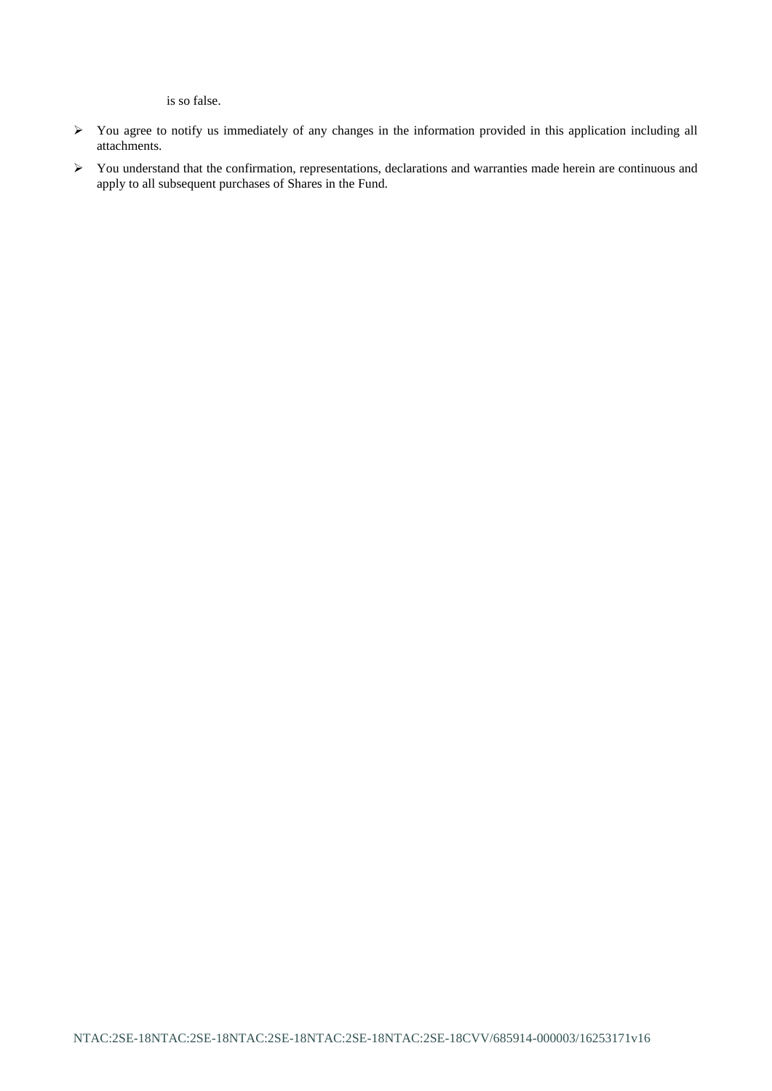is so false.

- ➢ You agree to notify us immediately of any changes in the information provided in this application including all attachments.
- ➢ You understand that the confirmation, representations, declarations and warranties made herein are continuous and apply to all subsequent purchases of Shares in the Fund.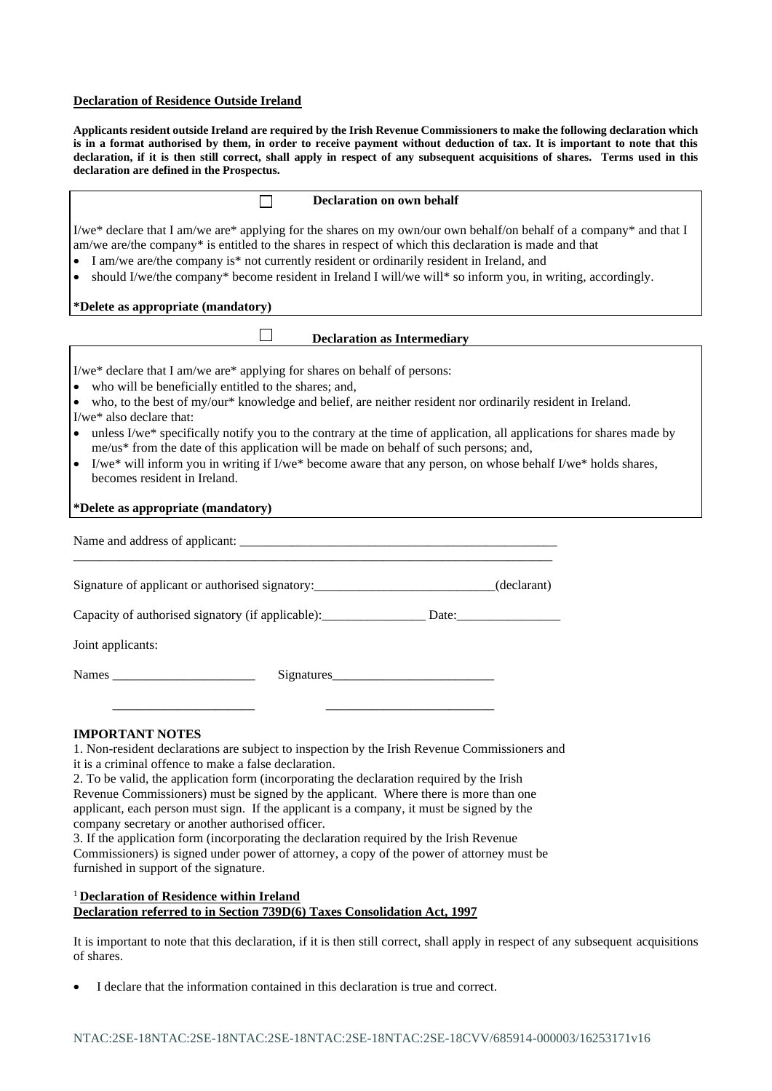## **Declaration of Residence Outside Ireland**

**Applicants resident outside Ireland are required by the Irish Revenue Commissioners to make the following declaration which is in a format authorised by them, in order to receive payment without deduction of tax. It is important to note that this declaration, if it is then still correct, shall apply in respect of any subsequent acquisitions of shares. Terms used in this declaration are defined in the Prospectus.**

| <b>Declaration on own behalf</b>                                                                                                                                                                                                                                                                                                                                                                                                                                                                                                                                                                                                                                                                                                                                                                                 |  |  |  |  |
|------------------------------------------------------------------------------------------------------------------------------------------------------------------------------------------------------------------------------------------------------------------------------------------------------------------------------------------------------------------------------------------------------------------------------------------------------------------------------------------------------------------------------------------------------------------------------------------------------------------------------------------------------------------------------------------------------------------------------------------------------------------------------------------------------------------|--|--|--|--|
| I/we* declare that I am/we are* applying for the shares on my own/our own behalf/on behalf of a company* and that I<br>am/we are/the company* is entitled to the shares in respect of which this declaration is made and that<br>I am/we are/the company is* not currently resident or ordinarily resident in Ireland, and<br>should I/we/the company* become resident in Ireland I will/we will* so inform you, in writing, accordingly.<br>$\bullet$                                                                                                                                                                                                                                                                                                                                                           |  |  |  |  |
| *Delete as appropriate (mandatory)                                                                                                                                                                                                                                                                                                                                                                                                                                                                                                                                                                                                                                                                                                                                                                               |  |  |  |  |
| <b>Declaration as Intermediary</b>                                                                                                                                                                                                                                                                                                                                                                                                                                                                                                                                                                                                                                                                                                                                                                               |  |  |  |  |
| I/we* declare that I am/we are* applying for shares on behalf of persons:<br>• who will be beneficially entitled to the shares; and,<br>• who, to the best of my/our* knowledge and belief, are neither resident nor ordinarily resident in Ireland.<br>I/we* also declare that:<br>• unless I/we* specifically notify you to the contrary at the time of application, all applications for shares made by<br>me/us* from the date of this application will be made on behalf of such persons; and,<br>I/we* will inform you in writing if I/we* become aware that any person, on whose behalf I/we* holds shares,<br>$\bullet$<br>becomes resident in Ireland.                                                                                                                                                  |  |  |  |  |
| *Delete as appropriate (mandatory)                                                                                                                                                                                                                                                                                                                                                                                                                                                                                                                                                                                                                                                                                                                                                                               |  |  |  |  |
|                                                                                                                                                                                                                                                                                                                                                                                                                                                                                                                                                                                                                                                                                                                                                                                                                  |  |  |  |  |
| Signature of applicant or authorised signatory: ____________________________(declarant)                                                                                                                                                                                                                                                                                                                                                                                                                                                                                                                                                                                                                                                                                                                          |  |  |  |  |
| Capacity of authorised signatory (if applicable): Date: Date:                                                                                                                                                                                                                                                                                                                                                                                                                                                                                                                                                                                                                                                                                                                                                    |  |  |  |  |
| Joint applicants:                                                                                                                                                                                                                                                                                                                                                                                                                                                                                                                                                                                                                                                                                                                                                                                                |  |  |  |  |
|                                                                                                                                                                                                                                                                                                                                                                                                                                                                                                                                                                                                                                                                                                                                                                                                                  |  |  |  |  |
| <b>IMPORTANT NOTES</b><br>1. Non-resident declarations are subject to inspection by the Irish Revenue Commissioners and<br>it is a criminal offence to make a false declaration.<br>2. To be valid, the application form (incorporating the declaration required by the Irish<br>Revenue Commissioners) must be signed by the applicant. Where there is more than one<br>applicant, each person must sign. If the applicant is a company, it must be signed by the<br>company secretary or another authorised officer.<br>3. If the application form (incorporating the declaration required by the Irish Revenue<br>Commissioners) is signed under power of attorney, a copy of the power of attorney must be<br>furnished in support of the signature.<br><sup>1</sup> Declaration of Residence within Ireland |  |  |  |  |

# **Declaration referred to in Section 739D(6) Taxes Consolidation Act, 1997**

It is important to note that this declaration, if it is then still correct, shall apply in respect of any subsequent acquisitions of shares.

• I declare that the information contained in this declaration is true and correct.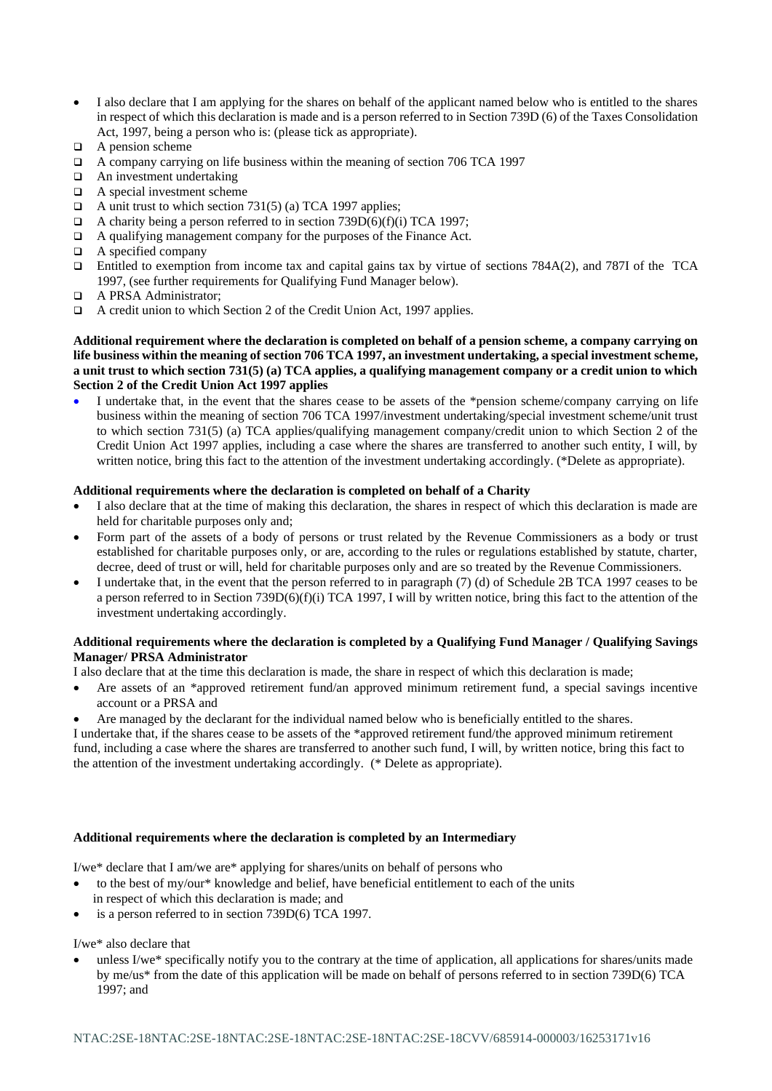- I also declare that I am applying for the shares on behalf of the applicant named below who is entitled to the shares in respect of which this declaration is made and is a person referred to in Section 739D (6) of the Taxes Consolidation Act, 1997, being a person who is: (please tick as appropriate).
- ❑ A pension scheme
- ❑ A company carrying on life business within the meaning of section 706 TCA 1997
- ❑ An investment undertaking
- ❑ A special investment scheme
- $\Box$  A unit trust to which section 731(5) (a) TCA 1997 applies;
- $\Box$  A charity being a person referred to in section 739D(6)(f)(i) TCA 1997;
- ❑ A qualifying management company for the purposes of the Finance Act.
- ❑ A specified company
- ❑ Entitled to exemption from income tax and capital gains tax by virtue of sections 784A(2), and 787I of the TCA 1997, (see further requirements for Qualifying Fund Manager below).
- ❑ A PRSA Administrator;
- ❑ A credit union to which Section 2 of the Credit Union Act, 1997 applies.

**Additional requirement where the declaration is completed on behalf of a pension scheme, a company carrying on life business within the meaning of section 706 TCA 1997, an investment undertaking, a special investment scheme, a unit trust to which section 731(5) (a) TCA applies, a qualifying management company or a credit union to which Section 2 of the Credit Union Act 1997 applies**

I undertake that, in the event that the shares cease to be assets of the \*pension scheme/company carrying on life business within the meaning of section 706 TCA 1997/investment undertaking/special investment scheme/unit trust to which section 731(5) (a) TCA applies/qualifying management company/credit union to which Section 2 of the Credit Union Act 1997 applies, including a case where the shares are transferred to another such entity, I will, by written notice, bring this fact to the attention of the investment undertaking accordingly. (\*Delete as appropriate).

#### **Additional requirements where the declaration is completed on behalf of a Charity**

- I also declare that at the time of making this declaration, the shares in respect of which this declaration is made are held for charitable purposes only and;
- Form part of the assets of a body of persons or trust related by the Revenue Commissioners as a body or trust established for charitable purposes only, or are, according to the rules or regulations established by statute, charter, decree, deed of trust or will, held for charitable purposes only and are so treated by the Revenue Commissioners.
- I undertake that, in the event that the person referred to in paragraph (7) (d) of Schedule 2B TCA 1997 ceases to be a person referred to in Section 739D(6)(f)(i) TCA 1997, I will by written notice, bring this fact to the attention of the investment undertaking accordingly.

### **Additional requirements where the declaration is completed by a Qualifying Fund Manager / Qualifying Savings Manager/ PRSA Administrator**

I also declare that at the time this declaration is made, the share in respect of which this declaration is made;

- Are assets of an \*approved retirement fund/an approved minimum retirement fund, a special savings incentive account or a PRSA and
- Are managed by the declarant for the individual named below who is beneficially entitled to the shares.

I undertake that, if the shares cease to be assets of the \*approved retirement fund/the approved minimum retirement fund, including a case where the shares are transferred to another such fund, I will, by written notice, bring this fact to the attention of the investment undertaking accordingly. (\* Delete as appropriate).

#### **Additional requirements where the declaration is completed by an Intermediary**

I/we\* declare that I am/we are\* applying for shares/units on behalf of persons who

- to the best of my/our\* knowledge and belief, have beneficial entitlement to each of the units in respect of which this declaration is made; and
- is a person referred to in section 739D(6) TCA 1997.

### I/we\* also declare that

• unless I/we\* specifically notify you to the contrary at the time of application, all applications for shares/units made by me/us\* from the date of this application will be made on behalf of persons referred to in section 739D(6) TCA 1997; and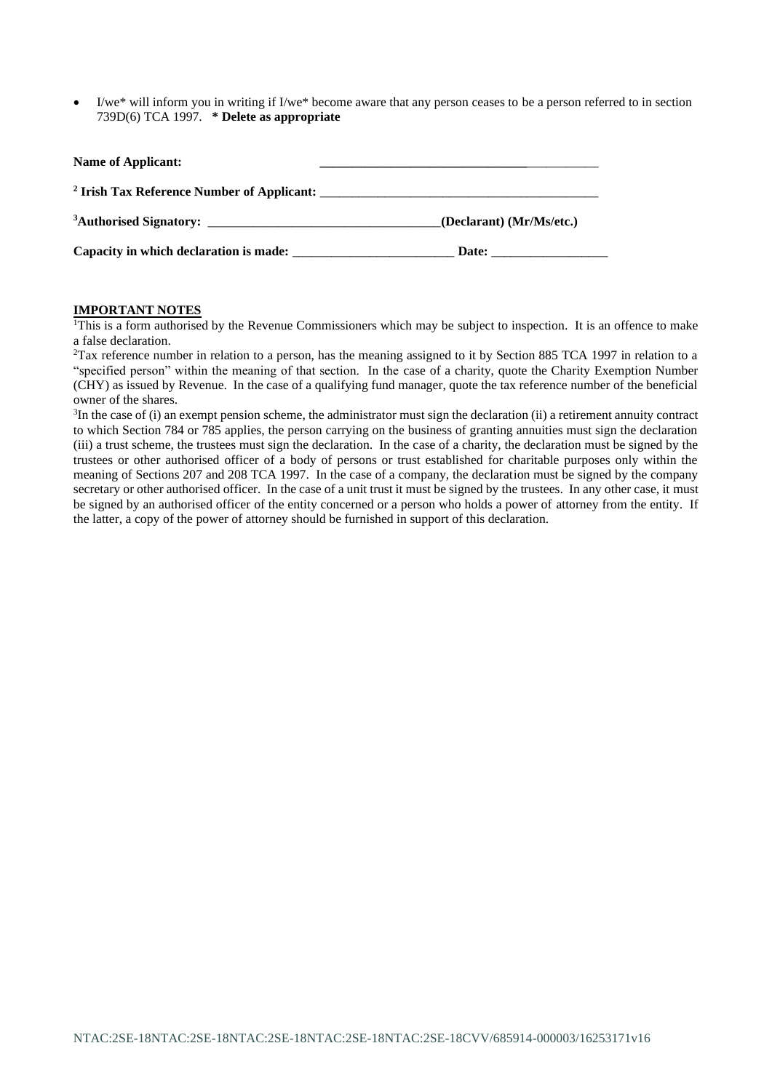I/we<sup>\*</sup> will inform you in writing if I/we<sup>\*</sup> become aware that any person ceases to be a person referred to in section 739D(6) TCA 1997. **\* Delete as appropriate**

| Name of Applicant: |                          |
|--------------------|--------------------------|
|                    |                          |
|                    | (Declarant) (Mr/Ms/etc.) |
|                    | Date:                    |

# **IMPORTANT NOTES**

<sup>1</sup>This is a form authorised by the Revenue Commissioners which may be subject to inspection. It is an offence to make a false declaration.

<sup>2</sup>Tax reference number in relation to a person, has the meaning assigned to it by Section 885 TCA 1997 in relation to a "specified person" within the meaning of that section. In the case of a charity, quote the Charity Exemption Number (CHY) as issued by Revenue. In the case of a qualifying fund manager, quote the tax reference number of the beneficial owner of the shares.

 ${}^{3}$ In the case of (i) an exempt pension scheme, the administrator must sign the declaration (ii) a retirement annuity contract to which Section 784 or 785 applies, the person carrying on the business of granting annuities must sign the declaration (iii) a trust scheme, the trustees must sign the declaration. In the case of a charity, the declaration must be signed by the trustees or other authorised officer of a body of persons or trust established for charitable purposes only within the meaning of Sections 207 and 208 TCA 1997. In the case of a company, the declaration must be signed by the company secretary or other authorised officer. In the case of a unit trust it must be signed by the trustees. In any other case, it must be signed by an authorised officer of the entity concerned or a person who holds a power of attorney from the entity. If the latter, a copy of the power of attorney should be furnished in support of this declaration.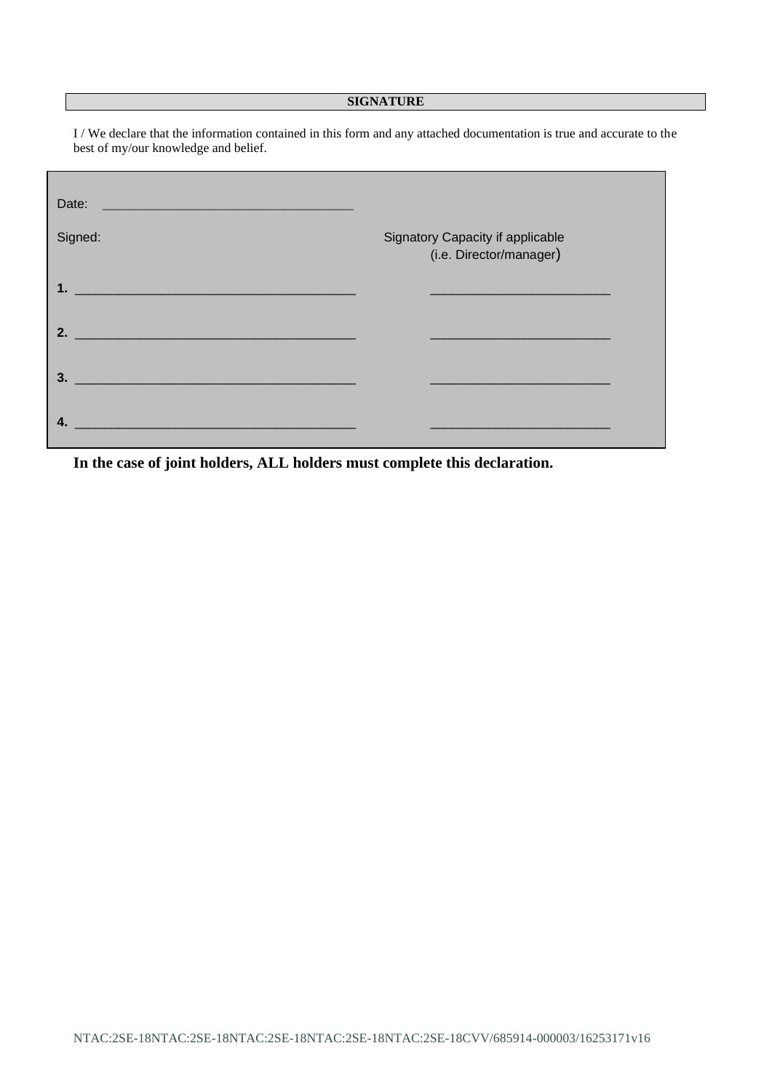# **SIGNATURE**

I / We declare that the information contained in this form and any attached documentation is true and accurate to the best of my/our knowledge and belief.

| Date:                       |                                                             |
|-----------------------------|-------------------------------------------------------------|
| Signed:                     | Signatory Capacity if applicable<br>(i.e. Director/manager) |
|                             |                                                             |
| $\overline{\phantom{a}}$ 2. |                                                             |
| $\overline{\mathbf{3.}}$    |                                                             |
| 4.                          |                                                             |

**In the case of joint holders, ALL holders must complete this declaration.**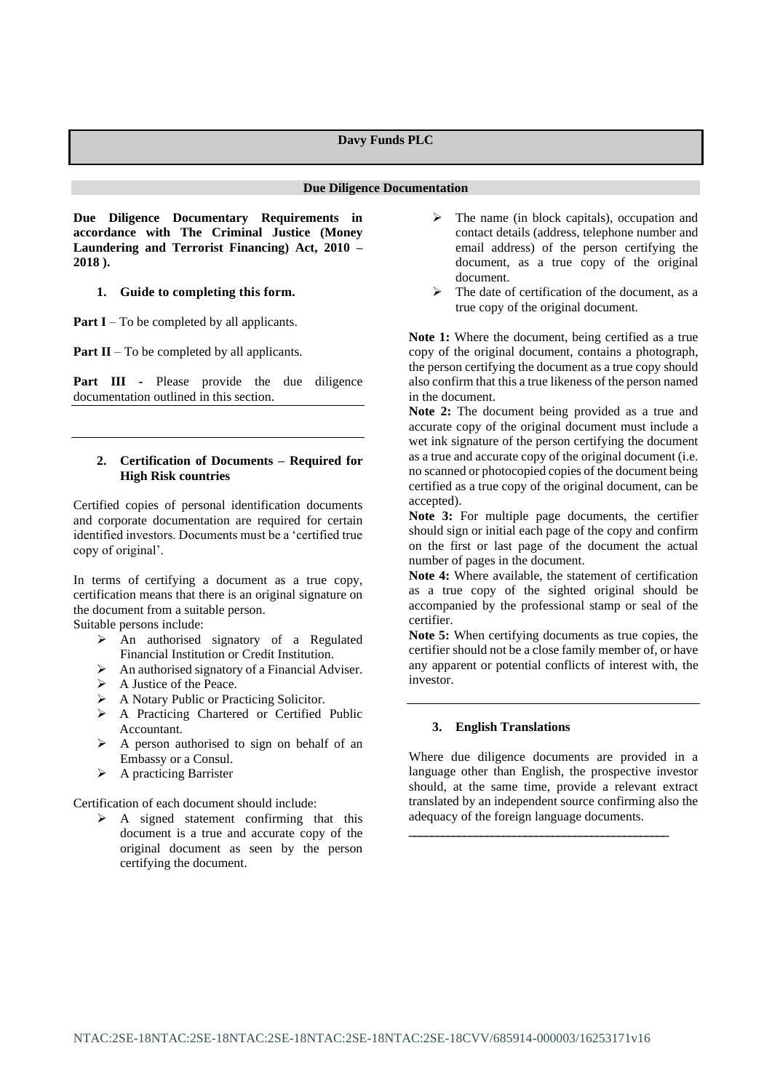#### **Due Diligence Documentation**

**Due Diligence Documentary Requirements in accordance with The Criminal Justice (Money Laundering and Terrorist Financing) Act, 2010 – 2018 ).**

### **1. Guide to completing this form.**

**Part I** – To be completed by all applicants.

**Part II** – To be completed by all applicants.

**Part III -** Please provide the due diligence documentation outlined in this section.

### **2. Certification of Documents – Required for High Risk countries**

Certified copies of personal identification documents and corporate documentation are required for certain identified investors. Documents must be a 'certified true copy of original'.

In terms of certifying a document as a true copy, certification means that there is an original signature on the document from a suitable person.

Suitable persons include:

- ➢ An authorised signatory of a Regulated Financial Institution or Credit Institution.
- ➢ An authorised signatory of a Financial Adviser.
- ➢ A Justice of the Peace.
- ➢ A Notary Public or Practicing Solicitor.
- ➢ A Practicing Chartered or Certified Public Accountant.
- ➢ A person authorised to sign on behalf of an Embassy or a Consul.
- ➢ A practicing Barrister

Certification of each document should include:

 $\triangleright$  A signed statement confirming that this document is a true and accurate copy of the original document as seen by the person certifying the document.

- ➢ The name (in block capitals), occupation and contact details (address, telephone number and email address) of the person certifying the document, as a true copy of the original document.
- $\triangleright$  The date of certification of the document, as a true copy of the original document.

Note 1: Where the document, being certified as a true copy of the original document, contains a photograph, the person certifying the document as a true copy should also confirm that this a true likeness of the person named in the document.

**Note 2:** The document being provided as a true and accurate copy of the original document must include a wet ink signature of the person certifying the document as a true and accurate copy of the original document (i.e. no scanned or photocopied copies of the document being certified as a true copy of the original document, can be accepted).

**Note 3:** For multiple page documents, the certifier should sign or initial each page of the copy and confirm on the first or last page of the document the actual number of pages in the document.

**Note 4:** Where available, the statement of certification as a true copy of the sighted original should be accompanied by the professional stamp or seal of the certifier.

**Note 5:** When certifying documents as true copies, the certifier should not be a close family member of, or have any apparent or potential conflicts of interest with, the investor.

#### **3. English Translations**

Where due diligence documents are provided in a language other than English, the prospective investor should, at the same time, provide a relevant extract translated by an independent source confirming also the adequacy of the foreign language documents.

**\_\_\_\_\_\_\_\_\_\_\_\_\_\_\_\_\_\_\_\_\_\_\_\_\_\_\_\_\_\_\_\_\_\_\_\_\_\_\_\_\_\_\_\_\_\_\_**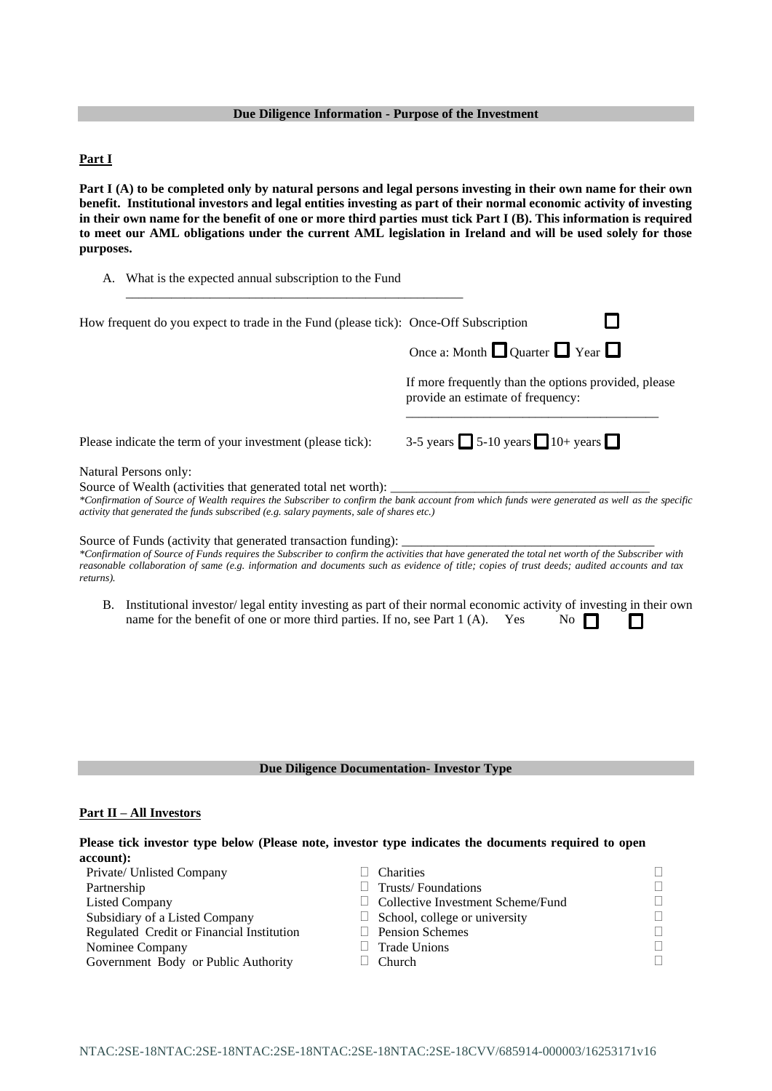# **Due Diligence Information - Purpose of the Investment**

# **Part I**

Part I (A) to be completed only by natural persons and legal persons investing in their own name for their own **benefit. Institutional investors and legal entities investing as part of their normal economic activity of investing in their own name for the benefit of one or more third parties must tick Part I (B). This information is required to meet our AML obligations under the current AML legislation in Ireland and will be used solely for those purposes.**

| A. What is the expected annual subscription to the Fund                                                                                                                                                                                                                                                                                                                         |                                                                                                                                            |
|---------------------------------------------------------------------------------------------------------------------------------------------------------------------------------------------------------------------------------------------------------------------------------------------------------------------------------------------------------------------------------|--------------------------------------------------------------------------------------------------------------------------------------------|
| How frequent do you expect to trade in the Fund (please tick): Once-Off Subscription                                                                                                                                                                                                                                                                                            |                                                                                                                                            |
|                                                                                                                                                                                                                                                                                                                                                                                 | Once a: Month $\Box$ Quarter $\Box$ Year $\Box$                                                                                            |
|                                                                                                                                                                                                                                                                                                                                                                                 | If more frequently than the options provided, please<br>provide an estimate of frequency:                                                  |
| Please indicate the term of your investment (please tick):                                                                                                                                                                                                                                                                                                                      | 3-5 years $\Box$ 5-10 years $\Box$ 10+ years $\Box$                                                                                        |
| Natural Persons only:<br>Source of Wealth (activities that generated total net worth):<br>*Confirmation of Source of Wealth requires the Subscriber to confirm the bank account from which funds were generated as well as the specific<br>activity that generated the funds subscribed (e.g. salary payments, sale of shares etc.)                                             |                                                                                                                                            |
| Source of Funds (activity that generated transaction funding):<br>*Confirmation of Source of Funds requires the Subscriber to confirm the activities that have generated the total net worth of the Subscriber with<br>reasonable collaboration of same (e.g. information and documents such as evidence of title; copies of trust deeds; audited accounts and tax<br>returns). |                                                                                                                                            |
| В.<br>name for the benefit of one or more third parties. If no, see Part 1 (A).                                                                                                                                                                                                                                                                                                 | Institutional investor/legal entity investing as part of their normal economic activity of investing in their own<br>Yes<br>N <sub>0</sub> |
|                                                                                                                                                                                                                                                                                                                                                                                 |                                                                                                                                            |

# **Due Diligence Documentation- Investor Type**

# **Part II – All Investors**

| Please tick investor type below (Please note, investor type indicates the documents required to open |                                   |   |
|------------------------------------------------------------------------------------------------------|-----------------------------------|---|
| account):                                                                                            |                                   |   |
| Private/ Unlisted Company                                                                            | <b>Charities</b>                  |   |
| Partnership                                                                                          | Trusts/Foundations                |   |
| <b>Listed Company</b>                                                                                | Collective Investment Scheme/Fund | ٦ |
| Subsidiary of a Listed Company                                                                       | School, college or university     |   |
| Regulated Credit or Financial Institution                                                            | <b>Pension Schemes</b>            | Π |
| Nominee Company                                                                                      | <b>Trade Unions</b>               | Г |
| Government Body or Public Authority                                                                  | Church                            | Π |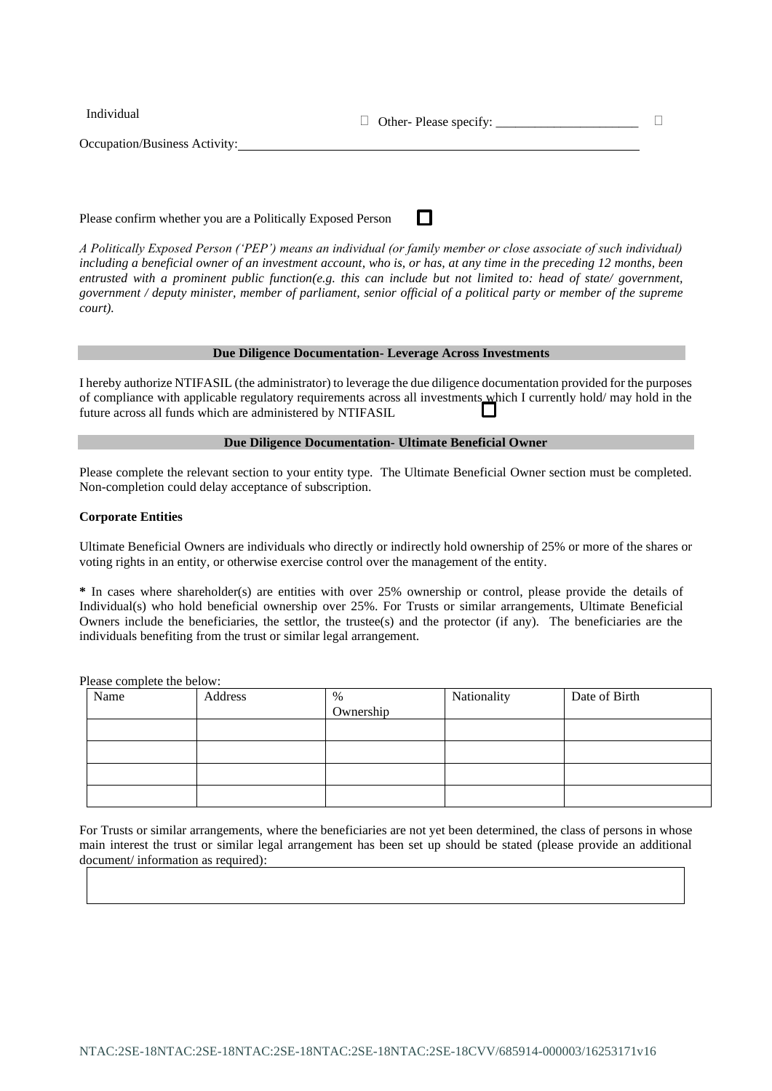| Individual                    | $\Box$ Other-Please specify: |  |
|-------------------------------|------------------------------|--|
| Occupation/Business Activity: |                              |  |
|                               |                              |  |

Please confirm whether you are a Politically Exposed Person

*A Politically Exposed Person ('PEP') means an individual (or family member or close associate of such individual) including a beneficial owner of an investment account, who is, or has, at any time in the preceding 12 months, been entrusted with a prominent public function(e.g. this can include but not limited to: head of state/ government, government / deputy minister, member of parliament, senior official of a political party or member of the supreme court).*

П

### **Due Diligence Documentation- Leverage Across Investments**

I hereby authorize NTIFASIL (the administrator) to leverage the due diligence documentation provided for the purposes of compliance with applicable regulatory requirements across all investments which I currently hold/ may hold in the future across all funds which are administered by NTIFASIL

#### **Due Diligence Documentation- Ultimate Beneficial Owner**

Please complete the relevant section to your entity type. The Ultimate Beneficial Owner section must be completed. Non-completion could delay acceptance of subscription.

### **Corporate Entities**

Ultimate Beneficial Owners are individuals who directly or indirectly hold ownership of 25% or more of the shares or voting rights in an entity, or otherwise exercise control over the management of the entity.

**\*** In cases where shareholder(s) are entities with over 25% ownership or control, please provide the details of Individual(s) who hold beneficial ownership over 25%. For Trusts or similar arrangements, Ultimate Beneficial Owners include the beneficiaries, the settlor, the trustee(s) and the protector (if any). The beneficiaries are the individuals benefiting from the trust or similar legal arrangement.

Please complete the below:

| Name | Address | %         | Nationality | Date of Birth |
|------|---------|-----------|-------------|---------------|
|      |         | Ownership |             |               |
|      |         |           |             |               |
|      |         |           |             |               |
|      |         |           |             |               |
|      |         |           |             |               |

For Trusts or similar arrangements, where the beneficiaries are not yet been determined, the class of persons in whose main interest the trust or similar legal arrangement has been set up should be stated (please provide an additional document/ information as required):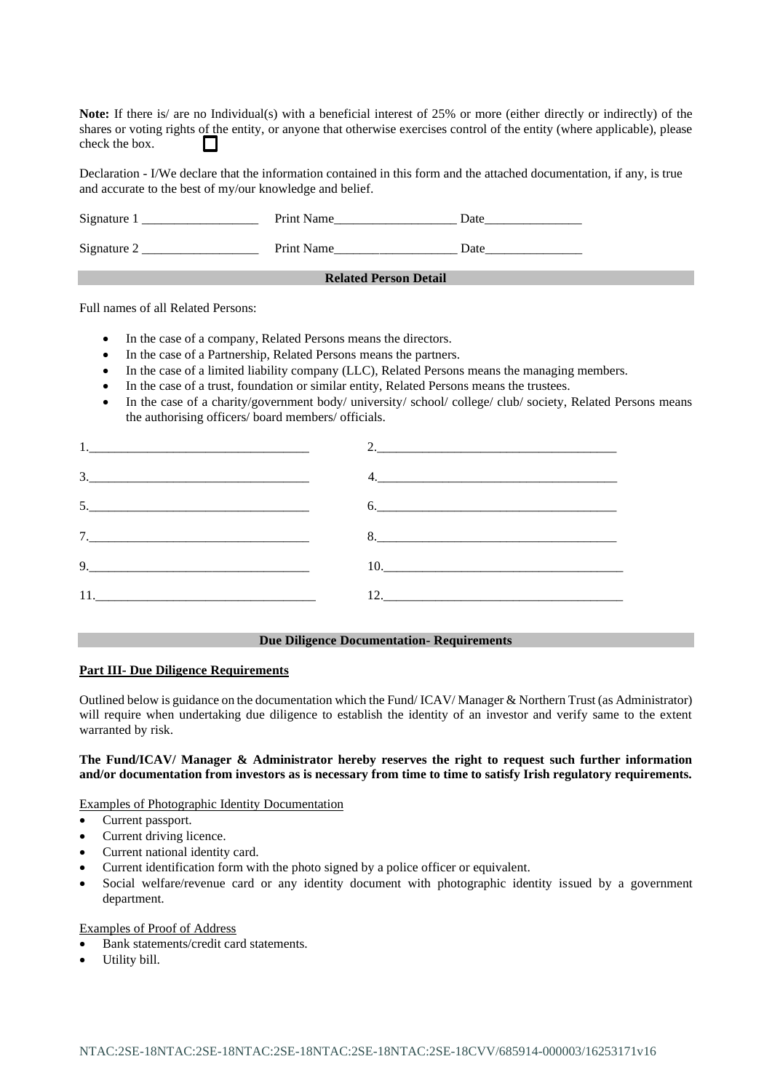**Note:** If there is/ are no Individual(s) with a beneficial interest of 25% or more (either directly or indirectly) of the shares or voting rights of the entity, or anyone that otherwise exercises control of the entity (where applicable), please check the box.

Declaration - I/We declare that the information contained in this form and the attached documentation, if any, is true and accurate to the best of my/our knowledge and belief.

| Signature 1 | Print Name                   | Date |
|-------------|------------------------------|------|
| Signature 2 | Print Name                   | Date |
|             | <b>Related Person Detail</b> |      |

Full names of all Related Persons:

- In the case of a company, Related Persons means the directors.
- In the case of a Partnership, Related Persons means the partners.
- In the case of a limited liability company (LLC), Related Persons means the managing members.
- In the case of a trust, foundation or similar entity, Related Persons means the trustees.
- In the case of a charity/government body/ university/ school/ college/ club/ society, Related Persons means the authorising officers/ board members/ officials.

| $\frac{3}{2}$                                                                                                                                                                                                                                                                                                                                                                                                                   |     |
|---------------------------------------------------------------------------------------------------------------------------------------------------------------------------------------------------------------------------------------------------------------------------------------------------------------------------------------------------------------------------------------------------------------------------------|-----|
|                                                                                                                                                                                                                                                                                                                                                                                                                                 | 6.  |
|                                                                                                                                                                                                                                                                                                                                                                                                                                 |     |
| $9. \qquad \qquad 9. \qquad \qquad 9. \qquad \qquad 9. \qquad \qquad 9. \qquad \qquad 1. \qquad \qquad 1. \qquad \qquad 1. \qquad \qquad 1. \qquad \qquad 1. \qquad \qquad 1. \qquad \qquad 1. \qquad \qquad 1. \qquad \qquad 1. \qquad \qquad 1. \qquad \qquad 1. \qquad \qquad 1. \qquad \qquad 1. \qquad \qquad 1. \qquad \qquad 1. \qquad \qquad 1. \qquad \qquad 1. \qquad \qquad 1. \qquad \qquad 1. \qquad \qquad 1. \q$ |     |
| $11.$ $\blacksquare$                                                                                                                                                                                                                                                                                                                                                                                                            | 12. |

# **Due Diligence Documentation- Requirements**

### **Part III- Due Diligence Requirements**

Outlined below is guidance on the documentation which the Fund/ ICAV/ Manager & Northern Trust (as Administrator) will require when undertaking due diligence to establish the identity of an investor and verify same to the extent warranted by risk.

### **The Fund/ICAV/ Manager & Administrator hereby reserves the right to request such further information and/or documentation from investors as is necessary from time to time to satisfy Irish regulatory requirements.**

Examples of Photographic Identity Documentation

- Current passport.
- Current driving licence.
- Current national identity card.
- Current identification form with the photo signed by a police officer or equivalent.
- Social welfare/revenue card or any identity document with photographic identity issued by a government department.

Examples of Proof of Address

- Bank statements/credit card statements.
- Utility bill.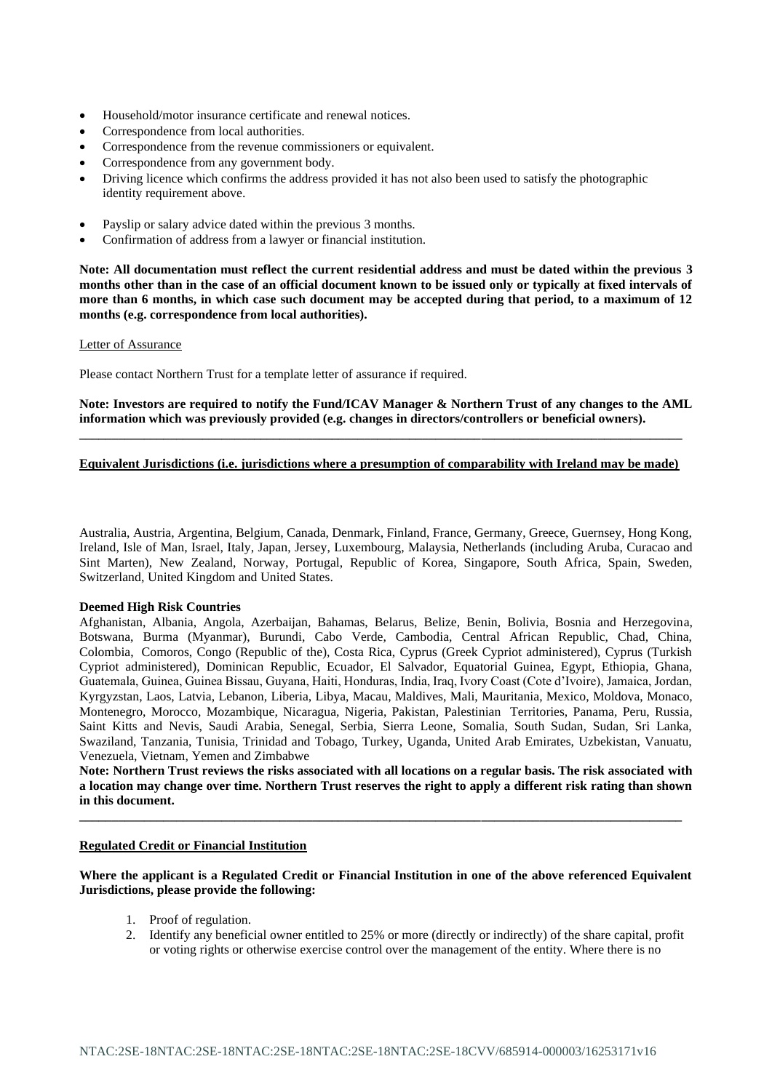- Household/motor insurance certificate and renewal notices.
- Correspondence from local authorities.
- Correspondence from the revenue commissioners or equivalent.
- Correspondence from any government body.
- Driving licence which confirms the address provided it has not also been used to satisfy the photographic identity requirement above.
- Payslip or salary advice dated within the previous 3 months.
- Confirmation of address from a lawyer or financial institution.

**Note: All documentation must reflect the current residential address and must be dated within the previous 3 months other than in the case of an official document known to be issued only or typically at fixed intervals of more than 6 months, in which case such document may be accepted during that period, to a maximum of 12 months (e.g. correspondence from local authorities).** 

**Letter of Assurance** 

Please contact Northern Trust for a template letter of assurance if required.

**Note: Investors are required to notify the Fund/ICAV Manager & Northern Trust of any changes to the AML information which was previously provided (e.g. changes in directors/controllers or beneficial owners).**

# **Equivalent Jurisdictions (i.e. jurisdictions where a presumption of comparability with Ireland may be made)**

**\_\_\_\_\_\_\_\_\_\_\_\_\_\_\_\_\_\_\_\_\_\_\_\_\_\_\_\_\_\_\_\_\_\_\_\_\_\_\_\_\_\_\_\_\_\_\_\_\_\_\_\_\_\_\_\_\_\_\_\_\_\_\_\_\_\_\_\_\_\_\_\_\_\_\_\_\_\_\_\_\_\_\_\_\_\_\_\_\_\_\_\_\_**

Australia, Austria, Argentina, Belgium, Canada, Denmark, Finland, France, Germany, Greece, Guernsey, Hong Kong, Ireland, Isle of Man, Israel, Italy, Japan, Jersey, Luxembourg, Malaysia, Netherlands (including Aruba, Curacao and Sint Marten), New Zealand, Norway, Portugal, Republic of Korea, Singapore, South Africa, Spain, Sweden, Switzerland, United Kingdom and United States.

#### **Deemed High Risk Countries**

Afghanistan, Albania, Angola, Azerbaijan, Bahamas, Belarus, Belize, Benin, Bolivia, Bosnia and Herzegovina, Botswana, Burma (Myanmar), Burundi, Cabo Verde, Cambodia, Central African Republic, Chad, China, Colombia, Comoros, Congo (Republic of the), Costa Rica, Cyprus (Greek Cypriot administered), Cyprus (Turkish Cypriot administered), Dominican Republic, Ecuador, El Salvador, Equatorial Guinea, Egypt, Ethiopia, Ghana, Guatemala, Guinea, Guinea Bissau, Guyana, Haiti, Honduras, India, Iraq, Ivory Coast (Cote d'Ivoire), Jamaica, Jordan, Kyrgyzstan, Laos, Latvia, Lebanon, Liberia, Libya, Macau, Maldives, Mali, Mauritania, Mexico, Moldova, Monaco, Montenegro, Morocco, Mozambique, Nicaragua, Nigeria, Pakistan, Palestinian Territories, Panama, Peru, Russia, Saint Kitts and Nevis, Saudi Arabia, Senegal, Serbia, Sierra Leone, Somalia, South Sudan, Sudan, Sri Lanka, Swaziland, Tanzania, Tunisia, Trinidad and Tobago, Turkey, Uganda, United Arab Emirates, Uzbekistan, Vanuatu, Venezuela, Vietnam, Yemen and Zimbabwe

**Note: Northern Trust reviews the risks associated with all locations on a regular basis. The risk associated with a location may change over time. Northern Trust reserves the right to apply a different risk rating than shown in this document.** 

**\_\_\_\_\_\_\_\_\_\_\_\_\_\_\_\_\_\_\_\_\_\_\_\_\_\_\_\_\_\_\_\_\_\_\_\_\_\_\_\_\_\_\_\_\_\_\_\_\_\_\_\_\_\_\_\_\_\_\_\_\_\_\_\_\_\_\_\_\_\_\_\_\_\_\_\_\_\_\_\_\_\_\_\_\_\_\_\_\_\_\_\_\_**

### **Regulated Credit or Financial Institution**

# **Where the applicant is a Regulated Credit or Financial Institution in one of the above referenced Equivalent Jurisdictions, please provide the following:**

- 1. Proof of regulation.
- 2. Identify any beneficial owner entitled to 25% or more (directly or indirectly) of the share capital, profit or voting rights or otherwise exercise control over the management of the entity. Where there is no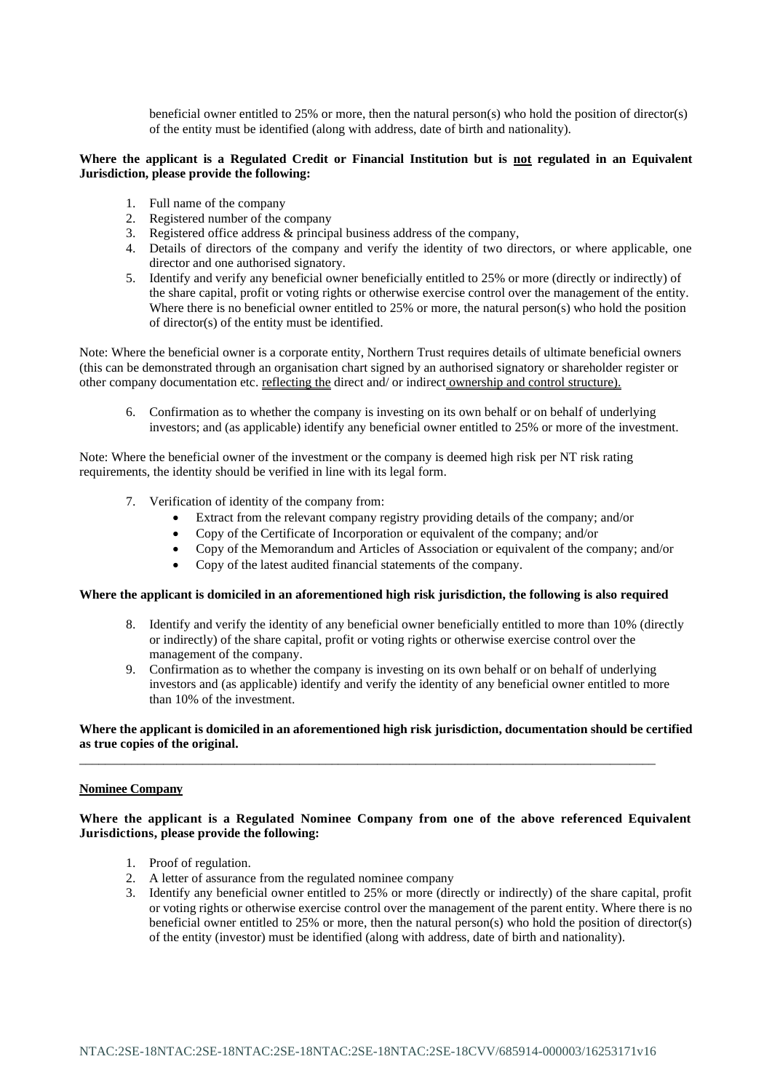beneficial owner entitled to 25% or more, then the natural person(s) who hold the position of director(s) of the entity must be identified (along with address, date of birth and nationality).

### **Where the applicant is a Regulated Credit or Financial Institution but is not regulated in an Equivalent Jurisdiction, please provide the following:**

- 1. Full name of the company
- 2. Registered number of the company
- 3. Registered office address & principal business address of the company,
- 4. Details of directors of the company and verify the identity of two directors, or where applicable, one director and one authorised signatory.
- 5. Identify and verify any beneficial owner beneficially entitled to 25% or more (directly or indirectly) of the share capital, profit or voting rights or otherwise exercise control over the management of the entity. Where there is no beneficial owner entitled to 25% or more, the natural person(s) who hold the position of director(s) of the entity must be identified.

Note: Where the beneficial owner is a corporate entity, Northern Trust requires details of ultimate beneficial owners (this can be demonstrated through an organisation chart signed by an authorised signatory or shareholder register or other company documentation etc. reflecting the direct and/ or indirect ownership and control structure).

6. Confirmation as to whether the company is investing on its own behalf or on behalf of underlying investors; and (as applicable) identify any beneficial owner entitled to 25% or more of the investment.

Note: Where the beneficial owner of the investment or the company is deemed high risk per NT risk rating requirements, the identity should be verified in line with its legal form.

- 7. Verification of identity of the company from:
	- Extract from the relevant company registry providing details of the company; and/or
	- Copy of the Certificate of Incorporation or equivalent of the company; and/or
	- Copy of the Memorandum and Articles of Association or equivalent of the company; and/or
	- Copy of the latest audited financial statements of the company.

#### **Where the applicant is domiciled in an aforementioned high risk jurisdiction, the following is also required**

- 8. Identify and verify the identity of any beneficial owner beneficially entitled to more than 10% (directly or indirectly) of the share capital, profit or voting rights or otherwise exercise control over the management of the company.
- 9. Confirmation as to whether the company is investing on its own behalf or on behalf of underlying investors and (as applicable) identify and verify the identity of any beneficial owner entitled to more than 10% of the investment.

# **Where the applicant is domiciled in an aforementioned high risk jurisdiction, documentation should be certified as true copies of the original.**

\_\_\_\_\_\_\_\_\_\_\_\_\_\_\_\_\_\_\_\_\_\_\_\_\_\_\_\_\_\_\_\_\_\_\_\_\_\_\_\_\_\_\_\_\_\_\_\_\_\_\_\_\_\_\_\_\_\_\_\_\_\_\_\_\_\_\_\_\_\_\_\_\_\_\_\_\_\_\_\_\_\_\_\_\_\_\_\_\_

### **Nominee Company**

# **Where the applicant is a Regulated Nominee Company from one of the above referenced Equivalent Jurisdictions, please provide the following:**

- 1. Proof of regulation.
- 2. A letter of assurance from the regulated nominee company
- 3. Identify any beneficial owner entitled to 25% or more (directly or indirectly) of the share capital, profit or voting rights or otherwise exercise control over the management of the parent entity. Where there is no beneficial owner entitled to 25% or more, then the natural person(s) who hold the position of director(s) of the entity (investor) must be identified (along with address, date of birth and nationality).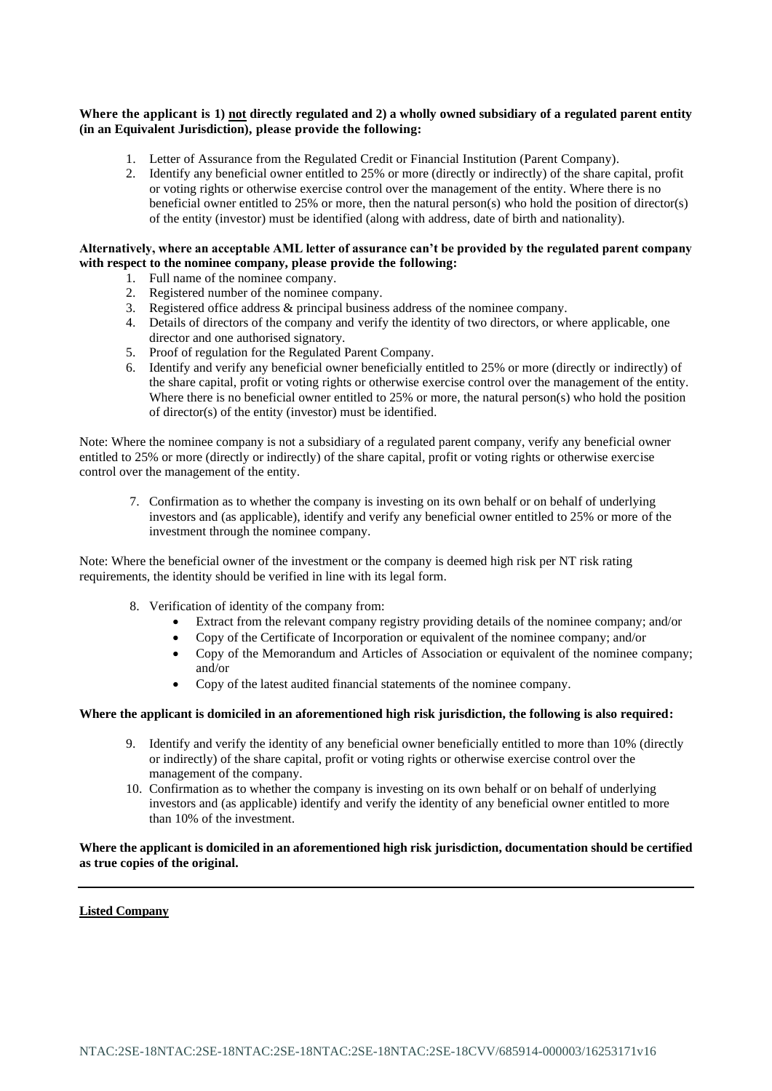# **Where the applicant is 1) not directly regulated and 2) a wholly owned subsidiary of a regulated parent entity (in an Equivalent Jurisdiction), please provide the following:**

- 1. Letter of Assurance from the Regulated Credit or Financial Institution (Parent Company).
- 2. Identify any beneficial owner entitled to 25% or more (directly or indirectly) of the share capital, profit or voting rights or otherwise exercise control over the management of the entity. Where there is no beneficial owner entitled to 25% or more, then the natural person(s) who hold the position of director(s) of the entity (investor) must be identified (along with address, date of birth and nationality).

# **Alternatively, where an acceptable AML letter of assurance can't be provided by the regulated parent company with respect to the nominee company, please provide the following:**

- 1. Full name of the nominee company.
- 2. Registered number of the nominee company.
- 3. Registered office address & principal business address of the nominee company.
- 4. Details of directors of the company and verify the identity of two directors, or where applicable, one director and one authorised signatory.
- 5. Proof of regulation for the Regulated Parent Company.
- 6. Identify and verify any beneficial owner beneficially entitled to 25% or more (directly or indirectly) of the share capital, profit or voting rights or otherwise exercise control over the management of the entity. Where there is no beneficial owner entitled to 25% or more, the natural person(s) who hold the position of director(s) of the entity (investor) must be identified.

Note: Where the nominee company is not a subsidiary of a regulated parent company, verify any beneficial owner entitled to 25% or more (directly or indirectly) of the share capital, profit or voting rights or otherwise exercise control over the management of the entity.

7. Confirmation as to whether the company is investing on its own behalf or on behalf of underlying investors and (as applicable), identify and verify any beneficial owner entitled to 25% or more of the investment through the nominee company.

Note: Where the beneficial owner of the investment or the company is deemed high risk per NT risk rating requirements, the identity should be verified in line with its legal form.

- 8. Verification of identity of the company from:
	- Extract from the relevant company registry providing details of the nominee company; and/or
	- Copy of the Certificate of Incorporation or equivalent of the nominee company; and/or
	- Copy of the Memorandum and Articles of Association or equivalent of the nominee company; and/or
	- Copy of the latest audited financial statements of the nominee company.

# **Where the applicant is domiciled in an aforementioned high risk jurisdiction, the following is also required:**

- 9. Identify and verify the identity of any beneficial owner beneficially entitled to more than 10% (directly or indirectly) of the share capital, profit or voting rights or otherwise exercise control over the management of the company.
- 10. Confirmation as to whether the company is investing on its own behalf or on behalf of underlying investors and (as applicable) identify and verify the identity of any beneficial owner entitled to more than 10% of the investment.

**Where the applicant is domiciled in an aforementioned high risk jurisdiction, documentation should be certified as true copies of the original.**

#### **Listed Company**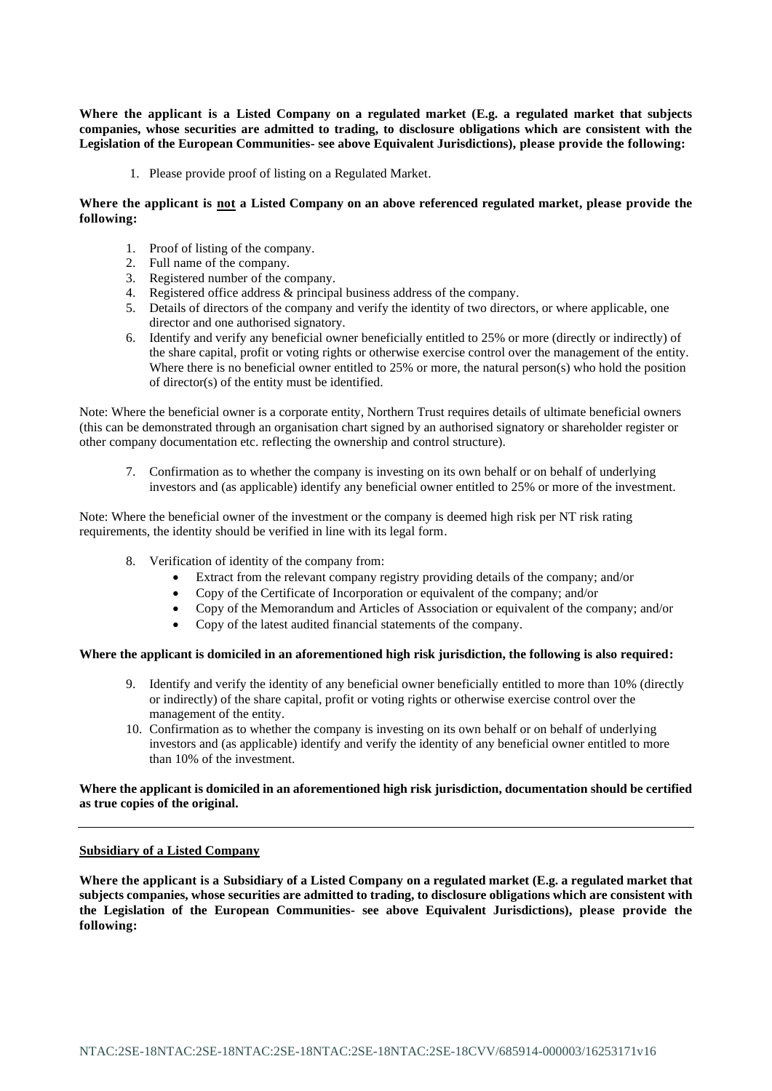**Where the applicant is a Listed Company on a regulated market (E.g. a regulated market that subjects companies, whose securities are admitted to trading, to disclosure obligations which are consistent with the Legislation of the European Communities- see above Equivalent Jurisdictions), please provide the following:**

1. Please provide proof of listing on a Regulated Market.

# **Where the applicant is not a Listed Company on an above referenced regulated market, please provide the following:**

- 1. Proof of listing of the company.
- 2. Full name of the company.
- 3. Registered number of the company.
- 4. Registered office address & principal business address of the company.
- 5. Details of directors of the company and verify the identity of two directors, or where applicable, one director and one authorised signatory.
- 6. Identify and verify any beneficial owner beneficially entitled to 25% or more (directly or indirectly) of the share capital, profit or voting rights or otherwise exercise control over the management of the entity. Where there is no beneficial owner entitled to 25% or more, the natural person(s) who hold the position of director(s) of the entity must be identified.

Note: Where the beneficial owner is a corporate entity, Northern Trust requires details of ultimate beneficial owners (this can be demonstrated through an organisation chart signed by an authorised signatory or shareholder register or other company documentation etc. reflecting the ownership and control structure).

7. Confirmation as to whether the company is investing on its own behalf or on behalf of underlying investors and (as applicable) identify any beneficial owner entitled to 25% or more of the investment.

Note: Where the beneficial owner of the investment or the company is deemed high risk per NT risk rating requirements, the identity should be verified in line with its legal form.

- 8. Verification of identity of the company from:
	- Extract from the relevant company registry providing details of the company; and/or
	- Copy of the Certificate of Incorporation or equivalent of the company; and/or
	- Copy of the Memorandum and Articles of Association or equivalent of the company; and/or
	- Copy of the latest audited financial statements of the company.

# **Where the applicant is domiciled in an aforementioned high risk jurisdiction, the following is also required:**

- 9. Identify and verify the identity of any beneficial owner beneficially entitled to more than 10% (directly or indirectly) of the share capital, profit or voting rights or otherwise exercise control over the management of the entity.
- 10. Confirmation as to whether the company is investing on its own behalf or on behalf of underlying investors and (as applicable) identify and verify the identity of any beneficial owner entitled to more than 10% of the investment.

# **Where the applicant is domiciled in an aforementioned high risk jurisdiction, documentation should be certified as true copies of the original.**

# **Subsidiary of a Listed Company**

**Where the applicant is a Subsidiary of a Listed Company on a regulated market (E.g. a regulated market that subjects companies, whose securities are admitted to trading, to disclosure obligations which are consistent with the Legislation of the European Communities- see above Equivalent Jurisdictions), please provide the following:**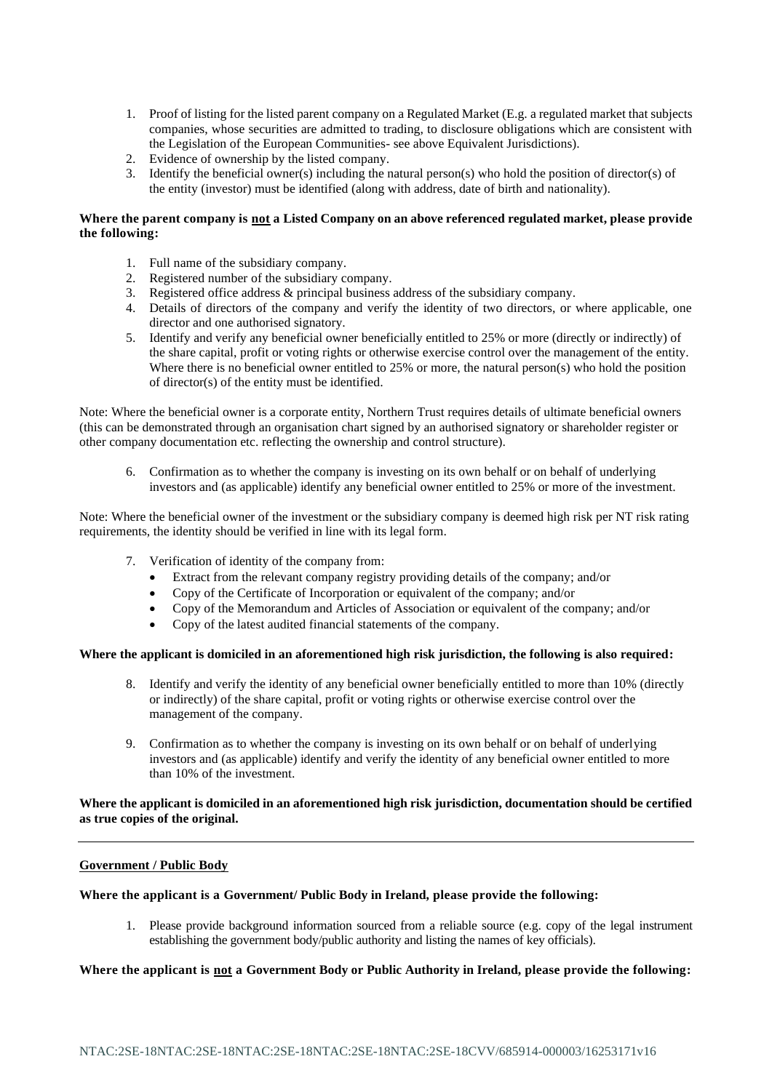- 1. Proof of listing for the listed parent company on a Regulated Market (E.g. a regulated market that subjects companies, whose securities are admitted to trading, to disclosure obligations which are consistent with the Legislation of the European Communities- see above Equivalent Jurisdictions).
- 2. Evidence of ownership by the listed company.
- 3. Identify the beneficial owner(s) including the natural person(s) who hold the position of director(s) of the entity (investor) must be identified (along with address, date of birth and nationality).

# **Where the parent company is not a Listed Company on an above referenced regulated market, please provide the following:**

- 1. Full name of the subsidiary company.
- 2. Registered number of the subsidiary company.
- 3. Registered office address & principal business address of the subsidiary company.
- 4. Details of directors of the company and verify the identity of two directors, or where applicable, one director and one authorised signatory.
- 5. Identify and verify any beneficial owner beneficially entitled to 25% or more (directly or indirectly) of the share capital, profit or voting rights or otherwise exercise control over the management of the entity. Where there is no beneficial owner entitled to 25% or more, the natural person(s) who hold the position of director(s) of the entity must be identified.

Note: Where the beneficial owner is a corporate entity, Northern Trust requires details of ultimate beneficial owners (this can be demonstrated through an organisation chart signed by an authorised signatory or shareholder register or other company documentation etc. reflecting the ownership and control structure).

6. Confirmation as to whether the company is investing on its own behalf or on behalf of underlying investors and (as applicable) identify any beneficial owner entitled to 25% or more of the investment.

Note: Where the beneficial owner of the investment or the subsidiary company is deemed high risk per NT risk rating requirements, the identity should be verified in line with its legal form.

- 7. Verification of identity of the company from:
	- Extract from the relevant company registry providing details of the company; and/or
	- Copy of the Certificate of Incorporation or equivalent of the company; and/or
	- Copy of the Memorandum and Articles of Association or equivalent of the company; and/or
	- Copy of the latest audited financial statements of the company.

# **Where the applicant is domiciled in an aforementioned high risk jurisdiction, the following is also required:**

- 8. Identify and verify the identity of any beneficial owner beneficially entitled to more than 10% (directly or indirectly) of the share capital, profit or voting rights or otherwise exercise control over the management of the company.
- 9. Confirmation as to whether the company is investing on its own behalf or on behalf of underlying investors and (as applicable) identify and verify the identity of any beneficial owner entitled to more than 10% of the investment.

# **Where the applicant is domiciled in an aforementioned high risk jurisdiction, documentation should be certified as true copies of the original.**

#### **Government / Public Body**

#### **Where the applicant is a Government/ Public Body in Ireland, please provide the following:**

1. Please provide background information sourced from a reliable source (e.g. copy of the legal instrument establishing the government body/public authority and listing the names of key officials).

# **Where the applicant is not a Government Body or Public Authority in Ireland, please provide the following:**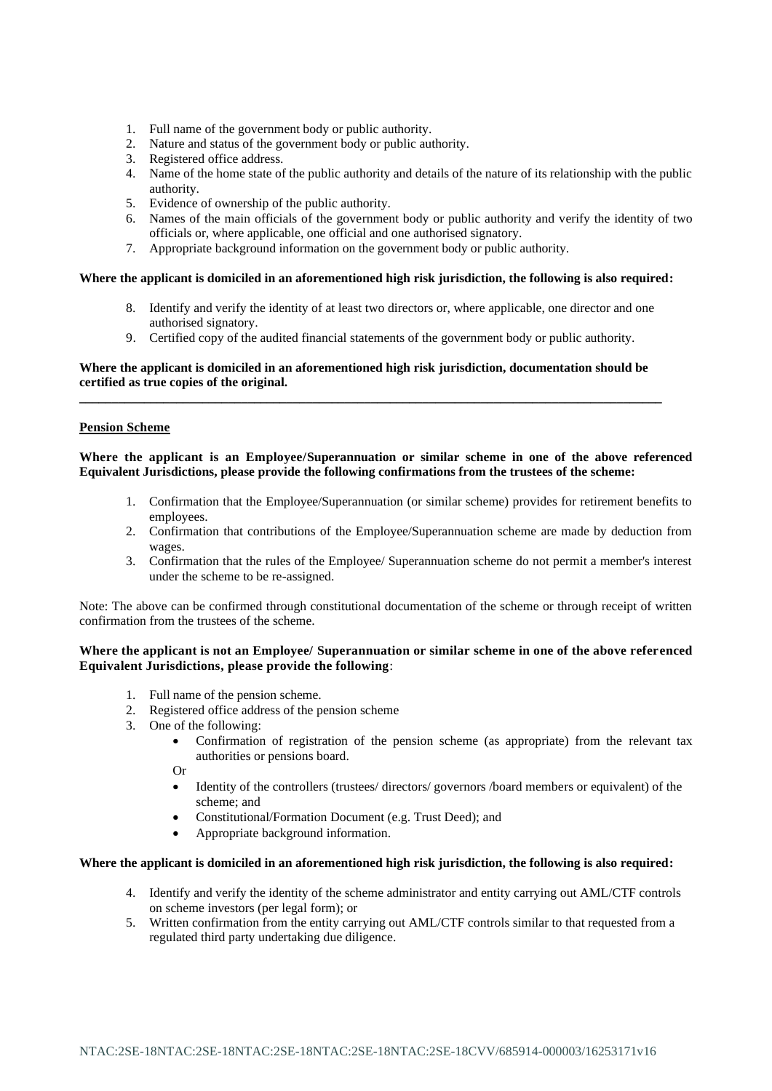- 1. Full name of the government body or public authority.
- 2. Nature and status of the government body or public authority.
- 3. Registered office address.
- 4. Name of the home state of the public authority and details of the nature of its relationship with the public authority.
- 5. Evidence of ownership of the public authority.
- 6. Names of the main officials of the government body or public authority and verify the identity of two officials or, where applicable, one official and one authorised signatory.
- 7. Appropriate background information on the government body or public authority.

### **Where the applicant is domiciled in an aforementioned high risk jurisdiction, the following is also required:**

- 8. Identify and verify the identity of at least two directors or, where applicable, one director and one authorised signatory.
- 9. Certified copy of the audited financial statements of the government body or public authority.

# **Where the applicant is domiciled in an aforementioned high risk jurisdiction, documentation should be certified as true copies of the original. \_\_\_\_\_\_\_\_\_\_\_\_\_\_\_\_\_\_\_\_\_\_\_\_\_\_\_\_\_\_\_\_\_\_\_\_\_\_\_\_\_\_\_\_\_\_\_\_\_\_\_\_\_\_\_\_\_\_\_\_\_\_\_\_\_\_\_\_\_\_\_\_\_\_\_\_\_\_\_\_\_\_\_\_\_\_\_\_\_\_**

# **Pension Scheme**

# **Where the applicant is an Employee/Superannuation or similar scheme in one of the above referenced Equivalent Jurisdictions, please provide the following confirmations from the trustees of the scheme:**

- 1. Confirmation that the Employee/Superannuation (or similar scheme) provides for retirement benefits to employees.
- 2. Confirmation that contributions of the Employee/Superannuation scheme are made by deduction from wages.
- 3. Confirmation that the rules of the Employee/ Superannuation scheme do not permit a member's interest under the scheme to be re-assigned.

Note: The above can be confirmed through constitutional documentation of the scheme or through receipt of written confirmation from the trustees of the scheme.

# **Where the applicant is not an Employee/ Superannuation or similar scheme in one of the above referenced Equivalent Jurisdictions, please provide the following**:

- 1. Full name of the pension scheme.
- 2. Registered office address of the pension scheme
- 3. One of the following:
	- Confirmation of registration of the pension scheme (as appropriate) from the relevant tax authorities or pensions board.
	- Or
	- Identity of the controllers (trustees/ directors/ governors /board members or equivalent) of the scheme; and
	- Constitutional/Formation Document (e.g. Trust Deed); and
	- Appropriate background information.

## **Where the applicant is domiciled in an aforementioned high risk jurisdiction, the following is also required:**

- 4. Identify and verify the identity of the scheme administrator and entity carrying out AML/CTF controls on scheme investors (per legal form); or
- 5. Written confirmation from the entity carrying out AML/CTF controls similar to that requested from a regulated third party undertaking due diligence.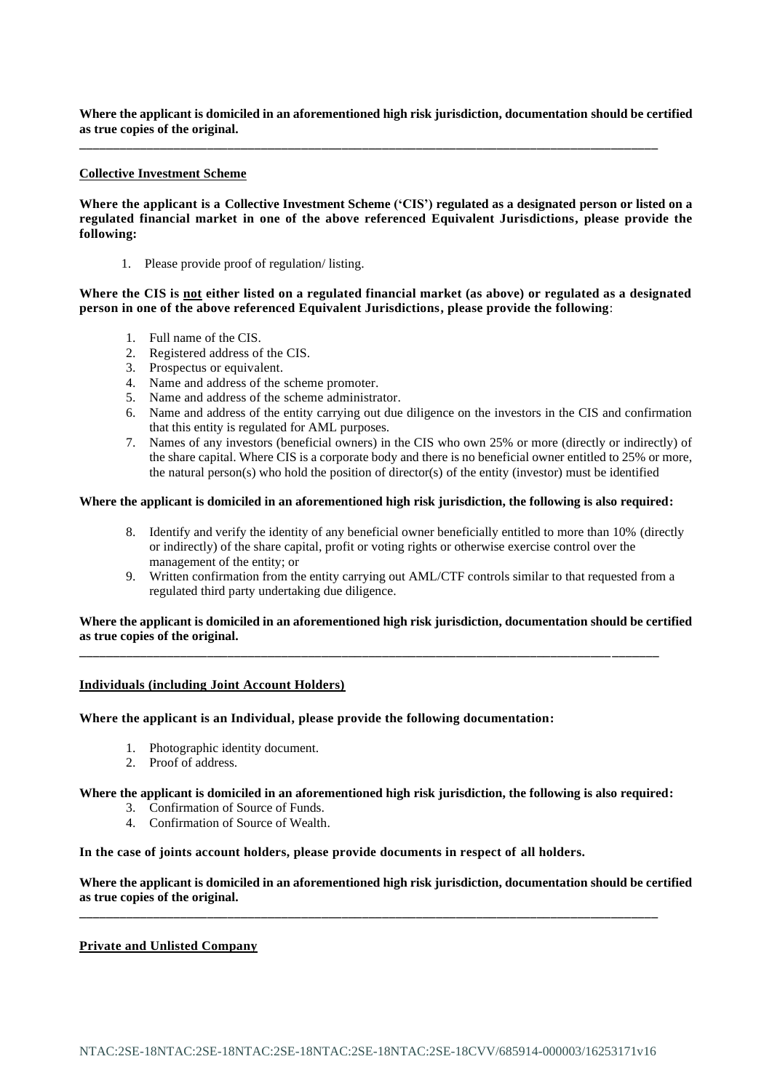**Where the applicant is domiciled in an aforementioned high risk jurisdiction, documentation should be certified as true copies of the original.**

**\_\_\_\_\_\_\_\_\_\_\_\_\_\_\_\_\_\_\_\_\_\_\_\_\_\_\_\_\_\_\_\_\_\_\_\_\_\_\_\_\_\_\_\_\_\_\_\_\_\_\_\_\_\_\_\_\_\_\_\_\_\_\_\_\_\_\_\_\_\_\_\_\_\_\_\_\_\_\_\_\_\_\_\_\_\_**

### **Collective Investment Scheme**

**Where the applicant is a Collective Investment Scheme ('CIS') regulated as a designated person or listed on a regulated financial market in one of the above referenced Equivalent Jurisdictions, please provide the following:**

1. Please provide proof of regulation/ listing.

**Where the CIS is not either listed on a regulated financial market (as above) or regulated as a designated person in one of the above referenced Equivalent Jurisdictions, please provide the following**:

- 1. Full name of the CIS.
- 2. Registered address of the CIS.
- 3. Prospectus or equivalent.
- 4. Name and address of the scheme promoter.
- 5. Name and address of the scheme administrator.
- 6. Name and address of the entity carrying out due diligence on the investors in the CIS and confirmation that this entity is regulated for AML purposes.
- 7. Names of any investors (beneficial owners) in the CIS who own 25% or more (directly or indirectly) of the share capital. Where CIS is a corporate body and there is no beneficial owner entitled to 25% or more, the natural person(s) who hold the position of director(s) of the entity (investor) must be identified

### **Where the applicant is domiciled in an aforementioned high risk jurisdiction, the following is also required:**

- 8. Identify and verify the identity of any beneficial owner beneficially entitled to more than 10% (directly or indirectly) of the share capital, profit or voting rights or otherwise exercise control over the management of the entity; or
- 9. Written confirmation from the entity carrying out AML/CTF controls similar to that requested from a regulated third party undertaking due diligence.

### **Where the applicant is domiciled in an aforementioned high risk jurisdiction, documentation should be certified as true copies of the original.**

**\_\_\_\_\_\_\_\_\_\_\_\_\_\_\_\_\_\_\_\_\_\_\_\_\_\_\_\_\_\_\_\_\_\_\_\_\_\_\_\_\_\_\_\_\_\_\_\_\_\_\_\_\_\_\_\_\_\_\_\_\_\_\_\_\_\_\_\_\_\_\_\_\_\_\_\_\_\_\_\_\_\_\_\_\_\_**

#### **Individuals (including Joint Account Holders)**

### **Where the applicant is an Individual, please provide the following documentation:**

- 1. Photographic identity document.
- 2. Proof of address.

**Where the applicant is domiciled in an aforementioned high risk jurisdiction, the following is also required:**

- 3. Confirmation of Source of Funds.
- 4. Confirmation of Source of Wealth.

# **In the case of joints account holders, please provide documents in respect of all holders.**

**Where the applicant is domiciled in an aforementioned high risk jurisdiction, documentation should be certified as true copies of the original.**

**\_\_\_\_\_\_\_\_\_\_\_\_\_\_\_\_\_\_\_\_\_\_\_\_\_\_\_\_\_\_\_\_\_\_\_\_\_\_\_\_\_\_\_\_\_\_\_\_\_\_\_\_\_\_\_\_\_\_\_\_\_\_\_\_\_\_\_\_\_\_\_\_\_\_\_\_\_\_\_\_\_\_\_\_\_\_**

# **Private and Unlisted Company**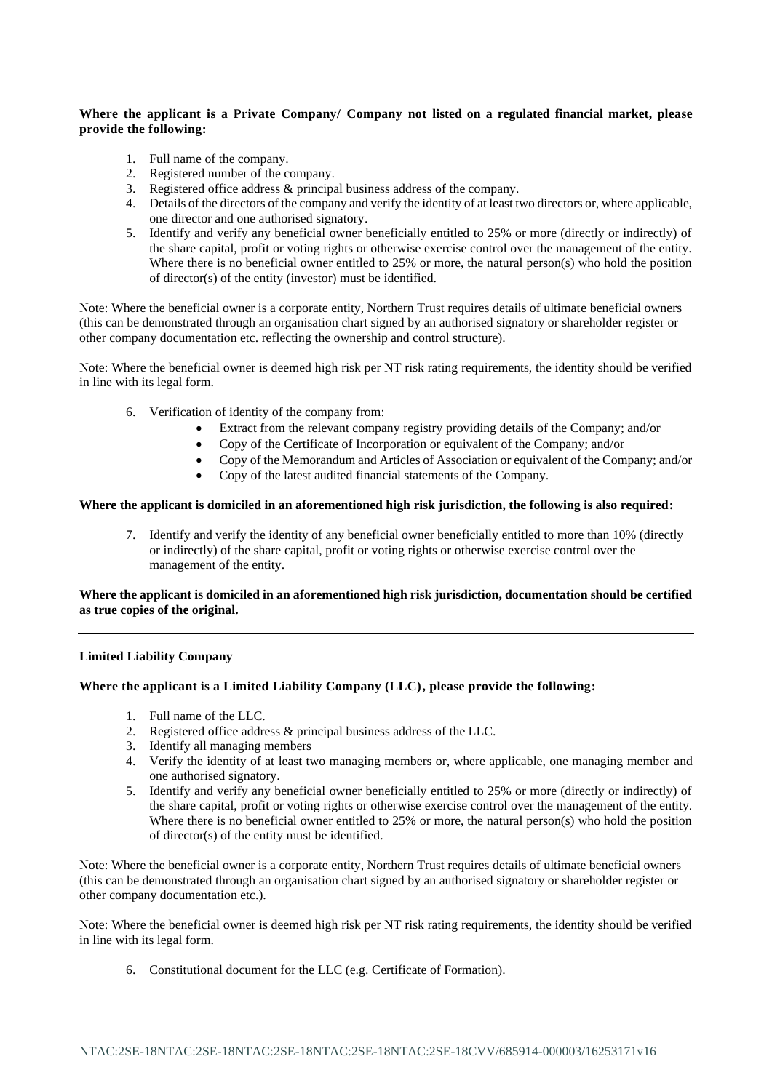# **Where the applicant is a Private Company/ Company not listed on a regulated financial market, please provide the following:**

- 1. Full name of the company.
- 2. Registered number of the company.
- 3. Registered office address  $\&$  principal business address of the company.
- 4. Details of the directors of the company and verify the identity of at least two directors or, where applicable, one director and one authorised signatory.
- 5. Identify and verify any beneficial owner beneficially entitled to 25% or more (directly or indirectly) of the share capital, profit or voting rights or otherwise exercise control over the management of the entity. Where there is no beneficial owner entitled to 25% or more, the natural person(s) who hold the position of director(s) of the entity (investor) must be identified.

Note: Where the beneficial owner is a corporate entity, Northern Trust requires details of ultimate beneficial owners (this can be demonstrated through an organisation chart signed by an authorised signatory or shareholder register or other company documentation etc. reflecting the ownership and control structure).

Note: Where the beneficial owner is deemed high risk per NT risk rating requirements, the identity should be verified in line with its legal form.

- 6. Verification of identity of the company from:
	- Extract from the relevant company registry providing details of the Company; and/or
	- Copy of the Certificate of Incorporation or equivalent of the Company; and/or
	- Copy of the Memorandum and Articles of Association or equivalent of the Company; and/or
	- Copy of the latest audited financial statements of the Company.

# **Where the applicant is domiciled in an aforementioned high risk jurisdiction, the following is also required:**

7. Identify and verify the identity of any beneficial owner beneficially entitled to more than 10% (directly or indirectly) of the share capital, profit or voting rights or otherwise exercise control over the management of the entity.

### **Where the applicant is domiciled in an aforementioned high risk jurisdiction, documentation should be certified as true copies of the original.**

# **Limited Liability Company**

# **Where the applicant is a Limited Liability Company (LLC), please provide the following:**

- 1. Full name of the LLC.
- 2. Registered office address & principal business address of the LLC.
- 3. Identify all managing members
- 4. Verify the identity of at least two managing members or, where applicable, one managing member and one authorised signatory.
- 5. Identify and verify any beneficial owner beneficially entitled to 25% or more (directly or indirectly) of the share capital, profit or voting rights or otherwise exercise control over the management of the entity. Where there is no beneficial owner entitled to 25% or more, the natural person(s) who hold the position of director(s) of the entity must be identified.

Note: Where the beneficial owner is a corporate entity, Northern Trust requires details of ultimate beneficial owners (this can be demonstrated through an organisation chart signed by an authorised signatory or shareholder register or other company documentation etc.).

Note: Where the beneficial owner is deemed high risk per NT risk rating requirements, the identity should be verified in line with its legal form.

6. Constitutional document for the LLC (e.g. Certificate of Formation).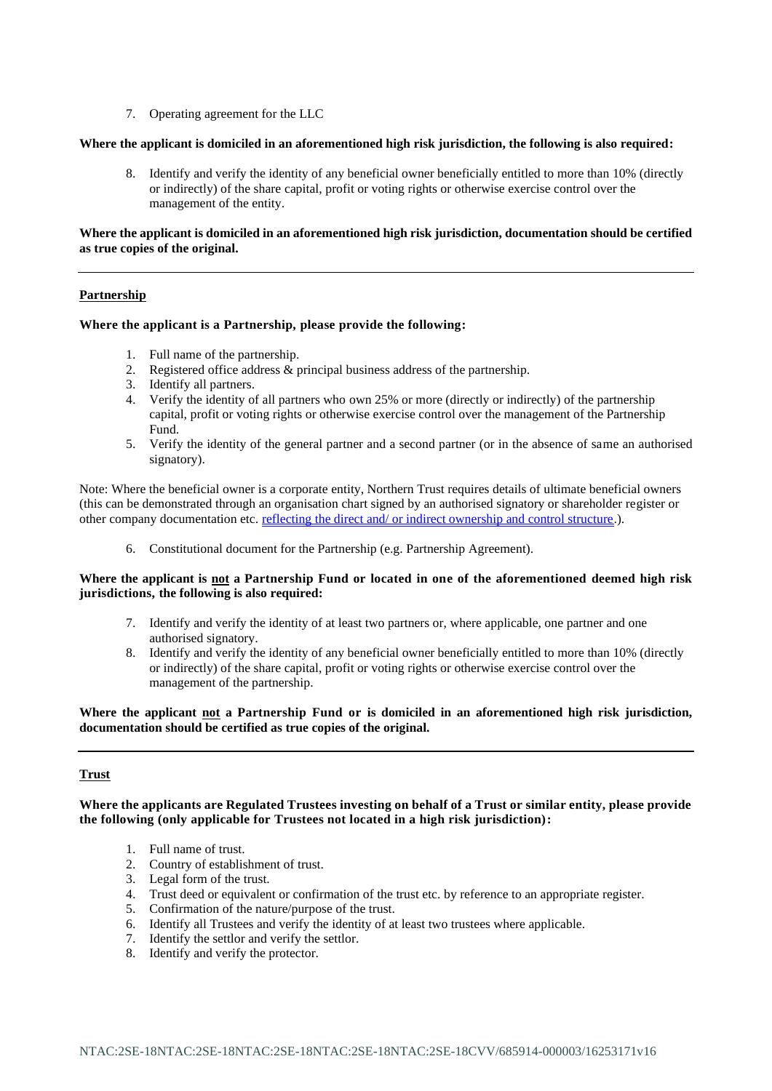7. Operating agreement for the LLC

#### **Where the applicant is domiciled in an aforementioned high risk jurisdiction, the following is also required:**

8. Identify and verify the identity of any beneficial owner beneficially entitled to more than 10% (directly or indirectly) of the share capital, profit or voting rights or otherwise exercise control over the management of the entity.

# **Where the applicant is domiciled in an aforementioned high risk jurisdiction, documentation should be certified as true copies of the original.**

### **Partnership**

### **Where the applicant is a Partnership, please provide the following:**

- 1. Full name of the partnership.
- 2. Registered office address & principal business address of the partnership.
- 3. Identify all partners.
- 4. Verify the identity of all partners who own 25% or more (directly or indirectly) of the partnership capital, profit or voting rights or otherwise exercise control over the management of the Partnership Fund.
- 5. Verify the identity of the general partner and a second partner (or in the absence of same an authorised signatory).

Note: Where the beneficial owner is a corporate entity, Northern Trust requires details of ultimate beneficial owners (this can be demonstrated through an organisation chart signed by an authorised signatory or shareholder register or other company documentation etc. reflecting the direct and/ or indirect ownership and control structure.).

6. Constitutional document for the Partnership (e.g. Partnership Agreement).

# **Where the applicant is not a Partnership Fund or located in one of the aforementioned deemed high risk jurisdictions, the following is also required:**

- 7. Identify and verify the identity of at least two partners or, where applicable, one partner and one authorised signatory.
- 8. Identify and verify the identity of any beneficial owner beneficially entitled to more than 10% (directly or indirectly) of the share capital, profit or voting rights or otherwise exercise control over the management of the partnership.

# **Where the applicant not a Partnership Fund or is domiciled in an aforementioned high risk jurisdiction, documentation should be certified as true copies of the original.**

# **Trust**

**Where the applicants are Regulated Trustees investing on behalf of a Trust or similar entity, please provide the following (only applicable for Trustees not located in a high risk jurisdiction):**

- 1. Full name of trust.
- 2. Country of establishment of trust.
- 3. Legal form of the trust.
- 4. Trust deed or equivalent or confirmation of the trust etc. by reference to an appropriate register.
- 5. Confirmation of the nature/purpose of the trust.
- 6. Identify all Trustees and verify the identity of at least two trustees where applicable.
- 7. Identify the settlor and verify the settlor.
- 8. Identify and verify the protector.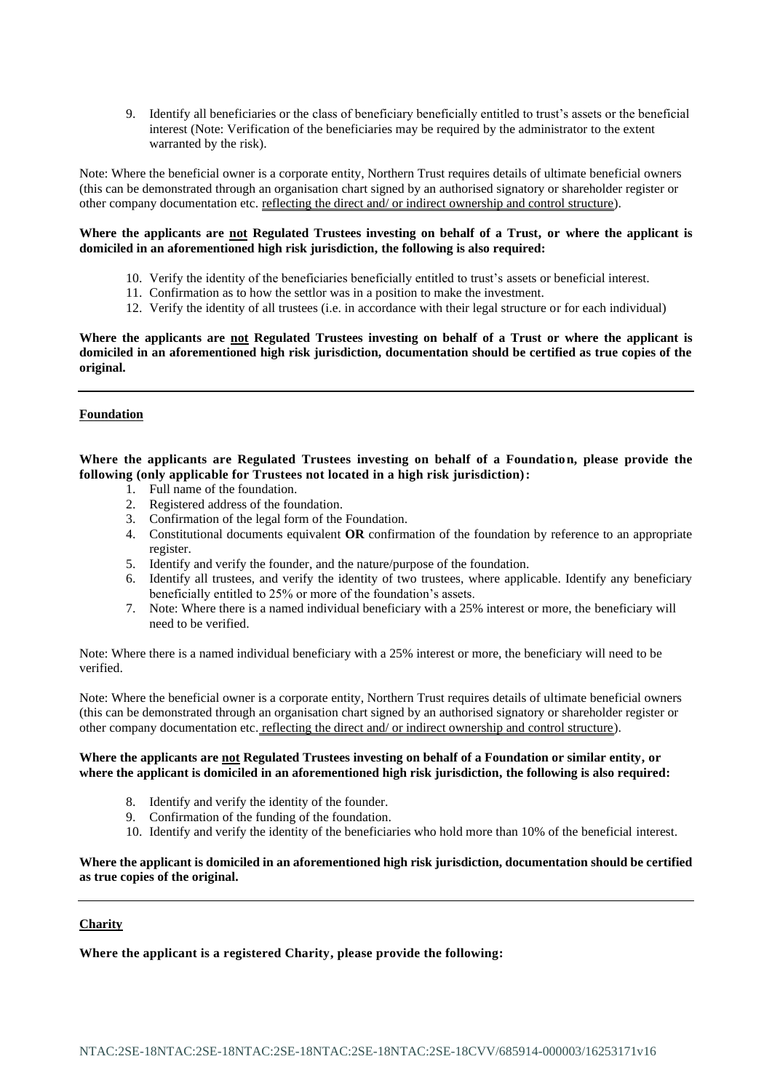9. Identify all beneficiaries or the class of beneficiary beneficially entitled to trust's assets or the beneficial interest (Note: Verification of the beneficiaries may be required by the administrator to the extent warranted by the risk).

Note: Where the beneficial owner is a corporate entity, Northern Trust requires details of ultimate beneficial owners (this can be demonstrated through an organisation chart signed by an authorised signatory or shareholder register or other company documentation etc. reflecting the direct and/ or indirect ownership and control structure).

# **Where the applicants are not Regulated Trustees investing on behalf of a Trust, or where the applicant is domiciled in an aforementioned high risk jurisdiction, the following is also required:**

- 10. Verify the identity of the beneficiaries beneficially entitled to trust's assets or beneficial interest.
- 11. Confirmation as to how the settlor was in a position to make the investment.
- 12. Verify the identity of all trustees (i.e. in accordance with their legal structure or for each individual)

**Where the applicants are not Regulated Trustees investing on behalf of a Trust or where the applicant is domiciled in an aforementioned high risk jurisdiction, documentation should be certified as true copies of the original.**

# **Foundation**

**Where the applicants are Regulated Trustees investing on behalf of a Foundation, please provide the following (only applicable for Trustees not located in a high risk jurisdiction):**

- 1. Full name of the foundation.
- 2. Registered address of the foundation.
- 3. Confirmation of the legal form of the Foundation.
- 4. Constitutional documents equivalent **OR** confirmation of the foundation by reference to an appropriate register.
- 5. Identify and verify the founder, and the nature/purpose of the foundation.
- 6. Identify all trustees, and verify the identity of two trustees, where applicable. Identify any beneficiary beneficially entitled to 25% or more of the foundation's assets.
- 7. Note: Where there is a named individual beneficiary with a 25% interest or more, the beneficiary will need to be verified.

Note: Where there is a named individual beneficiary with a 25% interest or more, the beneficiary will need to be verified.

Note: Where the beneficial owner is a corporate entity, Northern Trust requires details of ultimate beneficial owners (this can be demonstrated through an organisation chart signed by an authorised signatory or shareholder register or other company documentation etc. reflecting the direct and/ or indirect ownership and control structure).

# **Where the applicants are not Regulated Trustees investing on behalf of a Foundation or similar entity, or where the applicant is domiciled in an aforementioned high risk jurisdiction, the following is also required:**

- 8. Identify and verify the identity of the founder.
- 9. Confirmation of the funding of the foundation.
- 10. Identify and verify the identity of the beneficiaries who hold more than 10% of the beneficial interest.

# **Where the applicant is domiciled in an aforementioned high risk jurisdiction, documentation should be certified as true copies of the original.**

# **Charity**

**Where the applicant is a registered Charity, please provide the following:**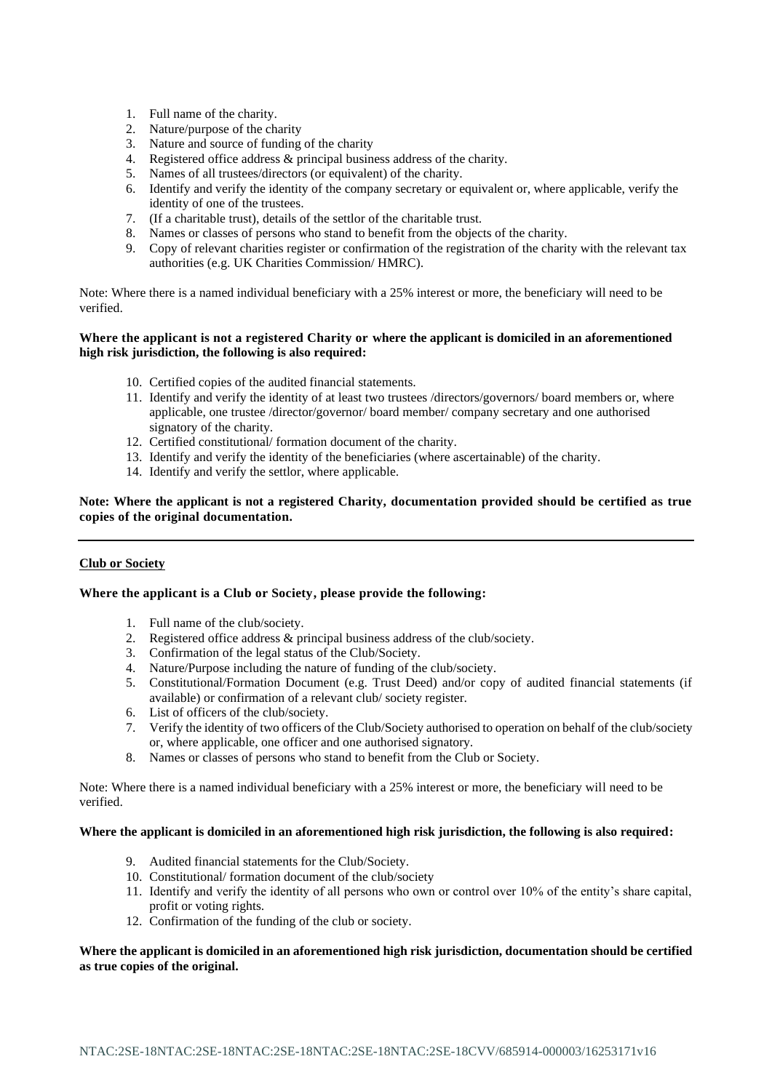- 1. Full name of the charity.
- 2. Nature/purpose of the charity
- 3. Nature and source of funding of the charity
- 4. Registered office address & principal business address of the charity.
- 5. Names of all trustees/directors (or equivalent) of the charity.
- 6. Identify and verify the identity of the company secretary or equivalent or, where applicable, verify the identity of one of the trustees.
- 7. (If a charitable trust), details of the settlor of the charitable trust.
- 8. Names or classes of persons who stand to benefit from the objects of the charity.
- 9. Copy of relevant charities register or confirmation of the registration of the charity with the relevant tax authorities (e.g. UK Charities Commission/ HMRC).

Note: Where there is a named individual beneficiary with a 25% interest or more, the beneficiary will need to be verified.

# **Where the applicant is not a registered Charity or where the applicant is domiciled in an aforementioned high risk jurisdiction, the following is also required:**

- 10. Certified copies of the audited financial statements.
- 11. Identify and verify the identity of at least two trustees /directors/governors/ board members or, where applicable, one trustee /director/governor/ board member/ company secretary and one authorised signatory of the charity.
- 12. Certified constitutional/ formation document of the charity.
- 13. Identify and verify the identity of the beneficiaries (where ascertainable) of the charity.
- 14. Identify and verify the settlor, where applicable.

# **Note: Where the applicant is not a registered Charity, documentation provided should be certified as true copies of the original documentation.**

# **Club or Society**

# **Where the applicant is a Club or Society, please provide the following:**

- 1. Full name of the club/society.
- 2. Registered office address & principal business address of the club/society.
- 3. Confirmation of the legal status of the Club/Society.
- 4. Nature/Purpose including the nature of funding of the club/society.
- 5. Constitutional/Formation Document (e.g. Trust Deed) and/or copy of audited financial statements (if available) or confirmation of a relevant club/ society register.
- 6. List of officers of the club/society.
- 7. Verify the identity of two officers of the Club/Society authorised to operation on behalf of the club/society or, where applicable, one officer and one authorised signatory.
- 8. Names or classes of persons who stand to benefit from the Club or Society.

Note: Where there is a named individual beneficiary with a 25% interest or more, the beneficiary will need to be verified.

### **Where the applicant is domiciled in an aforementioned high risk jurisdiction, the following is also required:**

- 9. Audited financial statements for the Club/Society.
- 10. Constitutional/ formation document of the club/society
- 11. Identify and verify the identity of all persons who own or control over 10% of the entity's share capital, profit or voting rights.
- 12. Confirmation of the funding of the club or society.

# **Where the applicant is domiciled in an aforementioned high risk jurisdiction, documentation should be certified as true copies of the original.**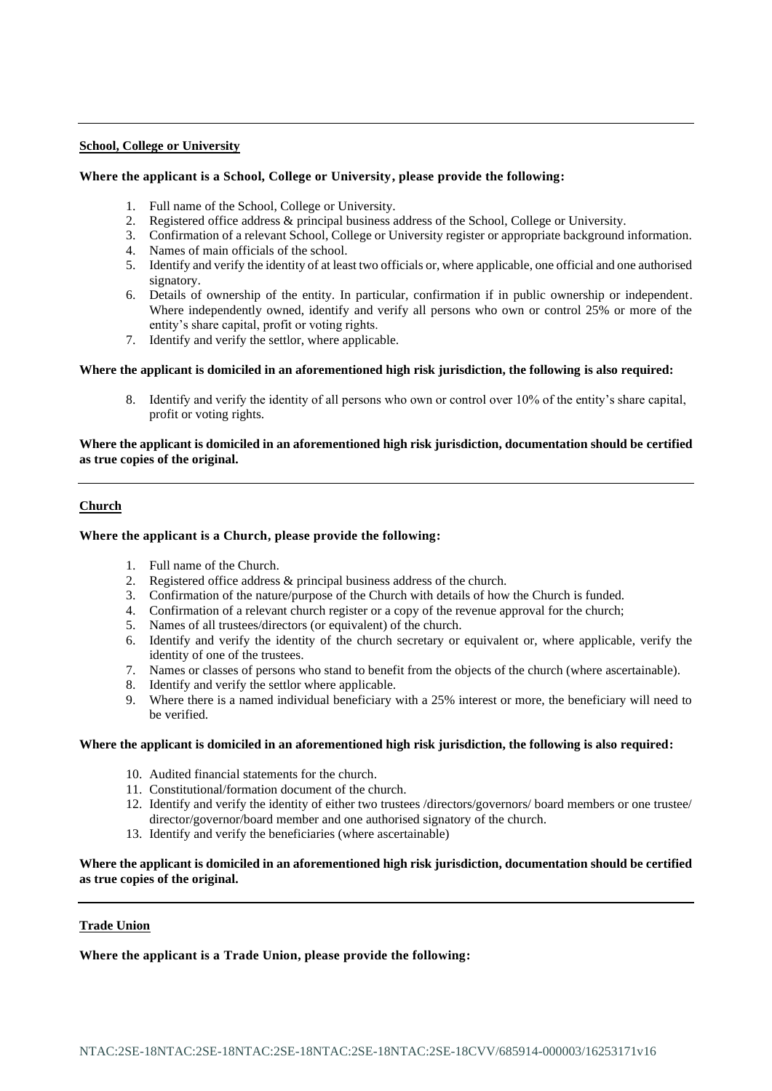### **School, College or University**

# **Where the applicant is a School, College or University, please provide the following:**

- 1. Full name of the School, College or University.
- 2. Registered office address & principal business address of the School, College or University.
- 3. Confirmation of a relevant School, College or University register or appropriate background information.
- 4. Names of main officials of the school.
- 5. Identify and verify the identity of at least two officials or, where applicable, one official and one authorised signatory.
- 6. Details of ownership of the entity. In particular, confirmation if in public ownership or independent. Where independently owned, identify and verify all persons who own or control 25% or more of the entity's share capital, profit or voting rights.
- 7. Identify and verify the settlor, where applicable.

### **Where the applicant is domiciled in an aforementioned high risk jurisdiction, the following is also required:**

8. Identify and verify the identity of all persons who own or control over 10% of the entity's share capital, profit or voting rights.

# **Where the applicant is domiciled in an aforementioned high risk jurisdiction, documentation should be certified as true copies of the original.**

# **Church**

### **Where the applicant is a Church, please provide the following:**

- 1. Full name of the Church.
- 2. Registered office address & principal business address of the church.
- 3. Confirmation of the nature/purpose of the Church with details of how the Church is funded.
- 4. Confirmation of a relevant church register or a copy of the revenue approval for the church;
- 5. Names of all trustees/directors (or equivalent) of the church.
- 6. Identify and verify the identity of the church secretary or equivalent or, where applicable, verify the identity of one of the trustees.
- 7. Names or classes of persons who stand to benefit from the objects of the church (where ascertainable).
- 8. Identify and verify the settlor where applicable.
- 9. Where there is a named individual beneficiary with a 25% interest or more, the beneficiary will need to be verified.

#### **Where the applicant is domiciled in an aforementioned high risk jurisdiction, the following is also required:**

- 10. Audited financial statements for the church.
- 11. Constitutional/formation document of the church.
- 12. Identify and verify the identity of either two trustees /directors/governors/ board members or one trustee/ director/governor/board member and one authorised signatory of the church.
- 13. Identify and verify the beneficiaries (where ascertainable)

# **Where the applicant is domiciled in an aforementioned high risk jurisdiction, documentation should be certified as true copies of the original.**

#### **Trade Union**

**Where the applicant is a Trade Union, please provide the following:**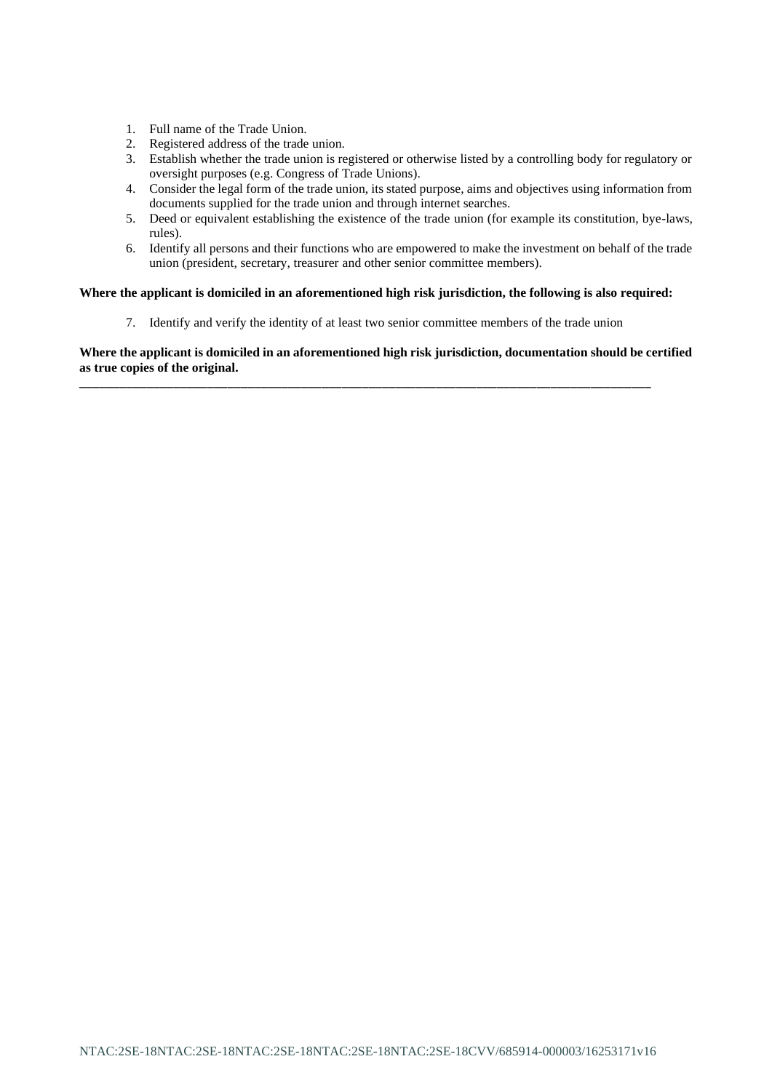- 1. Full name of the Trade Union.
- 2. Registered address of the trade union.
- 3. Establish whether the trade union is registered or otherwise listed by a controlling body for regulatory or oversight purposes (e.g. Congress of Trade Unions).
- 4. Consider the legal form of the trade union, its stated purpose, aims and objectives using information from documents supplied for the trade union and through internet searches.
- 5. Deed or equivalent establishing the existence of the trade union (for example its constitution, bye-laws, rules).
- 6. Identify all persons and their functions who are empowered to make the investment on behalf of the trade union (president, secretary, treasurer and other senior committee members).

# **Where the applicant is domiciled in an aforementioned high risk jurisdiction, the following is also required:**

7. Identify and verify the identity of at least two senior committee members of the trade union

**\_\_\_\_\_\_\_\_\_\_\_\_\_\_\_\_\_\_\_\_\_\_\_\_\_\_\_\_\_\_\_\_\_\_\_\_\_\_\_\_\_\_\_\_\_\_\_\_\_\_\_\_\_\_\_\_\_\_\_\_\_\_\_\_\_\_\_\_\_\_\_\_\_\_\_\_\_\_\_\_\_\_\_\_\_**

**Where the applicant is domiciled in an aforementioned high risk jurisdiction, documentation should be certified as true copies of the original.**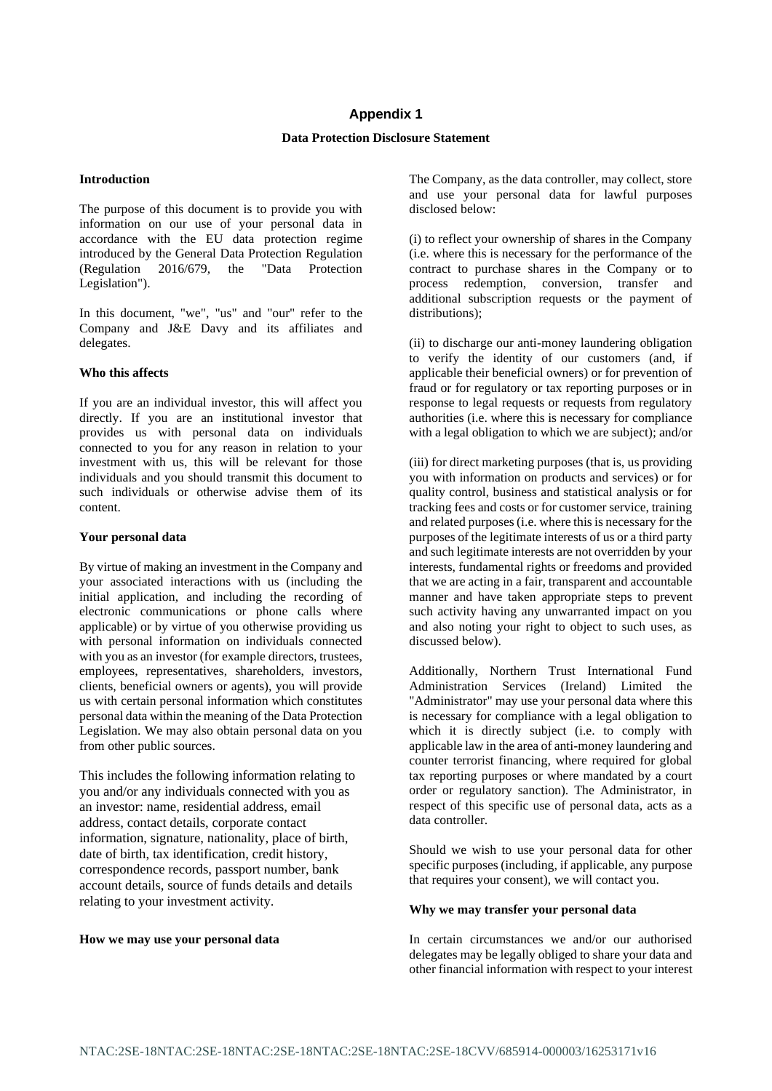# **Appendix 1**

# **Data Protection Disclosure Statement**

### **Introduction**

The purpose of this document is to provide you with information on our use of your personal data in accordance with the EU data protection regime introduced by the General Data Protection Regulation (Regulation 2016/679, the "Data Protection Legislation").

In this document, "we", "us" and "our" refer to the Company and J&E Davy and its affiliates and delegates.

### **Who this affects**

If you are an individual investor, this will affect you directly. If you are an institutional investor that provides us with personal data on individuals connected to you for any reason in relation to your investment with us, this will be relevant for those individuals and you should transmit this document to such individuals or otherwise advise them of its content.

### **Your personal data**

By virtue of making an investment in the Company and your associated interactions with us (including the initial application, and including the recording of electronic communications or phone calls where applicable) or by virtue of you otherwise providing us with personal information on individuals connected with you as an investor (for example directors, trustees, employees, representatives, shareholders, investors, clients, beneficial owners or agents), you will provide us with certain personal information which constitutes personal data within the meaning of the Data Protection Legislation. We may also obtain personal data on you from other public sources.

This includes the following information relating to you and/or any individuals connected with you as an investor: name, residential address, email address, contact details, corporate contact information, signature, nationality, place of birth, date of birth, tax identification, credit history, correspondence records, passport number, bank account details, source of funds details and details relating to your investment activity.

#### **How we may use your personal data**

The Company, as the data controller, may collect, store and use your personal data for lawful purposes disclosed below:

(i) to reflect your ownership of shares in the Company (i.e. where this is necessary for the performance of the contract to purchase shares in the Company or to process redemption, conversion, transfer and additional subscription requests or the payment of distributions):

(ii) to discharge our anti-money laundering obligation to verify the identity of our customers (and, if applicable their beneficial owners) or for prevention of fraud or for regulatory or tax reporting purposes or in response to legal requests or requests from regulatory authorities (i.e. where this is necessary for compliance with a legal obligation to which we are subject); and/or

(iii) for direct marketing purposes (that is, us providing you with information on products and services) or for quality control, business and statistical analysis or for tracking fees and costs or for customer service, training and related purposes (i.e. where this is necessary for the purposes of the legitimate interests of us or a third party and such legitimate interests are not overridden by your interests, fundamental rights or freedoms and provided that we are acting in a fair, transparent and accountable manner and have taken appropriate steps to prevent such activity having any unwarranted impact on you and also noting your right to object to such uses, as discussed below).

Additionally, Northern Trust International Fund Administration Services (Ireland) Limited the "Administrator" may use your personal data where this is necessary for compliance with a legal obligation to which it is directly subject (i.e. to comply with applicable law in the area of anti-money laundering and counter terrorist financing, where required for global tax reporting purposes or where mandated by a court order or regulatory sanction). The Administrator, in respect of this specific use of personal data, acts as a data controller.

Should we wish to use your personal data for other specific purposes (including, if applicable, any purpose that requires your consent), we will contact you.

#### **Why we may transfer your personal data**

In certain circumstances we and/or our authorised delegates may be legally obliged to share your data and other financial information with respect to your interest